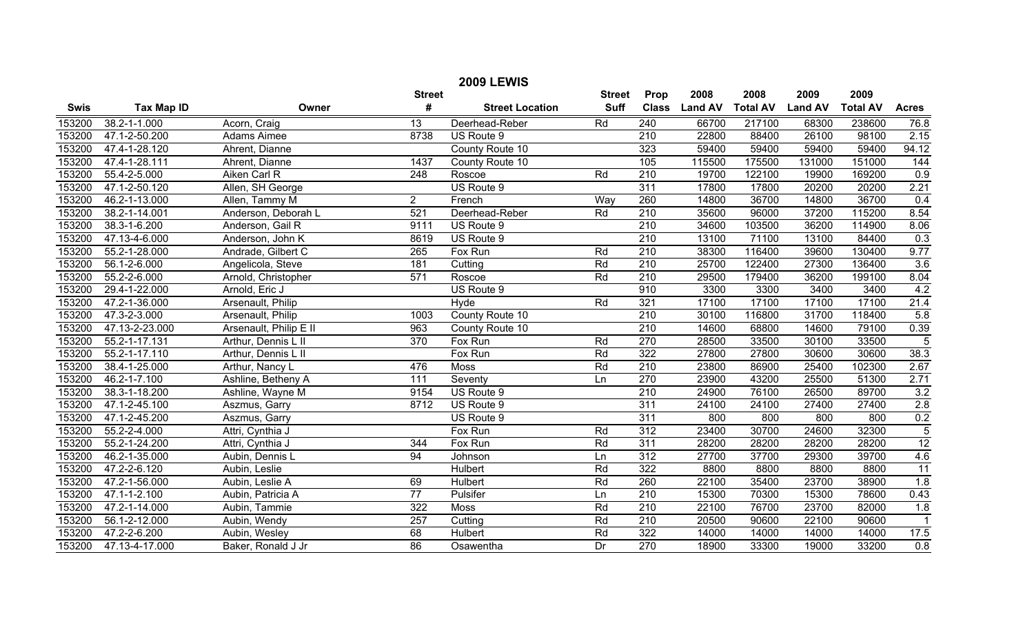|             |                   |                        |                  | <b>2009 LEWIS</b>      |               |                  |                |                 |                |                 |                   |
|-------------|-------------------|------------------------|------------------|------------------------|---------------|------------------|----------------|-----------------|----------------|-----------------|-------------------|
|             |                   |                        | <b>Street</b>    |                        | <b>Street</b> | Prop             | 2008           | 2008            | 2009           | 2009            |                   |
| <b>Swis</b> | <b>Tax Map ID</b> | Owner                  | #                | <b>Street Location</b> | <b>Suff</b>   | <b>Class</b>     | <b>Land AV</b> | <b>Total AV</b> | <b>Land AV</b> | <b>Total AV</b> | <b>Acres</b>      |
| 153200      | 38.2-1-1.000      | Acorn, Craig           | $\overline{13}$  | Deerhead-Reber         | Rd            | 240              | 66700          | 217100          | 68300          | 238600          | 76.8              |
| 153200      | 47.1-2-50.200     | Adams Aimee            | 8738             | US Route 9             |               | 210              | 22800          | 88400           | 26100          | 98100           | 2.15              |
| 153200      | 47.4-1-28.120     | Ahrent, Dianne         |                  | County Route 10        |               | 323              | 59400          | 59400           | 59400          | 59400           | 94.12             |
| 153200      | 47.4-1-28.111     | Ahrent, Dianne         | 1437             | County Route 10        |               | 105              | 115500         | 175500          | 131000         | 151000          | 144               |
| 153200      | 55.4-2-5.000      | Aiken Carl R           | 248              | Roscoe                 | Rd            | 210              | 19700          | 122100          | 19900          | 169200          | 0.9               |
| 153200      | 47.1-2-50.120     | Allen, SH George       |                  | US Route 9             |               | 311              | 17800          | 17800           | 20200          | 20200           | 2.21              |
| 153200      | 46.2-1-13.000     | Allen, Tammy M         | $2^{\circ}$      | French                 | Way           | 260              | 14800          | 36700           | 14800          | 36700           | 0.4               |
| 153200      | 38.2-1-14.001     | Anderson, Deborah L    | 521              | Deerhead-Reber         | Rd            | $\overline{210}$ | 35600          | 96000           | 37200          | 115200          | 8.54              |
| 153200      | 38.3-1-6.200      | Anderson, Gail R       | 9111             | US Route 9             |               | 210              | 34600          | 103500          | 36200          | 114900          | 8.06              |
| 153200      | 47.13-4-6.000     | Anderson, John K       | 8619             | US Route 9             |               | $\overline{210}$ | 13100          | 71100           | 13100          | 84400           | 0.3               |
| 153200      | 55.2-1-28.000     | Andrade, Gilbert C     | 265              | Fox Run                | Rd            | $\overline{210}$ | 38300          | 116400          | 39600          | 130400          | 9.77              |
| 153200      | 56.1-2-6.000      | Angelicola, Steve      | 181              | Cutting                | Rd            | 210              | 25700          | 122400          | 27300          | 136400          | 3.6               |
| 153200      | 55.2-2-6.000      | Arnold, Christopher    | 571              | Roscoe                 | Rd            | 210              | 29500          | 179400          | 36200          | 199100          | 8.04              |
| 153200      | 29.4-1-22.000     | Arnold, Eric J         |                  | US Route 9             |               | 910              | 3300           | 3300            | 3400           | 3400            | 4.2               |
| 153200      | 47.2-1-36.000     | Arsenault, Philip      |                  | Hyde                   | Rd            | 321              | 17100          | 17100           | 17100          | 17100           | 21.4              |
| 153200      | 47.3-2-3.000      | Arsenault, Philip      | 1003             | County Route 10        |               | 210              | 30100          | 116800          | 31700          | 118400          | 5.8               |
| 153200      | 47.13-2-23.000    | Arsenault, Philip E II | 963              | County Route 10        |               | $\overline{210}$ | 14600          | 68800           | 14600          | 79100           | 0.39              |
| 153200      | 55.2-1-17.131     | Arthur, Dennis L II    | $\overline{370}$ | Fox Run                | Rd            | 270              | 28500          | 33500           | 30100          | 33500           | $\overline{5}$    |
| 153200      | 55.2-1-17.110     | Arthur, Dennis L II    |                  | Fox Run                | Rd            | 322              | 27800          | 27800           | 30600          | 30600           | 38.3              |
| 153200      | 38.4-1-25.000     | Arthur, Nancy L        | 476              | Moss                   | Rd            | 210              | 23800          | 86900           | 25400          | 102300          | 2.67              |
| 153200      | 46.2-1-7.100      | Ashline, Betheny A     | 111              | Seventy                | Ln            | 270              | 23900          | 43200           | 25500          | 51300           | 2.71              |
| 153200      | 38.3-1-18.200     | Ashline, Wayne M       | 9154             | US Route 9             |               | 210              | 24900          | 76100           | 26500          | 89700           | 3.2               |
| 153200      | 47.1-2-45.100     | Aszmus, Garry          | 8712             | US Route 9             |               | 311              | 24100          | 24100           | 27400          | 27400           | $\frac{2.8}{0.2}$ |
| 153200      | 47.1-2-45.200     | Aszmus, Garry          |                  | US Route 9             |               | 311              | 800            | 800             | 800            | 800             |                   |
| 153200      | 55.2-2-4.000      | Attri, Cynthia J       |                  | Fox Run                | Rd            | $\overline{312}$ | 23400          | 30700           | 24600          | 32300           |                   |
| 153200      | 55.2-1-24.200     | Attri, Cynthia J       | 344              | Fox Run                | Rd            | 311              | 28200          | 28200           | 28200          | 28200           | 12                |
| 153200      | 46.2-1-35.000     | Aubin, Dennis L        | 94               | Johnson                | Ln            | $\overline{312}$ | 27700          | 37700           | 29300          | 39700           | 4.6               |
| 153200      | 47.2-2-6.120      | Aubin, Leslie          |                  | <b>Hulbert</b>         | Rd            | 322              | 8800           | 8800            | 8800           | 8800            | 11                |
| 153200      | 47.2-1-56.000     | Aubin, Leslie A        | 69               | Hulbert                | Rd            | 260              | 22100          | 35400           | 23700          | 38900           | 1.8               |
| 153200      | 47.1-1-2.100      | Aubin, Patricia A      | $\overline{77}$  | Pulsifer               | Ln            | 210              | 15300          | 70300           | 15300          | 78600           | 0.43              |
| 153200      | 47.2-1-14.000     | Aubin, Tammie          | 322              | <b>Moss</b>            | Rd            | $\overline{210}$ | 22100          | 76700           | 23700          | 82000           | 1.8               |
| 153200      | 56.1-2-12.000     | Aubin, Wendy           | 257              | Cutting                | Rd            | 210              | 20500          | 90600           | 22100          | 90600           | $\overline{1}$    |
| 153200      | 47.2-2-6.200      | Aubin, Wesley          | 68               | Hulbert                | Rd            | 322              | 14000          | 14000           | 14000          | 14000           | 17.5              |
| 153200      | 47.13-4-17.000    | Baker, Ronald J Jr     | $\overline{86}$  | Osawentha              | Dr            | $\overline{270}$ | 18900          | 33300           | 19000          | 33200           | 0.8               |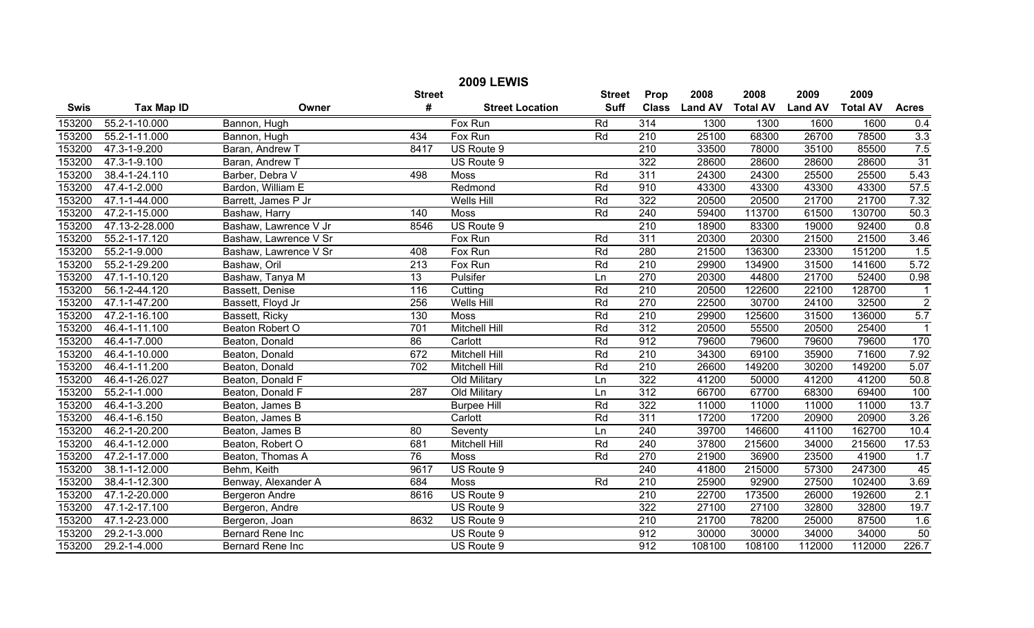| <b>2009 LEWIS</b> |                   |                       |                  |                        |               |                  |                |                 |                |                 |                         |
|-------------------|-------------------|-----------------------|------------------|------------------------|---------------|------------------|----------------|-----------------|----------------|-----------------|-------------------------|
|                   |                   |                       | <b>Street</b>    |                        | <b>Street</b> | Prop             | 2008           | 2008            | 2009           | 2009            |                         |
| <b>Swis</b>       | <b>Tax Map ID</b> | Owner                 | #                | <b>Street Location</b> | <b>Suff</b>   | <b>Class</b>     | <b>Land AV</b> | <b>Total AV</b> | <b>Land AV</b> | <b>Total AV</b> | <b>Acres</b>            |
| 153200            | 55.2-1-10.000     | Bannon, Hugh          |                  | Fox Run                | Rd            | 314              | 1300           | 1300            | 1600           | 1600            | 0.4                     |
| 153200            | 55.2-1-11.000     | Bannon, Hugh          | 434              | Fox Run                | Rd            | 210              | 25100          | 68300           | 26700          | 78500           | 3.3                     |
| 153200            | 47.3-1-9.200      | Baran, Andrew T       | 8417             | US Route 9             |               | $\overline{210}$ | 33500          | 78000           | 35100          | 85500           | 7.5                     |
| 153200            | 47.3-1-9.100      | Baran, Andrew T       |                  | US Route 9             |               | 322              | 28600          | 28600           | 28600          | 28600           | $\overline{31}$         |
| 153200            | 38.4-1-24.110     | Barber, Debra V       | 498              | Moss                   | Rd            | 311              | 24300          | 24300           | 25500          | 25500           | 5.43                    |
| 153200            | 47.4-1-2.000      | Bardon, William E     |                  | Redmond                | Rd            | 910              | 43300          | 43300           | 43300          | 43300           | 57.5                    |
| 153200            | 47.1-1-44.000     | Barrett, James P Jr   |                  | Wells Hill             | Rd            | 322              | 20500          | 20500           | 21700          | 21700           | 7.32                    |
| 153200            | 47.2-1-15.000     | Bashaw, Harry         | 140              | Moss                   | Rd            | 240              | 59400          | 113700          | 61500          | 130700          | 50.3                    |
| 153200            | 47.13-2-28.000    | Bashaw, Lawrence V Jr | 8546             | US Route 9             |               | $\overline{210}$ | 18900          | 83300           | 19000          | 92400           | 0.8                     |
| 153200            | 55.2-1-17.120     | Bashaw, Lawrence V Sr |                  | Fox Run                | Rd            | 311              | 20300          | 20300           | 21500          | 21500           | 3.46                    |
| 153200            | 55.2-1-9.000      | Bashaw, Lawrence V Sr | 408              | Fox Run                | Rd            | 280              | 21500          | 136300          | 23300          | 151200          | 1.5                     |
| 153200            | 55.2-1-29.200     | Bashaw, Oril          | $\overline{213}$ | Fox Run                | Rd            | $\overline{210}$ | 29900          | 134900          | 31500          | 141600          | 5.72                    |
| 153200            | 47.1-1-10.120     | Bashaw, Tanya M       | 13               | Pulsifer               | Ln            | 270              | 20300          | 44800           | 21700          | 52400           | 0.98                    |
| 153200            | 56.1-2-44.120     | Bassett, Denise       | 116              | Cutting                | Rd            | $\overline{210}$ | 20500          | 122600          | 22100          | 128700          | $\mathbf 1$             |
| 153200            | 47.1-1-47.200     | Bassett, Floyd Jr     | 256              | <b>Wells Hill</b>      | Rd            | 270              | 22500          | 30700           | 24100          | 32500           | $\overline{2}$          |
| 153200            | 47.2-1-16.100     | Bassett, Ricky        | 130              | Moss                   | Rd            | $\overline{210}$ | 29900          | 125600          | 31500          | 136000          | 5.7                     |
| 153200            | 46.4-1-11.100     | Beaton Robert O       | 701              | Mitchell Hill          | Rd            | 312              | 20500          | 55500           | 20500          | 25400           | $\overline{\mathbf{1}}$ |
| 153200            | 46.4-1-7.000      | Beaton, Donald        | 86               | Carlott                | Rd            | 912              | 79600          | 79600           | 79600          | 79600           | 170                     |
| 153200            | 46.4-1-10.000     | Beaton, Donald        | 672              | <b>Mitchell Hill</b>   | Rd            | $\overline{210}$ | 34300          | 69100           | 35900          | 71600           | 7.92                    |
| 153200            | 46.4-1-11.200     | Beaton, Donald        | $\overline{702}$ | <b>Mitchell Hill</b>   | Rd            | $\overline{210}$ | 26600          | 149200          | 30200          | 149200          | 5.07                    |
| 153200            | 46.4-1-26.027     | Beaton, Donald F      |                  | Old Military           | Ln            | 322              | 41200          | 50000           | 41200          | 41200           | 50.8                    |
| 153200            | 55.2-1-1.000      | Beaton, Donald F      | 287              | Old Military           | Ln            | 312              | 66700          | 67700           | 68300          | 69400           | 100                     |
| 153200            | 46.4-1-3.200      | Beaton, James B       |                  | <b>Burpee Hill</b>     | Rd            | 322              | 11000          | 11000           | 11000          | 11000           | 13.7                    |
| 153200            | 46.4-1-6.150      | Beaton, James B       |                  | Carlott                | Rd            | 311              | 17200          | 17200           | 20900          | 20900           | 3.26                    |
| 153200            | 46.2-1-20.200     | Beaton, James B       | 80               | Seventy                | Ln            | 240              | 39700          | 146600          | 41100          | 162700          | 10.4                    |
| 153200            | 46.4-1-12.000     | Beaton, Robert O      | 681              | <b>Mitchell Hill</b>   | Rd            | 240              | 37800          | 215600          | 34000          | 215600          | 17.53                   |
| 153200            | 47.2-1-17.000     | Beaton, Thomas A      | 76               | Moss                   | Rd            | 270              | 21900          | 36900           | 23500          | 41900           | 1.7                     |
| 153200            | 38.1-1-12.000     | Behm, Keith           | 9617             | US Route 9             |               | 240              | 41800          | 215000          | 57300          | 247300          | $\overline{45}$         |
| 153200            | 38.4-1-12.300     | Benway, Alexander A   | 684              | <b>Moss</b>            | Rd            | $\overline{210}$ | 25900          | 92900           | 27500          | 102400          | 3.69                    |
| 153200            | 47.1-2-20.000     | Bergeron Andre        | 8616             | US Route 9             |               | 210              | 22700          | 173500          | 26000          | 192600          | 2.1                     |
| 153200            | 47.1-2-17.100     | Bergeron, Andre       |                  | US Route 9             |               | 322              | 27100          | 27100           | 32800          | 32800           | 19.7                    |
| 153200            | 47.1-2-23.000     | Bergeron, Joan        | 8632             | US Route 9             |               | 210              | 21700          | 78200           | 25000          | 87500           | 1.6                     |
| 153200            | 29.2-1-3.000      | Bernard Rene Inc      |                  | US Route 9             |               | 912              | 30000          | 30000           | 34000          | 34000           | 50                      |
| 153200            | 29.2-1-4.000      | Bernard Rene Inc      |                  | US Route 9             |               | 912              | 108100         | 108100          | 112000         | 112000          | 226.7                   |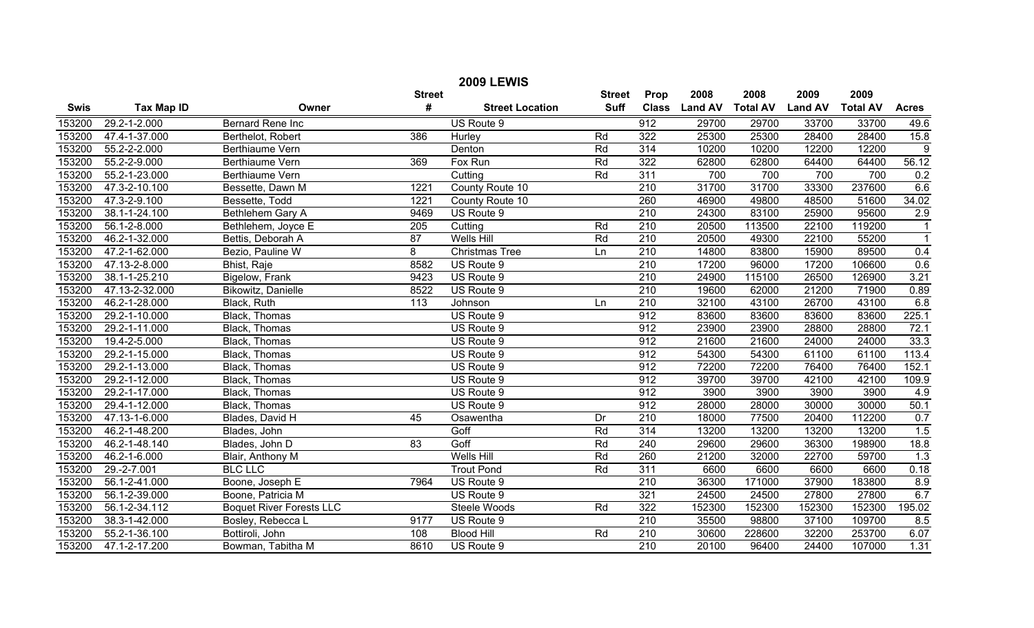| <b>2009 LEWIS</b> |                   |                                 |                  |                        |               |                  |                |                 |                |                 |                |
|-------------------|-------------------|---------------------------------|------------------|------------------------|---------------|------------------|----------------|-----------------|----------------|-----------------|----------------|
|                   |                   |                                 | <b>Street</b>    |                        | <b>Street</b> | Prop             | 2008           | 2008            | 2009           | 2009            |                |
| <b>Swis</b>       | <b>Tax Map ID</b> | Owner                           | #                | <b>Street Location</b> | <b>Suff</b>   | <b>Class</b>     | <b>Land AV</b> | <b>Total AV</b> | <b>Land AV</b> | <b>Total AV</b> | <b>Acres</b>   |
| 153200            | 29.2-1-2.000      | <b>Bernard Rene Inc</b>         |                  | US Route 9             |               | 912              | 29700          | 29700           | 33700          | 33700           | 49.6           |
| 153200            | 47.4-1-37.000     | Berthelot, Robert               | 386              | Hurley                 | Rd            | 322              | 25300          | 25300           | 28400          | 28400           | 15.8           |
| 153200            | 55.2-2-2.000      | Berthiaume Vern                 |                  | Denton                 | Rd            | $\overline{314}$ | 10200          | 10200           | 12200          | 12200           | 9              |
| 153200            | 55.2-2-9.000      | Berthiaume Vern                 | 369              | Fox Run                | Rd            | 322              | 62800          | 62800           | 64400          | 64400           | 56.12          |
| 153200            | 55.2-1-23.000     | Berthiaume Vern                 |                  | Cutting                | Rd            | 311              | 700            | 700             | 700            | 700             | 0.2            |
| 153200            | 47.3-2-10.100     | Bessette, Dawn M                | 1221             | County Route 10        |               | $\overline{210}$ | 31700          | 31700           | 33300          | 237600          | 6.6            |
| 153200            | 47.3-2-9.100      | Bessette, Todd                  | 1221             | County Route 10        |               | 260              | 46900          | 49800           | 48500          | 51600           | 34.02          |
| 153200            | 38.1-1-24.100     | Bethlehem Gary A                | 9469             | US Route 9             |               | 210              | 24300          | 83100           | 25900          | 95600           | 2.9            |
| 153200            | 56.1-2-8.000      | Bethlehem, Joyce E              | 205              | Cutting                | Rd            | $\overline{210}$ | 20500          | 113500          | 22100          | 119200          | $\overline{1}$ |
| 153200            | 46.2-1-32.000     | Bettis, Deborah A               | 87               | Wells Hill             | Rd            | 210              | 20500          | 49300           | 22100          | 55200           | $\overline{1}$ |
| 153200            | 47.2-1-62.000     | Bezio, Pauline W                | 8                | <b>Christmas Tree</b>  | Ln            | $\overline{210}$ | 14800          | 83800           | 15900          | 89500           | 0.4            |
| 153200            | 47.13-2-8.000     | <b>Bhist, Raje</b>              | 8582             | US Route 9             |               | $\overline{210}$ | 17200          | 96000           | 17200          | 106600          | 0.6            |
| 153200            | 38.1-1-25.210     | Bigelow, Frank                  | 9423             | US Route 9             |               | 210              | 24900          | 115100          | 26500          | 126900          | 3.21           |
| 153200            | 47.13-2-32.000    | Bikowitz, Danielle              | 8522             | US Route 9             |               | $\overline{210}$ | 19600          | 62000           | 21200          | 71900           | 0.89           |
| 153200            | 46.2-1-28.000     | Black, Ruth                     | $\overline{113}$ | Johnson                | Ln            | $\overline{210}$ | 32100          | 43100           | 26700          | 43100           | 6.8            |
| 153200            | 29.2-1-10.000     | Black, Thomas                   |                  | US Route 9             |               | 912              | 83600          | 83600           | 83600          | 83600           | 225.1          |
| 153200            | 29.2-1-11.000     | Black, Thomas                   |                  | US Route 9             |               | 912              | 23900          | 23900           | 28800          | 28800           | 72.1           |
| 153200            | 19.4-2-5.000      | Black, Thomas                   |                  | US Route 9             |               | 912              | 21600          | 21600           | 24000          | 24000           | 33.3           |
| 153200            | 29.2-1-15.000     | Black, Thomas                   |                  | US Route 9             |               | 912              | 54300          | 54300           | 61100          | 61100           | 113.4          |
| 153200            | 29.2-1-13.000     | Black, Thomas                   |                  | US Route 9             |               | 912              | 72200          | 72200           | 76400          | 76400           | 152.1          |
| 153200            | 29.2-1-12.000     | Black, Thomas                   |                  | US Route 9             |               | 912              | 39700          | 39700           | 42100          | 42100           | 109.9          |
| 153200            | 29.2-1-17.000     | Black, Thomas                   |                  | US Route 9             |               | 912              | 3900           | 3900            | 3900           | 3900            | 4.9            |
| 153200            | 29.4-1-12.000     | Black, Thomas                   |                  | US Route 9             |               | 912              | 28000          | 28000           | 30000          | 30000           | 50.1           |
| 153200            | 47.13-1-6.000     | Blades, David H                 | 45               | Osawentha              | Dr            | $\overline{210}$ | 18000          | 77500           | 20400          | 112200          | 0.7            |
| 153200            | 46.2-1-48.200     | Blades, John                    |                  | Goff                   | Rd            | 314              | 13200          | 13200           | 13200          | 13200           | 1.5            |
| 153200            | 46.2-1-48.140     | Blades, John D                  | $\overline{83}$  | Goff                   | Rd            | 240              | 29600          | 29600           | 36300          | 198900          | 18.8           |
| 153200            | 46.2-1-6.000      | Blair, Anthony M                |                  | <b>Wells Hill</b>      | Rd            | 260              | 21200          | 32000           | 22700          | 59700           | 1.3            |
| 153200            | 29.-2-7.001       | <b>BLC LLC</b>                  |                  | <b>Trout Pond</b>      | Rd            | 311              | 6600           | 6600            | 6600           | 6600            | 0.18           |
| 153200            | 56.1-2-41.000     | Boone, Joseph E                 | 7964             | US Route 9             |               | $\overline{210}$ | 36300          | 171000          | 37900          | 183800          | 8.9            |
| 153200            | 56.1-2-39.000     | Boone, Patricia M               |                  | US Route 9             |               | 321              | 24500          | 24500           | 27800          | 27800           | 6.7            |
| 153200            | 56.1-2-34.112     | <b>Boquet River Forests LLC</b> |                  | Steele Woods           | Rd            | 322              | 152300         | 152300          | 152300         | 152300          | 195.02         |
| 153200            | 38.3-1-42.000     | Bosley, Rebecca L               | 9177             | US Route 9             |               | 210              | 35500          | 98800           | 37100          | 109700          | 8.5            |
| 153200            | 55.2-1-36.100     | Bottiroli, John                 | 108              | <b>Blood Hill</b>      | Rd            | 210              | 30600          | 228600          | 32200          | 253700          | 6.07           |
| 153200            | 47.1-2-17.200     | Bowman, Tabitha M               | 8610             | US Route 9             |               | 210              | 20100          | 96400           | 24400          | 107000          | 1.31           |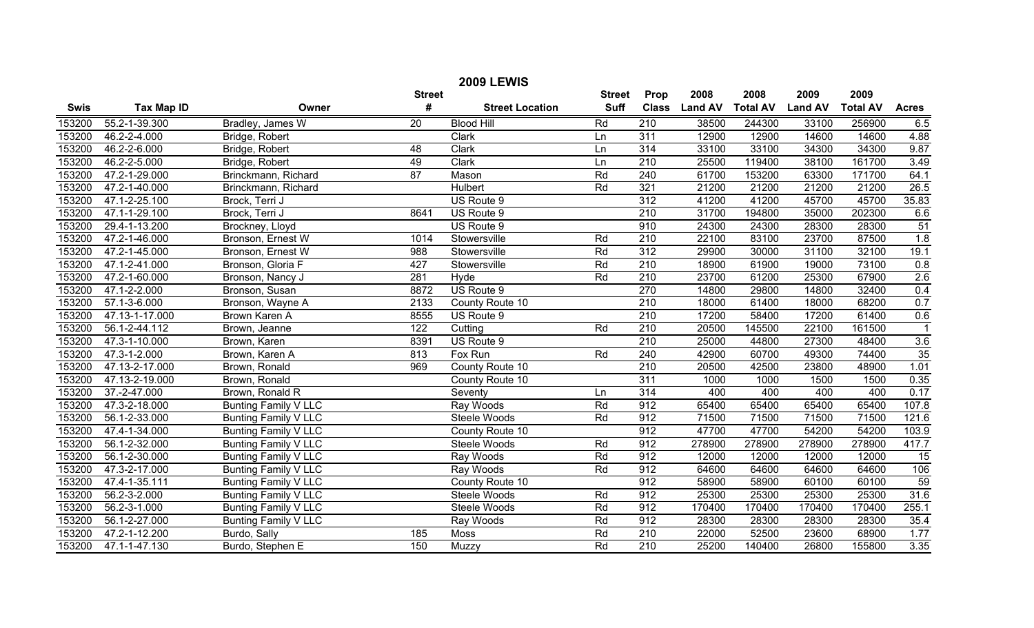| <b>2009 LEWIS</b> |                            |                             |                 |                        |                  |                  |                |                 |                |                 |              |
|-------------------|----------------------------|-----------------------------|-----------------|------------------------|------------------|------------------|----------------|-----------------|----------------|-----------------|--------------|
|                   |                            |                             | <b>Street</b>   |                        | <b>Street</b>    | Prop             | 2008           | 2008            | 2009           | 2009            |              |
| <b>Swis</b>       | <b>Tax Map ID</b>          | Owner                       | #               | <b>Street Location</b> | <b>Suff</b>      | <b>Class</b>     | <b>Land AV</b> | <b>Total AV</b> | <b>Land AV</b> | <b>Total AV</b> | <b>Acres</b> |
| 153200            | $\overline{55.2-1-39.300}$ | Bradley, James W            | $\overline{20}$ | <b>Blood Hill</b>      | Rd               | 210              | 38500          | 244300          | 33100          | 256900          | 6.5          |
| 153200            | 46.2-2-4.000               | Bridge, Robert              |                 | Clark                  | Ln               | 311              | 12900          | 12900           | 14600          | 14600           | 4.88         |
| 153200            | 46.2-2-6.000               | Bridge, Robert              | 48              | Clark                  | Ln               | 314              | 33100          | 33100           | 34300          | 34300           | 9.87         |
| 153200            | 46.2-2-5.000               | Bridge, Robert              | 49              | <b>Clark</b>           | $\overline{\ln}$ | $\overline{210}$ | 25500          | 119400          | 38100          | 161700          | 3.49         |
| 153200            | 47.2-1-29.000              | Brinckmann, Richard         | $\overline{87}$ | Mason                  | Rd               | 240              | 61700          | 153200          | 63300          | 171700          | 64.1         |
| 153200            | 47.2-1-40.000              | Brinckmann, Richard         |                 | <b>Hulbert</b>         | Rd               | 321              | 21200          | 21200           | 21200          | 21200           | 26.5         |
| 153200            | 47.1-2-25.100              | Brock, Terri J              |                 | US Route 9             |                  | 312              | 41200          | 41200           | 45700          | 45700           | 35.83        |
| 153200            | 47.1-1-29.100              | Brock, Terri J              | 8641            | US Route 9             |                  | 210              | 31700          | 194800          | 35000          | 202300          | 6.6          |
| 153200            | 29.4-1-13.200              | Brockney, Lloyd             |                 | US Route 9             |                  | 910              | 24300          | 24300           | 28300          | 28300           | 51           |
| 153200            | 47.2-1-46.000              | Bronson, Ernest W           | 1014            | Stowersville           | Rd               | 210              | 22100          | 83100           | 23700          | 87500           | 1.8          |
| 153200            | 47.2-1-45.000              | Bronson, Ernest W           | 988             | Stowersville           | Rd               | 312              | 29900          | 30000           | 31100          | 32100           | 19.1         |
| 153200            | 47.1-2-41.000              | Bronson, Gloria F           | 427             | Stowersville           | Rd               | 210              | 18900          | 61900           | 19000          | 73100           | 0.8          |
| 153200            | 47.2-1-60.000              | Bronson, Nancy J            | 281             | Hyde                   | Rd               | $\overline{210}$ | 23700          | 61200           | 25300          | 67900           | 2.6          |
| 153200            | 47.1-2-2.000               | Bronson, Susan              | 8872            | US Route 9             |                  | 270              | 14800          | 29800           | 14800          | 32400           | 0.4          |
| 153200            | 57.1-3-6.000               | Bronson, Wayne A            | 2133            | County Route 10        |                  | 210              | 18000          | 61400           | 18000          | 68200           | 0.7          |
| 153200            | 47.13-1-17.000             | Brown Karen A               | 8555            | US Route 9             |                  | $\overline{210}$ | 17200          | 58400           | 17200          | 61400           | 0.6          |
| 153200            | 56.1-2-44.112              | Brown, Jeanne               | 122             | Cutting                | Rd               | 210              | 20500          | 145500          | 22100          | 161500          | $\mathbf{1}$ |
| 153200            | 47.3-1-10.000              | Brown, Karen                | 8391            | US Route 9             |                  | 210              | 25000          | 44800           | 27300          | 48400           | 3.6          |
| 153200            | 47.3-1-2.000               | Brown, Karen A              | 813             | Fox Run                | Rd               | 240              | 42900          | 60700           | 49300          | 74400           | 35           |
| 153200            | 47.13-2-17.000             | Brown, Ronald               | 969             | County Route 10        |                  | 210              | 20500          | 42500           | 23800          | 48900           | 1.01         |
| 153200            | 47.13-2-19.000             | Brown, Ronald               |                 | County Route 10        |                  | 311              | 1000           | 1000            | 1500           | 1500            | 0.35         |
| 153200            | 37.-2-47.000               | Brown, Ronald R             |                 | Seventy                | Ln               | 314              | 400            | 400             | 400            | 400             | 0.17         |
| 153200            | 47.3-2-18.000              | <b>Bunting Family V LLC</b> |                 | Ray Woods              | Rd               | 912              | 65400          | 65400           | 65400          | 65400           | 107.8        |
| 153200            | 56.1-2-33.000              | <b>Bunting Family V LLC</b> |                 | <b>Steele Woods</b>    | Rd               | 912              | 71500          | 71500           | 71500          | 71500           | 121.6        |
| 153200            | 47.4-1-34.000              | Bunting Family V LLC        |                 | County Route 10        |                  | 912              | 47700          | 47700           | 54200          | 54200           | 103.9        |
| 153200            | 56.1-2-32.000              | <b>Bunting Family V LLC</b> |                 | Steele Woods           | Rd               | 912              | 278900         | 278900          | 278900         | 278900          | 417.7        |
| 153200            | 56.1-2-30.000              | <b>Bunting Family V LLC</b> |                 | Ray Woods              | Rd               | 912              | 12000          | 12000           | 12000          | 12000           | 15           |
| 153200            | 47.3-2-17.000              | <b>Bunting Family V LLC</b> |                 | Ray Woods              | Rd               | 912              | 64600          | 64600           | 64600          | 64600           | 106          |
| 153200            | 47.4-1-35.111              | Bunting Family V LLC        |                 | County Route 10        |                  | 912              | 58900          | 58900           | 60100          | 60100           | 59           |
| 153200            | 56.2-3-2.000               | Bunting Family V LLC        |                 | Steele Woods           | Rd               | 912              | 25300          | 25300           | 25300          | 25300           | 31.6         |
| 153200            | 56.2-3-1.000               | <b>Bunting Family V LLC</b> |                 | <b>Steele Woods</b>    | Rd               | 912              | 170400         | 170400          | 170400         | 170400          | 255.1        |
| 153200            | 56.1-2-27.000              | <b>Bunting Family V LLC</b> |                 | Ray Woods              | Rd               | 912              | 28300          | 28300           | 28300          | 28300           | 35.4         |
| 153200            | 47.2-1-12.200              | Burdo, Sally                | 185             | Moss                   | Rd               | $\overline{210}$ | 22000          | 52500           | 23600          | 68900           | 1.77         |
| 153200            | 47.1-1-47.130              | Burdo, Stephen E            | 150             | Muzzy                  | Rd               | $\overline{210}$ | 25200          | 140400          | 26800          | 155800          | 3.35         |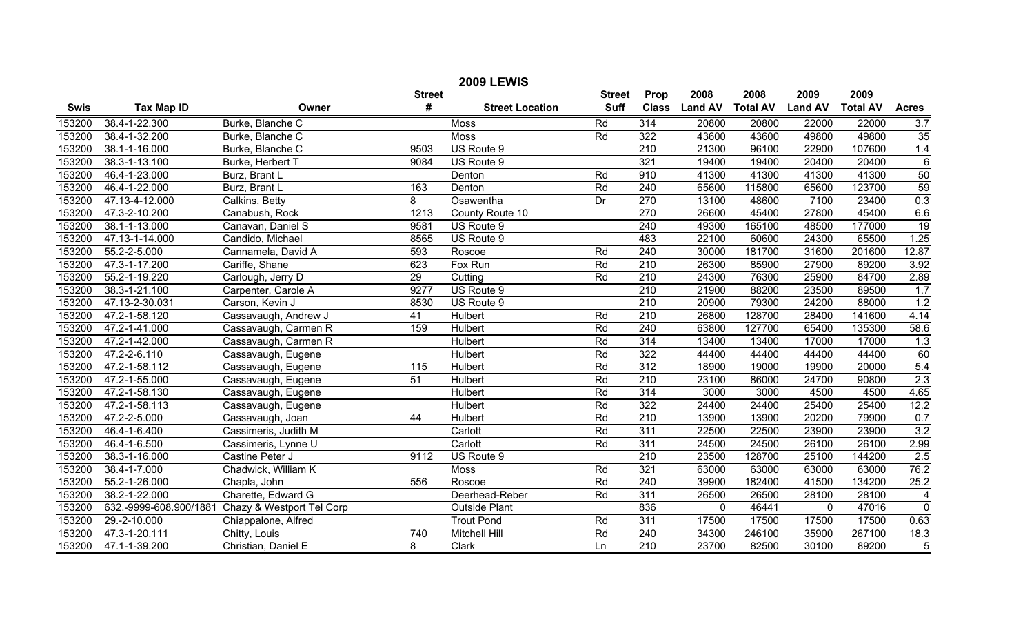| <b>2009 LEWIS</b> |                        |                           |                 |                        |                 |                  |                |                 |                |                 |                   |
|-------------------|------------------------|---------------------------|-----------------|------------------------|-----------------|------------------|----------------|-----------------|----------------|-----------------|-------------------|
|                   |                        |                           | <b>Street</b>   |                        | <b>Street</b>   | Prop             | 2008           | 2008            | 2009           | 2009            |                   |
| <b>Swis</b>       | <b>Tax Map ID</b>      | Owner                     | #               | <b>Street Location</b> | <b>Suff</b>     | <b>Class</b>     | <b>Land AV</b> | <b>Total AV</b> | <b>Land AV</b> | <b>Total AV</b> | <b>Acres</b>      |
| 153200            | 38.4-1-22.300          | Burke, Blanche C          |                 | <b>Moss</b>            | Rd              | 314              | 20800          | 20800           | 22000          | 22000           | 3.7               |
| 153200            | 38.4-1-32.200          | Burke, Blanche C          |                 | <b>Moss</b>            | Rd              | 322              | 43600          | 43600           | 49800          | 49800           | 35                |
| 153200            | 38.1-1-16.000          | Burke, Blanche C          | 9503            | US Route 9             |                 | $\overline{210}$ | 21300          | 96100           | 22900          | 107600          | 1.4               |
| 153200            | 38.3-1-13.100          | Burke, Herbert T          | 9084            | US Route 9             |                 | 321              | 19400          | 19400           | 20400          | 20400           | $\,6$             |
| 153200            | 46.4-1-23.000          | Burz, Brant L             |                 | Denton                 | Rd              | 910              | 41300          | 41300           | 41300          | 41300           | 50                |
| 153200            | 46.4-1-22.000          | Burz, Brant L             | 163             | Denton                 | Rd              | 240              | 65600          | 115800          | 65600          | 123700          | 59                |
| 153200            | 47.13-4-12.000         | Calkins, Betty            | 8               | Osawentha              | $\overline{Dr}$ | 270              | 13100          | 48600           | 7100           | 23400           | 0.3               |
| 153200            | 47.3-2-10.200          | Canabush, Rock            | 1213            | County Route 10        |                 | 270              | 26600          | 45400           | 27800          | 45400           | 6.6               |
| 153200            | 38.1-1-13.000          | Canavan, Daniel S         | 9581            | US Route 9             |                 | 240              | 49300          | 165100          | 48500          | 177000          | $\overline{19}$   |
| 153200            | 47.13-1-14.000         | Candido, Michael          | 8565            | US Route 9             |                 | 483              | 22100          | 60600           | 24300          | 65500           | $\overline{1.25}$ |
| 153200            | 55.2-2-5.000           | Cannamela, David A        | 593             | Roscoe                 | Rd              | 240              | 30000          | 181700          | 31600          | 201600          | 12.87             |
| 153200            | 47.3-1-17.200          | Cariffe, Shane            | 623             | Fox Run                | Rd              | $\overline{210}$ | 26300          | 85900           | 27900          | 89200           | 3.92              |
| 153200            | 55.2-1-19.220          | Carlough, Jerry D         | $\overline{29}$ | Cutting                | Rd              | $\overline{210}$ | 24300          | 76300           | 25900          | 84700           | 2.89              |
| 153200            | 38.3-1-21.100          | Carpenter, Carole A       | 9277            | US Route 9             |                 | 210              | 21900          | 88200           | 23500          | 89500           | 1.7               |
| 153200            | 47.13-2-30.031         | Carson, Kevin J           | 8530            | US Route 9             |                 | $\overline{210}$ | 20900          | 79300           | 24200          | 88000           | 1.2               |
| 153200            | 47.2-1-58.120          | Cassavaugh, Andrew J      | 41              | <b>Hulbert</b>         | Rd              | 210              | 26800          | 128700          | 28400          | 141600          | 4.14              |
| 153200            | 47.2-1-41.000          | Cassavaugh, Carmen R      | 159             | Hulbert                | Rd              | 240              | 63800          | 127700          | 65400          | 135300          | 58.6              |
| 153200            | 47.2-1-42.000          | Cassavaugh, Carmen R      |                 | <b>Hulbert</b>         | Rd              | 314              | 13400          | 13400           | 17000          | 17000           | $\overline{1.3}$  |
| 153200            | 47.2-2-6.110           | Cassavaugh, Eugene        |                 | <b>Hulbert</b>         | Rd              | 322              | 44400          | 44400           | 44400          | 44400           | 60                |
| 153200            | 47.2-1-58.112          | Cassavaugh, Eugene        | 115             | Hulbert                | Rd              | $\overline{312}$ | 18900          | 19000           | 19900          | 20000           | 5.4               |
| 153200            | 47.2-1-55.000          | Cassavaugh, Eugene        | 51              | Hulbert                | Rd              | 210              | 23100          | 86000           | 24700          | 90800           | 2.3               |
| 153200            | 47.2-1-58.130          | Cassavaugh, Eugene        |                 | Hulbert                | Rd              | 314              | 3000           | 3000            | 4500           | 4500            | 4.65              |
| 153200            | 47.2-1-58.113          | Cassavaugh, Eugene        |                 | Hulbert                | Rd              | 322              | 24400          | 24400           | 25400          | 25400           | 12.2              |
| 153200            | 47.2-2-5.000           | Cassavaugh, Joan          | $\overline{44}$ | <b>Hulbert</b>         | Rd              | 210              | 13900          | 13900           | 20200          | 79900           | 0.7               |
| 153200            | 46.4-1-6.400           | Cassimeris, Judith M      |                 | Carlott                | Rd              | 311              | 22500          | 22500           | 23900          | 23900           | 3.2               |
| 153200            | 46.4-1-6.500           | Cassimeris, Lynne U       |                 | Carlott                | Rd              | 311              | 24500          | 24500           | 26100          | 26100           | 2.99              |
| 153200            | 38.3-1-16.000          | Castine Peter J           | 9112            | US Route 9             |                 | 210              | 23500          | 128700          | 25100          | 144200          | 2.5               |
| 153200            | 38.4-1-7.000           | Chadwick, William K       |                 | Moss                   | Rd              | 321              | 63000          | 63000           | 63000          | 63000           | 76.2              |
| 153200            | 55.2-1-26.000          | Chapla, John              | 556             | Roscoe                 | Rd              | 240              | 39900          | 182400          | 41500          | 134200          | 25.2              |
| 153200            | 38.2-1-22.000          | Charette, Edward G        |                 | Deerhead-Reber         | Rd              | $\overline{311}$ | 26500          | 26500           | 28100          | 28100           | $\overline{4}$    |
| 153200            | 632.-9999-608.900/1881 | Chazy & Westport Tel Corp |                 | <b>Outside Plant</b>   |                 | 836              | $\mathbf 0$    | 46441           | $\mathbf 0$    | 47016           | $\overline{0}$    |
| 153200            | 29.-2-10.000           | Chiappalone, Alfred       |                 | <b>Trout Pond</b>      | Rd              | $\overline{311}$ | 17500          | 17500           | 17500          | 17500           | 0.63              |
| 153200            | 47.3-1-20.111          | Chitty, Louis             | 740             | Mitchell Hill          | Rd              | 240              | 34300          | 246100          | 35900          | 267100          | 18.3              |
| 153200            | 47.1-1-39.200          | Christian, Daniel E       | $\overline{8}$  | Clark                  | Ln              | 210              | 23700          | 82500           | 30100          | 89200           | $\overline{5}$    |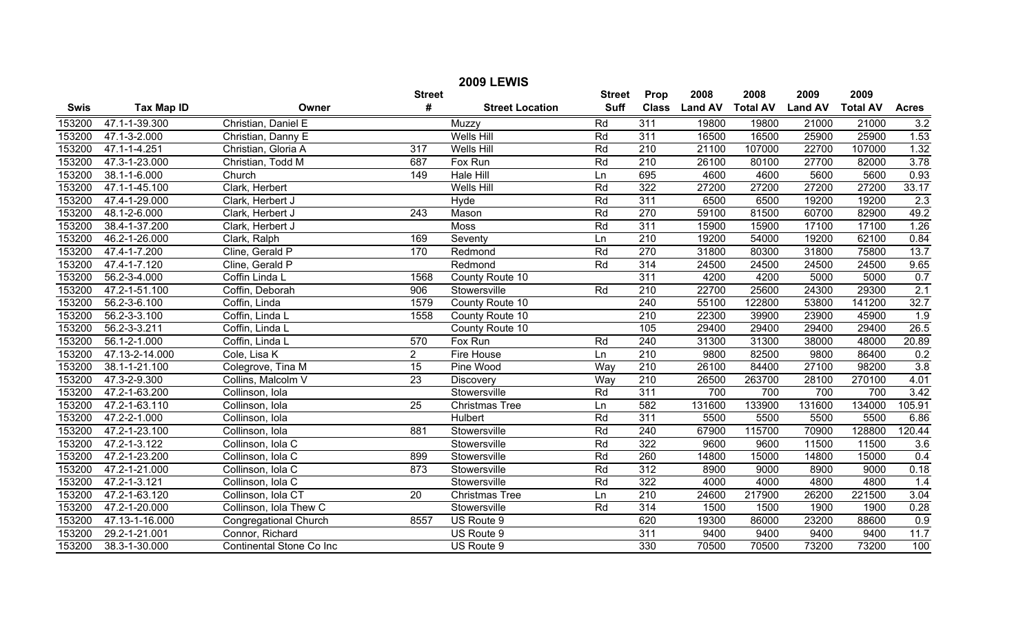| <b>2009 LEWIS</b> |                     |                              |                 |                        |               |                  |                |                 |                |                 |              |
|-------------------|---------------------|------------------------------|-----------------|------------------------|---------------|------------------|----------------|-----------------|----------------|-----------------|--------------|
|                   |                     |                              | <b>Street</b>   |                        | <b>Street</b> | Prop             | 2008           | 2008            | 2009           | 2009            |              |
| <b>Swis</b>       | <b>Tax Map ID</b>   | Owner                        | #               | <b>Street Location</b> | Suff          | <b>Class</b>     | <b>Land AV</b> | <b>Total AV</b> | <b>Land AV</b> | <b>Total AV</b> | <b>Acres</b> |
| 153200            | 47.1-1-39.300       | Christian, Daniel E          |                 | Muzzy                  | Rd            | 311              | 19800          | 19800           | 21000          | 21000           | 3.2          |
| 153200            | 47.1-3-2.000        | Christian, Danny E           |                 | Wells Hill             | Rd            | 311              | 16500          | 16500           | 25900          | 25900           | 1.53         |
| 153200            | 47.1-1-4.251        | Christian, Gloria A          | 317             | <b>Wells Hill</b>      | Rd            | 210              | 21100          | 107000          | 22700          | 107000          | 1.32         |
| 153200            | 47.3-1-23.000       | Christian, Todd M            | 687             | Fox Run                | Rd            | 210              | 26100          | 80100           | 27700          | 82000           | 3.78         |
| 153200            | 38.1-1-6.000        | Church                       | 149             | <b>Hale Hill</b>       | Ln            | 695              | 4600           | 4600            | 5600           | 5600            | 0.93         |
| 153200            | 47.1-1-45.100       | Clark, Herbert               |                 | <b>Wells Hill</b>      | Rd            | 322              | 27200          | 27200           | 27200          | 27200           | 33.17        |
| 153200            | 47.4-1-29.000       | Clark, Herbert J             |                 | Hyde                   | Rd            | 311              | 6500           | 6500            | 19200          | 19200           | 2.3          |
| 153200            | 48.1-2-6.000        | Clark, Herbert J             | 243             | Mason                  | Rd            | 270              | 59100          | 81500           | 60700          | 82900           | 49.2         |
| 153200            | 38.4-1-37.200       | Clark, Herbert J             |                 | <b>Moss</b>            | Rd            | 311              | 15900          | 15900           | 17100          | 17100           | 1.26         |
| 153200            | 46.2-1-26.000       | Clark, Ralph                 | 169             | Seventy                | Ln            | 210              | 19200          | 54000           | 19200          | 62100           | 0.84         |
| 153200            | 47.4-1-7.200        | Cline, Gerald P              | 170             | Redmond                | Rd            | 270              | 31800          | 80300           | 31800          | 75800           | 13.7         |
| 153200            | 47.4-1-7.120        | Cline, Gerald P              |                 | Redmond                | Rd            | 314              | 24500          | 24500           | 24500          | 24500           | 9.65         |
| 153200            | 56.2-3-4.000        | Coffin Linda L               | 1568            | County Route 10        |               | 311              | 4200           | 4200            | 5000           | 5000            | 0.7          |
| 153200            | 47.2-1-51.100       | Coffin, Deborah              | 906             | Stowersville           | Rd            | 210              | 22700          | 25600           | 24300          | 29300           | 2.1          |
| 153200            | 56.2-3-6.100        | Coffin, Linda                | 1579            | County Route 10        |               | 240              | 55100          | 122800          | 53800          | 141200          | 32.7         |
| 153200            | 56.2-3-3.100        | Coffin, Linda L              | 1558            | County Route 10        |               | 210              | 22300          | 39900           | 23900          | 45900           | 1.9          |
| 153200            | 56.2-3-3.211        | Coffin, Linda L              |                 | County Route 10        |               | 105              | 29400          | 29400           | 29400          | 29400           | 26.5         |
| 153200            | 56.1-2-1.000        | Coffin, Linda L              | 570             | Fox Run                | Rd            | 240              | 31300          | 31300           | 38000          | 48000           | 20.89        |
| 153200            | 47.13-2-14.000      | Cole, Lisa K                 | $\overline{2}$  | Fire House             | Ln            | 210              | 9800           | 82500           | 9800           | 86400           | 0.2          |
| 153200            | 38.1-1-21.100       | Colegrove, Tina M            | $\overline{15}$ | Pine Wood              | Way           | 210              | 26100          | 84400           | 27100          | 98200           | 3.8          |
| 153200            | 47.3-2-9.300        | Collins, Malcolm V           | 23              | Discovery              | Way           | 210              | 26500          | 263700          | 28100          | 270100          | 4.01         |
| 153200            | 47.2-1-63.200       | Collinson, Iola              |                 | Stowersville           | Rd            | 311              | 700            | 700             | 700            | 700             | 3.42         |
| 153200            | 47.2-1-63.110       | Collinson, Iola              | 25              | <b>Christmas Tree</b>  | Ln            | 582              | 131600         | 133900          | 131600         | 134000          | 105.91       |
| 153200            | 47.2-2-1.000        | Collinson, Iola              |                 | Hulbert                | Rd            | 311              | 5500           | 5500            | 5500           | 5500            | 6.86         |
| 153200            | 47.2-1-23.100       | Collinson, Iola              | 881             | Stowersville           | Rd            | 240              | 67900          | 115700          | 70900          | 128800          | 120.44       |
| 153200            | 47.2-1-3.122        | Collinson, Iola C            |                 | Stowersville           | Rd            | 322              | 9600           | 9600            | 11500          | 11500           | 3.6          |
| 153200            | 47.2-1-23.200       | Collinson, Iola C            | 899             | Stowersville           | Rd            | 260              | 14800          | 15000           | 14800          | 15000           | 0.4          |
| 153200            | 47.2-1-21.000       | Collinson, Iola C            | 873             | Stowersville           | Rd            | $\overline{312}$ | 8900           | 9000            | 8900           | 9000            | 0.18         |
| 153200            | 47.2-1-3.121        | Collinson, Iola C            |                 | Stowersville           | Rd            | 322              | 4000           | 4000            | 4800           | 4800            | 1.4          |
| 153200            | 47.2-1-63.120       | Collinson, Iola CT           | $\overline{20}$ | <b>Christmas Tree</b>  | Ln            | $\overline{210}$ | 24600          | 217900          | 26200          | 221500          | 3.04         |
| 153200            | 47.2-1-20.000       | Collinson, Iola Thew C       |                 | Stowersville           | Rd            | 314              | 1500           | 1500            | 1900           | 1900            | 0.28         |
| 153200            | 47.13-1-16.000      | <b>Congregational Church</b> | 8557            | US Route 9             |               | 620              | 19300          | 86000           | 23200          | 88600           | 0.9          |
| 153200            | 29.2-1-21.001       | Connor, Richard              |                 | US Route 9             |               | 311              | 9400           | 9400            | 9400           | 9400            | 11.7         |
| 153200            | $38.3 - 1 - 30.000$ | Continental Stone Co Inc     |                 | US Route 9             |               | 330              | 70500          | 70500           | 73200          | 73200           | 100          |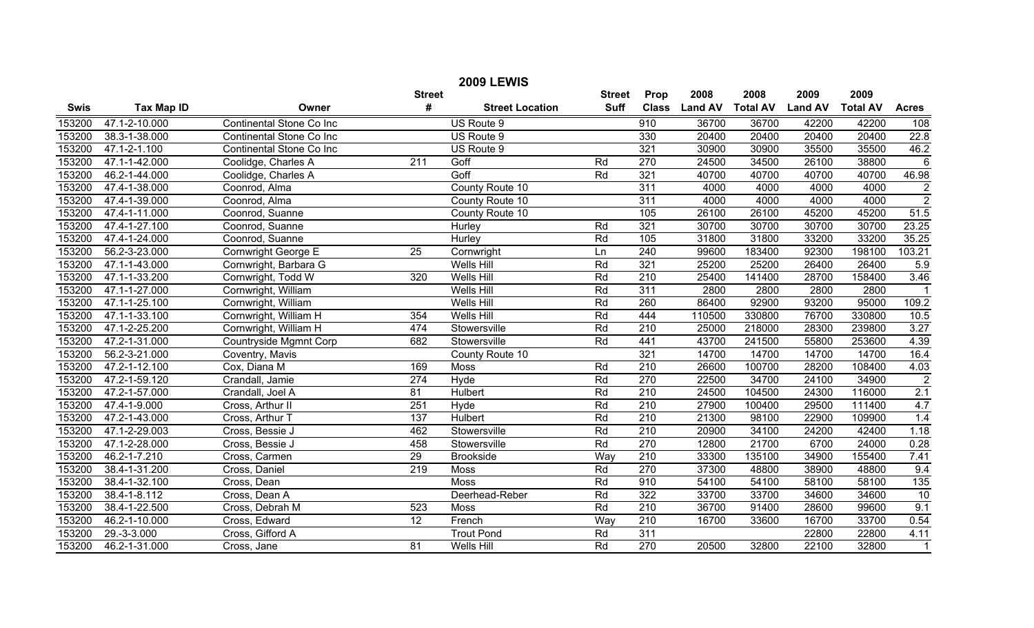| <b>2009 LEWIS</b> |                                |                          |                 |                        |               |                  |                |                 |                |                 |                |
|-------------------|--------------------------------|--------------------------|-----------------|------------------------|---------------|------------------|----------------|-----------------|----------------|-----------------|----------------|
|                   |                                |                          | <b>Street</b>   |                        | <b>Street</b> | Prop             | 2008           | 2008            | 2009           | 2009            |                |
| <b>Swis</b>       | <b>Tax Map ID</b>              | Owner                    | #               | <b>Street Location</b> | <b>Suff</b>   | <b>Class</b>     | <b>Land AV</b> | <b>Total AV</b> | <b>Land AV</b> | <b>Total AV</b> | <b>Acres</b>   |
| 153200            | 47.1-2-10.000                  | Continental Stone Co Inc |                 | US Route 9             |               | 910              | 36700          | 36700           | 42200          | 42200           | 108            |
| 153200            | 38.3-1-38.000                  | Continental Stone Co Inc |                 | US Route 9             |               | 330              | 20400          | 20400           | 20400          | 20400           | 22.8           |
| 153200            | 47.1-2-1.100                   | Continental Stone Co Inc |                 | US Route 9             |               | 321              | 30900          | 30900           | 35500          | 35500           | 46.2           |
| 153200            | 47.1-1-42.000                  | Coolidge, Charles A      | 211             | Goff                   | Rd            | 270              | 24500          | 34500           | 26100          | 38800           | $\,6$          |
| 153200            | 46.2-1-44.000                  | Coolidge, Charles A      |                 | Goff                   | Rd            | 321              | 40700          | 40700           | 40700          | 40700           | 46.98          |
| 153200            | 47.4-1-38.000                  | Coonrod, Alma            |                 | County Route 10        |               | 311              | 4000           | 4000            | 4000           | 4000            | $\frac{2}{2}$  |
| 153200            | 47.4-1-39.000                  | Coonrod, Alma            |                 | County Route 10        |               | 311              | 4000           | 4000            | 4000           | 4000            |                |
| 153200            | 47.4-1-11.000                  | Coonrod, Suanne          |                 | County Route 10        |               | 105              | 26100          | 26100           | 45200          | 45200           | 51.5           |
| 153200            | 47.4-1-27.100                  | Coonrod, Suanne          |                 | Hurley                 | Rd            | 321              | 30700          | 30700           | 30700          | 30700           | 23.25          |
| 153200            | 47.4-1-24.000                  | Coonrod, Suanne          |                 | Hurley                 | Rd            | 105              | 31800          | 31800           | 33200          | 33200           | 35.25          |
| 153200            | 56.2-3-23.000                  | Cornwright George E      | $\overline{25}$ | Cornwright             | Ln            | 240              | 99600          | 183400          | 92300          | 198100          | 103.21         |
| 153200            | 47.1-1-43.000                  | Cornwright, Barbara G    |                 | <b>Wells Hill</b>      | Rd            | 321              | 25200          | 25200           | 26400          | 26400           | 5.9            |
| 153200            | 47.1-1-33.200                  | Cornwright, Todd W       | 320             | <b>Wells Hill</b>      | Rd            | $\overline{210}$ | 25400          | 141400          | 28700          | 158400          | 3.46           |
| 153200            | 47.1-1-27.000                  | Cornwright, William      |                 | <b>Wells Hill</b>      | Rd            | 311              | 2800           | 2800            | 2800           | 2800            | $\overline{1}$ |
| 153200            | 47.1-1-25.100                  | Cornwright, William      |                 | <b>Wells Hill</b>      | Rd            | 260              | 86400          | 92900           | 93200          | 95000           | 109.2          |
| 153200            | 47.1-1-33.100                  | Cornwright, William H    | 354             | <b>Wells Hill</b>      | Rd            | 444              | 110500         | 330800          | 76700          | 330800          | 10.5           |
| 153200            | 47.1-2-25.200                  | Cornwright, William H    | 474             | Stowersville           | Rd            | 210              | 25000          | 218000          | 28300          | 239800          | 3.27           |
| 153200            | 47.2-1-31.000                  | Countryside Mgmnt Corp   | 682             | Stowersville           | Rd            | 441              | 43700          | 241500          | 55800          | 253600          | 4.39           |
| 153200            | 56.2-3-21.000                  | Coventry, Mavis          |                 | County Route 10        |               | 321              | 14700          | 14700           | 14700          | 14700           | 16.4           |
| 153200            | 47.2-1-12.100                  | Cox, Diana M             | 169             | Moss                   | Rd            | $\overline{210}$ | 26600          | 100700          | 28200          | 108400          | 4.03           |
| 153200            | 47.2-1-59.120                  | Crandall, Jamie          | 274             | Hyde                   | Rd            | 270              | 22500          | 34700           | 24100          | 34900           | $\overline{2}$ |
| 153200            | 47.2-1-57.000                  | Crandall, Joel A         | $\overline{81}$ | <b>Hulbert</b>         | Rd            | $\overline{210}$ | 24500          | 104500          | 24300          | 116000          | 2.1            |
| 153200            | 47.4-1-9.000                   | Cross, Arthur II         | 251             | Hyde                   | Rd            | $\overline{210}$ | 27900          | 100400          | 29500          | 111400          | 4.7            |
| 153200            | 47.2-1-43.000                  | Cross, Arthur T          | 137             | Hulbert                | Rd            | 210              | 21300          | 98100           | 22900          | 109900          | 1.4            |
| 153200            | 47.1-2-29.003                  | Cross, Bessie J          | 462             | Stowersville           | Rd            | $\overline{210}$ | 20900          | 34100           | 24200          | 42400           | 1.18           |
| 153200            | 47.1-2-28.000                  | Cross, Bessie J          | 458             | Stowersville           | Rd            | 270              | 12800          | 21700           | 6700           | 24000           | 0.28           |
| 153200            | 46.2-1-7.210                   | Cross, Carmen            | 29              | <b>Brookside</b>       | Way           | 210              | 33300          | 135100          | 34900          | 155400          | 7.41           |
| 153200            | 38.4-1-31.200                  | Cross, Daniel            | 219             | Moss                   | Rd            | 270              | 37300          | 48800           | 38900          | 48800           | 9.4            |
| 153200            | 38.4-1-32.100                  | Cross, Dean              |                 | <b>Moss</b>            | Rd            | 910              | 54100          | 54100           | 58100          | 58100           | 135            |
| 153200            | 38.4-1-8.112                   | Cross, Dean A            |                 | Deerhead-Reber         | Rd            | 322              | 33700          | 33700           | 34600          | 34600           | 10             |
| 153200            | 38.4-1-22.500                  | Cross, Debrah M          | 523             | <b>Moss</b>            | Rd            | 210              | 36700          | 91400           | 28600          | 99600           | 9.1            |
| 153200            | 46.2-1-10.000                  | Cross, Edward            | $\overline{12}$ | French                 | Way           | 210              | 16700          | 33600           | 16700          | 33700           | 0.54           |
| 153200            | 29.-3-3.000                    | Cross, Gifford A         |                 | <b>Trout Pond</b>      | Rd            | 311              |                |                 | 22800          | 22800           | 4.11           |
| 153200            | $\overline{46.2 - 1} - 31.000$ | Cross, Jane              | $\overline{81}$ | Wells Hill             | Rd            | 270              | 20500          | 32800           | 22100          | 32800           | $\mathbf{1}$   |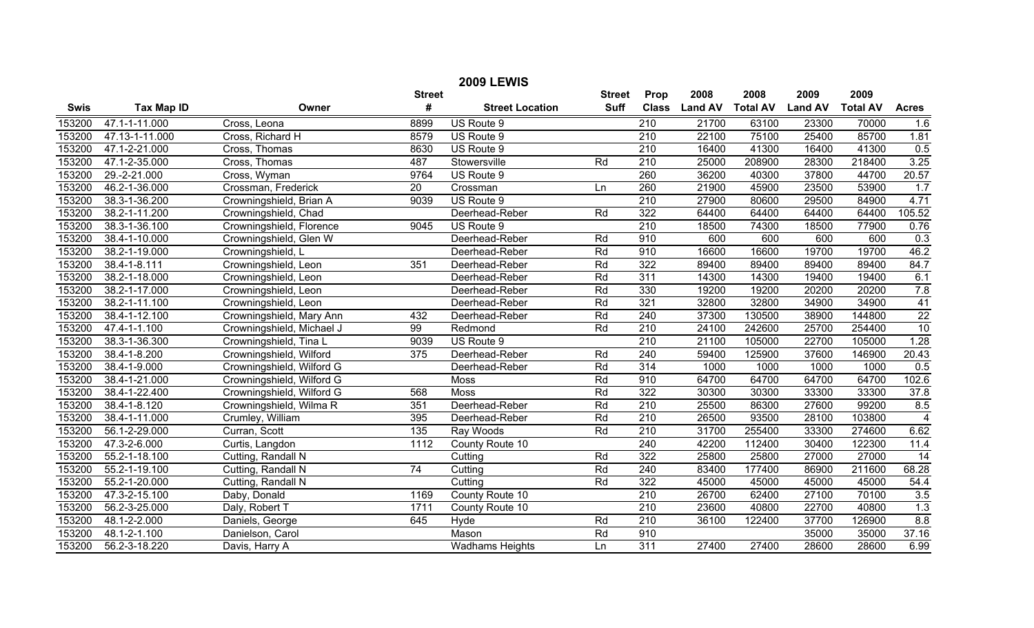|             |                   |                           |                  | <b>2009 LEWIS</b>      |               |                  |                |                 |                |                 |                  |
|-------------|-------------------|---------------------------|------------------|------------------------|---------------|------------------|----------------|-----------------|----------------|-----------------|------------------|
|             |                   |                           | <b>Street</b>    |                        | <b>Street</b> | Prop             | 2008           | 2008            | 2009           | 2009            |                  |
| <b>Swis</b> | <b>Tax Map ID</b> | Owner                     | #                | <b>Street Location</b> | <b>Suff</b>   | <b>Class</b>     | <b>Land AV</b> | <b>Total AV</b> | <b>Land AV</b> | <b>Total AV</b> | <b>Acres</b>     |
| 153200      | 47.1-1-11.000     | Cross, Leona              | 8899             | US Route 9             |               | 210              | 21700          | 63100           | 23300          | 70000           | 1.6              |
| 153200      | 47.13-1-11.000    | Cross, Richard H          | 8579             | US Route 9             |               | 210              | 22100          | 75100           | 25400          | 85700           | 1.81             |
| 153200      | 47.1-2-21.000     | Cross, Thomas             | 8630             | US Route 9             |               | $\overline{210}$ | 16400          | 41300           | 16400          | 41300           | 0.5              |
| 153200      | 47.1-2-35.000     | Cross, Thomas             | 487              | Stowersville           | Rd            | $\overline{210}$ | 25000          | 208900          | 28300          | 218400          | 3.25             |
| 153200      | 29.-2-21.000      | Cross, Wyman              | 9764             | US Route 9             |               | 260              | 36200          | 40300           | 37800          | 44700           | 20.57            |
| 153200      | 46.2-1-36.000     | Crossman, Frederick       | 20               | Crossman               | Ln            | 260              | 21900          | 45900           | 23500          | 53900           | 1.7              |
| 153200      | 38.3-1-36.200     | Crowningshield, Brian A   | 9039             | US Route 9             |               | $\overline{210}$ | 27900          | 80600           | 29500          | 84900           | 4.71             |
| 153200      | 38.2-1-11.200     | Crowningshield, Chad      |                  | Deerhead-Reber         | Rd            | 322              | 64400          | 64400           | 64400          | 64400           | 105.52           |
| 153200      | 38.3-1-36.100     | Crowningshield, Florence  | 9045             | US Route 9             |               | 210              | 18500          | 74300           | 18500          | 77900           | 0.76             |
| 153200      | 38.4-1-10.000     | Crowningshield, Glen W    |                  | Deerhead-Reber         | Rd            | 910              | 600            | 600             | 600            | 600             | 0.3              |
| 153200      | 38.2-1-19.000     | Crowningshield, L         |                  | Deerhead-Reber         | Rd            | 910              | 16600          | 16600           | 19700          | 19700           | 46.2             |
| 153200      | 38.4-1-8.111      | Crowningshield, Leon      | 351              | Deerhead-Reber         | Rd            | 322              | 89400          | 89400           | 89400          | 89400           | 84.7             |
| 153200      | 38.2-1-18.000     | Crowningshield, Leon      |                  | Deerhead-Reber         | Rd            | $\overline{311}$ | 14300          | 14300           | 19400          | 19400           | 6.1              |
| 153200      | 38.2-1-17.000     | Crowningshield, Leon      |                  | Deerhead-Reber         | Rd            | 330              | 19200          | 19200           | 20200          | 20200           | 7.8              |
| 153200      | 38.2-1-11.100     | Crowningshield, Leon      |                  | Deerhead-Reber         | Rd            | 321              | 32800          | 32800           | 34900          | 34900           | 41               |
| 153200      | 38.4-1-12.100     | Crowningshield, Mary Ann  | 432              | Deerhead-Reber         | Rd            | 240              | 37300          | 130500          | 38900          | 144800          | 22               |
| 153200      | 47.4-1-1.100      | Crowningshield, Michael J | 99               | Redmond                | Rd            | 210              | 24100          | 242600          | 25700          | 254400          | 10               |
| 153200      | 38.3-1-36.300     | Crowningshield, Tina L    | 9039             | US Route 9             |               | 210              | 21100          | 105000          | 22700          | 105000          | 1.28             |
| 153200      | 38.4-1-8.200      | Crowningshield, Wilford   | 375              | Deerhead-Reber         | Rd            | 240              | 59400          | 125900          | 37600          | 146900          | 20.43            |
| 153200      | 38.4-1-9.000      | Crowningshield, Wilford G |                  | Deerhead-Reber         | Rd            | $\overline{314}$ | 1000           | 1000            | 1000           | 1000            | 0.5              |
| 153200      | 38.4-1-21.000     | Crowningshield, Wilford G |                  | Moss                   | Rd            | 910              | 64700          | 64700           | 64700          | 64700           | 102.6            |
| 153200      | 38.4-1-22.400     | Crowningshield, Wilford G | 568              | <b>Moss</b>            | Rd            | 322              | 30300          | 30300           | 33300          | 33300           | 37.8             |
| 153200      | 38.4-1-8.120      | Crowningshield, Wilma R   | 351              | Deerhead-Reber         | Rd            | 210              | 25500          | 86300           | 27600          | 99200           | 8.5              |
| 153200      | 38.4-1-11.000     | Crumley, William          | 395              | Deerhead-Reber         | Rd            | $\overline{210}$ | 26500          | 93500           | 28100          | 103800          | $\overline{4}$   |
| 153200      | 56.1-2-29.000     | Curran, Scott             | $\overline{135}$ | Ray Woods              | Rd            | $\overline{210}$ | 31700          | 255400          | 33300          | 274600          | 6.62             |
| 153200      | 47.3-2-6.000      | Curtis, Langdon           | 1112             | County Route 10        |               | 240              | 42200          | 112400          | 30400          | 122300          | 11.4             |
| 153200      | 55.2-1-18.100     | Cutting, Randall N        |                  | Cutting                | Rd            | 322              | 25800          | 25800           | 27000          | 27000           | 14               |
| 153200      | 55.2-1-19.100     | Cutting, Randall N        | 74               | Cutting                | Rd            | 240              | 83400          | 177400          | 86900          | 211600          | 68.28            |
| 153200      | 55.2-1-20.000     | Cutting, Randall N        |                  | Cutting                | Rd            | 322              | 45000          | 45000           | 45000          | 45000           | 54.4             |
| 153200      | 47.3-2-15.100     | Daby, Donald              | 1169             | County Route 10        |               | 210              | 26700          | 62400           | 27100          | 70100           | 3.5              |
| 153200      | 56.2-3-25.000     | Daly, Robert T            | 1711             | County Route 10        |               | 210              | 23600          | 40800           | 22700          | 40800           | $\overline{1.3}$ |
| 153200      | 48.1-2-2.000      | Daniels, George           | 645              | Hyde                   | Rd            | 210              | 36100          | 122400          | 37700          | 126900          | 8.8              |
| 153200      | 48.1-2-1.100      | Danielson, Carol          |                  | Mason                  | Rd            | 910              |                |                 | 35000          | 35000           | 37.16            |
| 153200      | 56.2-3-18.220     | Davis, Harry A            |                  | <b>Wadhams Heights</b> | Ln            | 311              | 27400          | 27400           | 28600          | 28600           | 6.99             |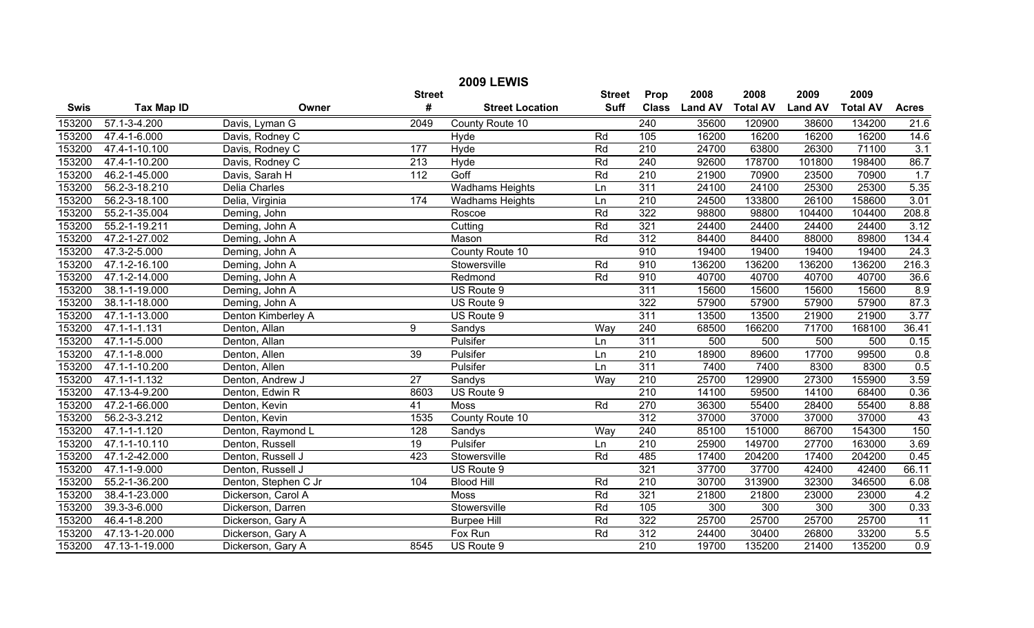| <b>2009 LEWIS</b> |                   |                      |                  |                        |                  |                  |                |                 |                |                 |                  |
|-------------------|-------------------|----------------------|------------------|------------------------|------------------|------------------|----------------|-----------------|----------------|-----------------|------------------|
|                   |                   |                      | <b>Street</b>    |                        | <b>Street</b>    | Prop             | 2008           | 2008            | 2009           | 2009            |                  |
| <b>Swis</b>       | <b>Tax Map ID</b> | Owner                | #                | <b>Street Location</b> | <b>Suff</b>      | <b>Class</b>     | <b>Land AV</b> | <b>Total AV</b> | <b>Land AV</b> | <b>Total AV</b> | <b>Acres</b>     |
| 153200            | 57.1-3-4.200      | Davis, Lyman G       | 2049             | County Route 10        |                  | 240              | 35600          | 120900          | 38600          | 134200          | 21.6             |
| 153200            | 47.4-1-6.000      | Davis, Rodney C      |                  | Hyde                   | Rd               | 105              | 16200          | 16200           | 16200          | 16200           | 14.6             |
| 153200            | 47.4-1-10.100     | Davis, Rodney C      | 177              | Hyde                   | Rd               | $\overline{210}$ | 24700          | 63800           | 26300          | 71100           | $\overline{3.1}$ |
| 153200            | 47.4-1-10.200     | Davis, Rodney C      | $\overline{213}$ | Hyde                   | Rd               | 240              | 92600          | 178700          | 101800         | 198400          | 86.7             |
| 153200            | 46.2-1-45.000     | Davis, Sarah H       | 112              | Goff                   | Rd               | 210              | 21900          | 70900           | 23500          | 70900           | 1.7              |
| 153200            | 56.2-3-18.210     | Delia Charles        |                  | <b>Wadhams Heights</b> | Ln               | 311              | 24100          | 24100           | 25300          | 25300           | 5.35             |
| 153200            | 56.2-3-18.100     | Delia, Virginia      | 174              | <b>Wadhams Heights</b> | $\overline{\ln}$ | 210              | 24500          | 133800          | 26100          | 158600          | 3.01             |
| 153200            | 55.2-1-35.004     | Deming, John         |                  | Roscoe                 | Rd               | 322              | 98800          | 98800           | 104400         | 104400          | 208.8            |
| 153200            | 55.2-1-19.211     | Deming, John A       |                  | Cutting                | Rd               | 321              | 24400          | 24400           | 24400          | 24400           | 3.12             |
| 153200            | 47.2-1-27.002     | Deming, John A       |                  | Mason                  | Rd               | 312              | 84400          | 84400           | 88000          | 89800           | 134.4            |
| 153200            | 47.3-2-5.000      | Deming, John A       |                  | County Route 10        |                  | 910              | 19400          | 19400           | 19400          | 19400           | 24.3             |
| 153200            | 47.1-2-16.100     | Deming, John A       |                  | Stowersville           | Rd               | 910              | 136200         | 136200          | 136200         | 136200          | 216.3            |
| 153200            | 47.1-2-14.000     | Deming, John A       |                  | Redmond                | Rd               | 910              | 40700          | 40700           | 40700          | 40700           | 36.6             |
| 153200            | 38.1-1-19.000     | Deming, John A       |                  | US Route 9             |                  | 311              | 15600          | 15600           | 15600          | 15600           | 8.9              |
| 153200            | 38.1-1-18.000     | Deming, John A       |                  | US Route 9             |                  | 322              | 57900          | 57900           | 57900          | 57900           | 87.3             |
| 153200            | 47.1-1-13.000     | Denton Kimberley A   |                  | US Route 9             |                  | 311              | 13500          | 13500           | 21900          | 21900           | 3.77             |
| 153200            | 47.1-1-1.131      | Denton, Allan        | 9                | Sandys                 | Way              | 240              | 68500          | 166200          | 71700          | 168100          | 36.41            |
| 153200            | 47.1-1-5.000      | Denton, Allan        |                  | Pulsifer               | Ln               | 311              | 500            | 500             | 500            | 500             | 0.15             |
| 153200            | 47.1-1-8.000      | Denton, Allen        | $\overline{39}$  | Pulsifer               | Ln               | $\overline{210}$ | 18900          | 89600           | 17700          | 99500           | 0.8              |
| 153200            | 47.1-1-10.200     | Denton, Allen        |                  | Pulsifer               | Ln               | 311              | 7400           | 7400            | 8300           | 8300            | 0.5              |
| 153200            | 47.1-1-1.132      | Denton, Andrew J     | $\overline{27}$  | Sandys                 | Way              | 210              | 25700          | 129900          | 27300          | 155900          | 3.59             |
| 153200            | 47.13-4-9.200     | Denton, Edwin R      | 8603             | US Route 9             |                  | 210              | 14100          | 59500           | 14100          | 68400           | 0.36             |
| 153200            | 47.2-1-66.000     | Denton, Kevin        | 41               | Moss                   | Rd               | 270              | 36300          | 55400           | 28400          | 55400           | 8.88             |
| 153200            | 56.2-3-3.212      | Denton, Kevin        | 1535             | County Route 10        |                  | $\overline{312}$ | 37000          | 37000           | 37000          | 37000           | 43               |
| 153200            | 47.1-1-1.120      | Denton, Raymond L    | $\overline{128}$ | Sandys                 | Way              | 240              | 85100          | 151000          | 86700          | 154300          | 150              |
| 153200            | 47.1-1-10.110     | Denton, Russell      | 19               | Pulsifer               | Ln               | 210              | 25900          | 149700          | 27700          | 163000          | 3.69             |
| 153200            | 47.1-2-42.000     | Denton, Russell J    | 423              | Stowersville           | Rd               | 485              | 17400          | 204200          | 17400          | 204200          | 0.45             |
| 153200            | 47.1-1-9.000      | Denton, Russell J    |                  | US Route 9             |                  | 321              | 37700          | 37700           | 42400          | 42400           | 66.11            |
| 153200            | 55.2-1-36.200     | Denton, Stephen C Jr | 104              | <b>Blood Hill</b>      | Rd               | 210              | 30700          | 313900          | 32300          | 346500          | 6.08             |
| 153200            | 38.4-1-23.000     | Dickerson, Carol A   |                  | Moss                   | Rd               | 321              | 21800          | 21800           | 23000          | 23000           | 4.2              |
| 153200            | 39.3-3-6.000      | Dickerson, Darren    |                  | Stowersville           | Rd               | 105              | 300            | 300             | 300            | 300             | 0.33             |
| 153200            | 46.4-1-8.200      | Dickerson, Gary A    |                  | <b>Burpee Hill</b>     | Rd               | 322              | 25700          | 25700           | 25700          | 25700           | 11               |
| 153200            | 47.13-1-20.000    | Dickerson, Gary A    |                  | Fox Run                | Rd               | $\overline{312}$ | 24400          | 30400           | 26800          | 33200           | 5.5              |
| 153200            | 47.13-1-19.000    | Dickerson, Gary A    | 8545             | US Route 9             |                  | $\overline{210}$ | 19700          | 135200          | 21400          | 135200          | 0.9              |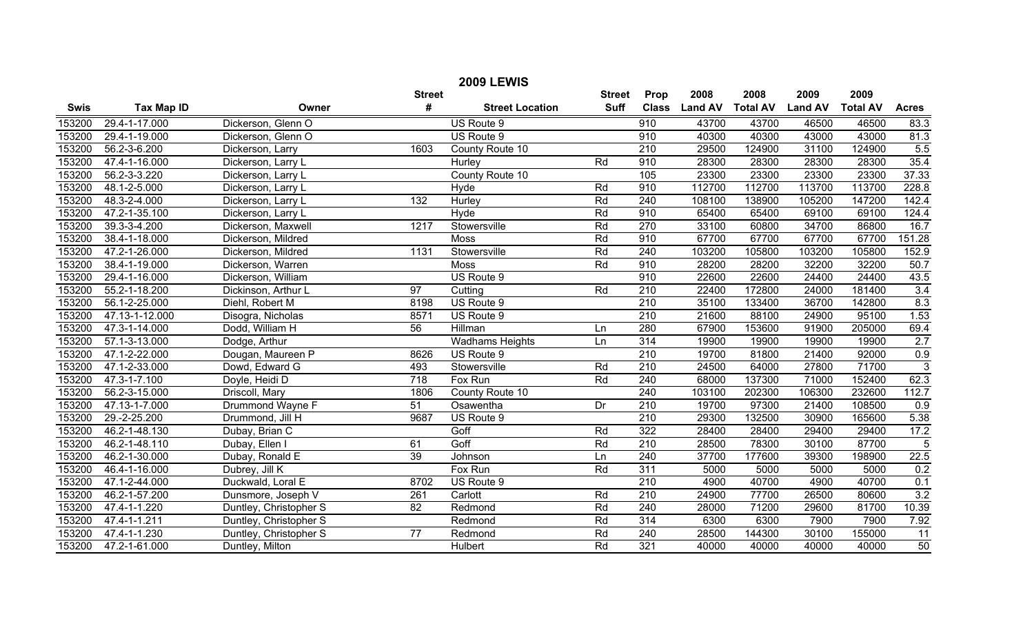|             | <b>2009 LEWIS</b>              |                        |                  |                        |               |                  |                |                 |                |                 |                |  |
|-------------|--------------------------------|------------------------|------------------|------------------------|---------------|------------------|----------------|-----------------|----------------|-----------------|----------------|--|
|             |                                |                        | <b>Street</b>    |                        | <b>Street</b> | Prop             | 2008           | 2008            | 2009           | 2009            |                |  |
| <b>Swis</b> | <b>Tax Map ID</b>              | Owner                  | #                | <b>Street Location</b> | <b>Suff</b>   | <b>Class</b>     | <b>Land AV</b> | <b>Total AV</b> | <b>Land AV</b> | <b>Total AV</b> | <b>Acres</b>   |  |
| 153200      | 29.4-1-17.000                  | Dickerson, Glenn O     |                  | US Route 9             |               | 910              | 43700          | 43700           | 46500          | 46500           | 83.3           |  |
| 153200      | 29.4-1-19.000                  | Dickerson, Glenn O     |                  | US Route 9             |               | 910              | 40300          | 40300           | 43000          | 43000           | 81.3           |  |
| 153200      | 56.2-3-6.200                   | Dickerson, Larry       | 1603             | County Route 10        |               | $\overline{210}$ | 29500          | 124900          | 31100          | 124900          | 5.5            |  |
| 153200      | 47.4-1-16.000                  | Dickerson, Larry L     |                  | Hurley                 | Rd            | 910              | 28300          | 28300           | 28300          | 28300           | 35.4           |  |
| 153200      | 56.2-3-3.220                   | Dickerson, Larry L     |                  | County Route 10        |               | 105              | 23300          | 23300           | 23300          | 23300           | 37.33          |  |
| 153200      | 48.1-2-5.000                   | Dickerson, Larry L     |                  | Hyde                   | Rd            | 910              | 112700         | 112700          | 113700         | 113700          | 228.8          |  |
| 153200      | 48.3-2-4.000                   | Dickerson, Larry L     | 132              | Hurley                 | Rd            | 240              | 108100         | 138900          | 105200         | 147200          | 142.4          |  |
| 153200      | 47.2-1-35.100                  | Dickerson, Larry L     |                  | Hyde                   | Rd            | 910              | 65400          | 65400           | 69100          | 69100           | 124.4          |  |
| 153200      | 39.3-3-4.200                   | Dickerson, Maxwell     | 1217             | Stowersville           | Rd            | 270              | 33100          | 60800           | 34700          | 86800           | 16.7           |  |
| 153200      | 38.4-1-18.000                  | Dickerson, Mildred     |                  | Moss                   | Rd            | 910              | 67700          | 67700           | 67700          | 67700           | 151.28         |  |
| 153200      | 47.2-1-26.000                  | Dickerson, Mildred     | 1131             | Stowersville           | Rd            | 240              | 103200         | 105800          | 103200         | 105800          | 152.9          |  |
| 153200      | 38.4-1-19.000                  | Dickerson, Warren      |                  | Moss                   | Rd            | 910              | 28200          | 28200           | 32200          | 32200           | 50.7           |  |
| 153200      | 29.4-1-16.000                  | Dickerson, William     |                  | US Route 9             |               | 910              | 22600          | 22600           | 24400          | 24400           | 43.5           |  |
| 153200      | 55.2-1-18.200                  | Dickinson, Arthur L    | 97               | Cutting                | Rd            | 210              | 22400          | 172800          | 24000          | 181400          | 3.4            |  |
| 153200      | 56.1-2-25.000                  | Diehl, Robert M        | 8198             | US Route 9             |               | 210              | 35100          | 133400          | 36700          | 142800          | 8.3            |  |
| 153200      | 47.13-1-12.000                 | Disogra, Nicholas      | 8571             | US Route 9             |               | $\overline{210}$ | 21600          | 88100           | 24900          | 95100           | 1.53           |  |
| 153200      | 47.3-1-14.000                  | Dodd, William H        | 56               | Hillman                | Ln            | 280              | 67900          | 153600          | 91900          | 205000          | 69.4           |  |
| 153200      | 57.1-3-13.000                  | Dodge, Arthur          |                  | <b>Wadhams Heights</b> | Ln            | 314              | 19900          | 19900           | 19900          | 19900           | 2.7            |  |
| 153200      | 47.1-2-22.000                  | Dougan, Maureen P      | 8626             | US Route 9             |               | 210              | 19700          | 81800           | 21400          | 92000           | 0.9            |  |
| 153200      | 47.1-2-33.000                  | Dowd, Edward G         | 493              | Stowersville           | Rd            | $\overline{210}$ | 24500          | 64000           | 27800          | 71700           | $\overline{3}$ |  |
| 153200      | 47.3-1-7.100                   | Doyle, Heidi D         | $\overline{718}$ | Fox Run                | Rd            | 240              | 68000          | 137300          | 71000          | 152400          | 62.3           |  |
| 153200      | 56.2-3-15.000                  | Driscoll, Mary         | 1806             | County Route 10        |               | 240              | 103100         | 202300          | 106300         | 232600          | 112.7          |  |
| 153200      | 47.13-1-7.000                  | Drummond Wayne F       | 51               | Osawentha              | Dr            | $\overline{210}$ | 19700          | 97300           | 21400          | 108500          | 0.9            |  |
| 153200      | 29.-2-25.200                   | Drummond, Jill H       | 9687             | US Route 9             |               | 210              | 29300          | 132500          | 30900          | 165600          | 5.38           |  |
| 153200      | 46.2-1-48.130                  | Dubay, Brian C         |                  | Goff                   | Rd            | 322              | 28400          | 28400           | 29400          | 29400           | 17.2           |  |
| 153200      | 46.2-1-48.110                  | Dubay, Ellen I         | 61               | Goff                   | Rd            | 210              | 28500          | 78300           | 30100          | 87700           | $\overline{5}$ |  |
| 153200      | 46.2-1-30.000                  | Dubay, Ronald E        | 39               | Johnson                | Ln            | 240              | 37700          | 177600          | 39300          | 198900          | 22.5           |  |
| 153200      | 46.4-1-16.000                  | Dubrey, Jill K         |                  | Fox Run                | Rd            | 311              | 5000           | 5000            | 5000           | 5000            | 0.2            |  |
| 153200      | 47.1-2-44.000                  | Duckwald, Loral E      | 8702             | US Route 9             |               | 210              | 4900           | 40700           | 4900           | 40700           | 0.1            |  |
| 153200      | 46.2-1-57.200                  | Dunsmore, Joseph V     | 261              | Carlott                | Rd            | $\overline{210}$ | 24900          | 77700           | 26500          | 80600           | 3.2            |  |
| 153200      | 47.4-1-1.220                   | Duntley, Christopher S | $\overline{82}$  | Redmond                | Rd            | 240              | 28000          | 71200           | 29600          | 81700           | 10.39          |  |
| 153200      | 47.4-1-1.211                   | Duntley, Christopher S |                  | Redmond                | Rd            | 314              | 6300           | 6300            | 7900           | 7900            | 7.92           |  |
| 153200      | 47.4-1-1.230                   | Duntley, Christopher S | $\overline{77}$  | Redmond                | Rd            | 240              | 28500          | 144300          | 30100          | 155000          | 11             |  |
| 153200      | $\overline{47.2 - 1} - 61.000$ | Duntley, Milton        |                  | Hulbert                | Rd            | 321              | 40000          | 40000           | 40000          | 40000           | 50             |  |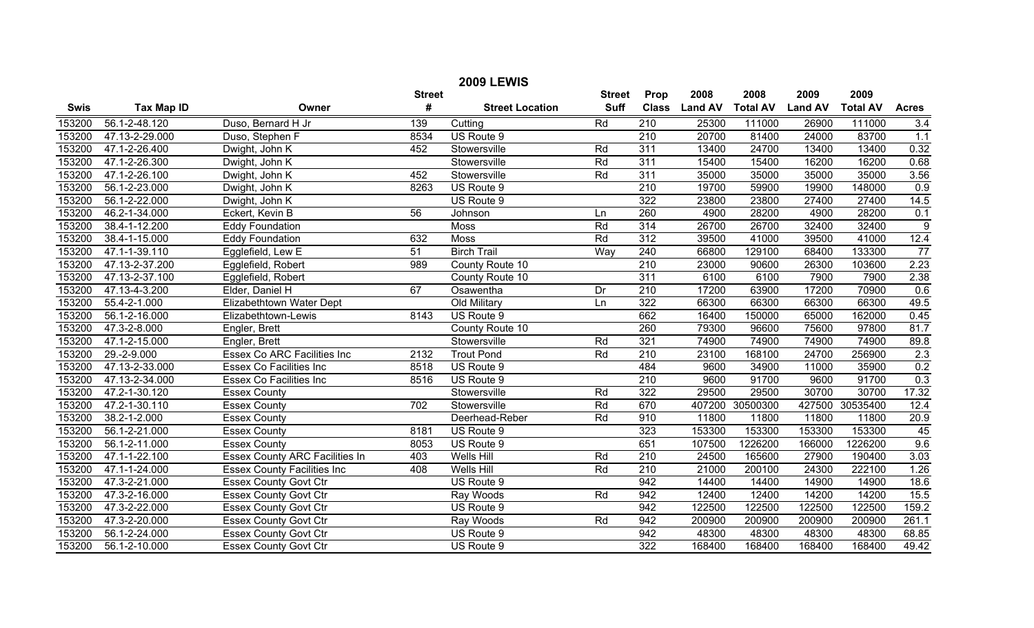| <b>2009 LEWIS</b> |                   |                                       |               |                        |               |                  |                |                 |                |                 |                  |
|-------------------|-------------------|---------------------------------------|---------------|------------------------|---------------|------------------|----------------|-----------------|----------------|-----------------|------------------|
|                   |                   |                                       | <b>Street</b> |                        | <b>Street</b> | Prop             | 2008           | 2008            | 2009           | 2009            |                  |
| <b>Swis</b>       | <b>Tax Map ID</b> | Owner                                 | #             | <b>Street Location</b> | <b>Suff</b>   | <b>Class</b>     | <b>Land AV</b> | <b>Total AV</b> | <b>Land AV</b> | <b>Total AV</b> | <b>Acres</b>     |
| 153200            | 56.1-2-48.120     | Duso, Bernard H Jr                    | 139           | Cutting                | Rd            | 210              | 25300          | 111000          | 26900          | 111000          | 3.4              |
| 153200            | 47.13-2-29.000    | Duso, Stephen F                       | 8534          | US Route 9             |               | 210              | 20700          | 81400           | 24000          | 83700           | $\overline{1.1}$ |
| 153200            | 47.1-2-26.400     | Dwight, John K                        | 452           | Stowersville           | Rd            | $\overline{311}$ | 13400          | 24700           | 13400          | 13400           | 0.32             |
| 153200            | 47.1-2-26.300     | Dwight, John K                        |               | Stowersville           | Rd            | 311              | 15400          | 15400           | 16200          | 16200           | 0.68             |
| 153200            | 47.1-2-26.100     | Dwight, John K                        | 452           | Stowersville           | Rd            | 311              | 35000          | 35000           | 35000          | 35000           | 3.56             |
| 153200            | 56.1-2-23.000     | Dwight, John K                        | 8263          | US Route 9             |               | 210              | 19700          | 59900           | 19900          | 148000          | 0.9              |
| 153200            | 56.1-2-22.000     | Dwight, John K                        |               | US Route 9             |               | 322              | 23800          | 23800           | 27400          | 27400           | 14.5             |
| 153200            | 46.2-1-34.000     | Eckert, Kevin B                       | 56            | Johnson                | Ln            | 260              | 4900           | 28200           | 4900           | 28200           | 0.1              |
| 153200            | 38.4-1-12.200     | <b>Eddy Foundation</b>                |               | Moss                   | Rd            | $\overline{314}$ | 26700          | 26700           | 32400          | 32400           | 9                |
| 153200            | 38.4-1-15.000     | <b>Eddy Foundation</b>                | 632           | Moss                   | Rd            | $\overline{312}$ | 39500          | 41000           | 39500          | 41000           | 12.4             |
| 153200            | 47.1-1-39.110     | Egglefield, Lew E                     | 51            | <b>Birch Trail</b>     | Way           | 240              | 66800          | 129100          | 68400          | 133300          | 77               |
| 153200            | 47.13-2-37.200    | Egglefield, Robert                    | 989           | County Route 10        |               | 210              | 23000          | 90600           | 26300          | 103600          | 2.23             |
| 153200            | 47.13-2-37.100    | Egglefield, Robert                    |               | County Route 10        |               | 311              | 6100           | 6100            | 7900           | 7900            | 2.38             |
| 153200            | 47.13-4-3.200     | Elder, Daniel H                       | 67            | Osawentha              | Dr            | 210              | 17200          | 63900           | 17200          | 70900           | 0.6              |
| 153200            | 55.4-2-1.000      | Elizabethtown Water Dept              |               | Old Military           | Ln            | 322              | 66300          | 66300           | 66300          | 66300           | 49.5             |
| 153200            | 56.1-2-16.000     | Elizabethtown-Lewis                   | 8143          | US Route 9             |               | 662              | 16400          | 150000          | 65000          | 162000          | 0.45             |
| 153200            | 47.3-2-8.000      | Engler, Brett                         |               | County Route 10        |               | 260              | 79300          | 96600           | 75600          | 97800           | 81.7             |
| 153200            | 47.1-2-15.000     | Engler, Brett                         |               | Stowersville           | Rd            | 321              | 74900          | 74900           | 74900          | 74900           | 89.8             |
| 153200            | 29.-2-9.000       | <b>Essex Co ARC Facilities Inc</b>    | 2132          | <b>Trout Pond</b>      | Rd            | $\overline{210}$ | 23100          | 168100          | 24700          | 256900          | 2.3              |
| 153200            | 47.13-2-33.000    | <b>Essex Co Facilities Inc</b>        | 8518          | US Route 9             |               | 484              | 9600           | 34900           | 11000          | 35900           | 0.2              |
| 153200            | 47.13-2-34.000    | <b>Essex Co Facilities Inc</b>        | 8516          | US Route 9             |               | $\overline{210}$ | 9600           | 91700           | 9600           | 91700           | 0.3              |
| 153200            | 47.2-1-30.120     | <b>Essex County</b>                   |               | Stowersville           | Rd            | 322              | 29500          | 29500           | 30700          | 30700           | 17.32            |
| 153200            | 47.2-1-30.110     | <b>Essex County</b>                   | 702           | Stowersville           | Rd            | 670              | 407200         | 30500300        | 427500         | 30535400        | 12.4             |
| 153200            | 38.2-1-2.000      | <b>Essex County</b>                   |               | Deerhead-Reber         | Rd            | 910              | 11800          | 11800           | 11800          | 11800           | 20.9             |
| 153200            | 56.1-2-21.000     | <b>Essex County</b>                   | 8181          | US Route 9             |               | 323              | 153300         | 153300          | 153300         | 153300          | 45               |
| 153200            | 56.1-2-11.000     | <b>Essex County</b>                   | 8053          | US Route 9             |               | 651              | 107500         | 1226200         | 166000         | 1226200         | 9.6              |
| 153200            | 47.1-1-22.100     | <b>Essex County ARC Facilities In</b> | 403           | Wells Hill             | Rd            | 210              | 24500          | 165600          | 27900          | 190400          | 3.03             |
| 153200            | 47.1-1-24.000     | <b>Essex County Facilities Inc</b>    | 408           | Wells Hill             | Rd            | 210              | 21000          | 200100          | 24300          | 222100          | 1.26             |
| 153200            | 47.3-2-21.000     | <b>Essex County Govt Ctr</b>          |               | US Route 9             |               | $\overline{942}$ | 14400          | 14400           | 14900          | 14900           | 18.6             |
| 153200            | 47.3-2-16.000     | <b>Essex County Govt Ctr</b>          |               | Ray Woods              | Rd            | $\overline{942}$ | 12400          | 12400           | 14200          | 14200           | 15.5             |
| 153200            | 47.3-2-22.000     | <b>Essex County Govt Ctr</b>          |               | US Route 9             |               | 942              | 122500         | 122500          | 122500         | 122500          | 159.2            |
| 153200            | 47.3-2-20.000     | <b>Essex County Govt Ctr</b>          |               | Ray Woods              | Rd            | 942              | 200900         | 200900          | 200900         | 200900          | 261.1            |
| 153200            | 56.1-2-24.000     | <b>Essex County Govt Ctr</b>          |               | US Route 9             |               | $\overline{942}$ | 48300          | 48300           | 48300          | 48300           | 68.85            |
| 153200            | 56.1-2-10.000     | <b>Essex County Govt Ctr</b>          |               | US Route 9             |               | 322              | 168400         | 168400          | 168400         | 168400          | 49.42            |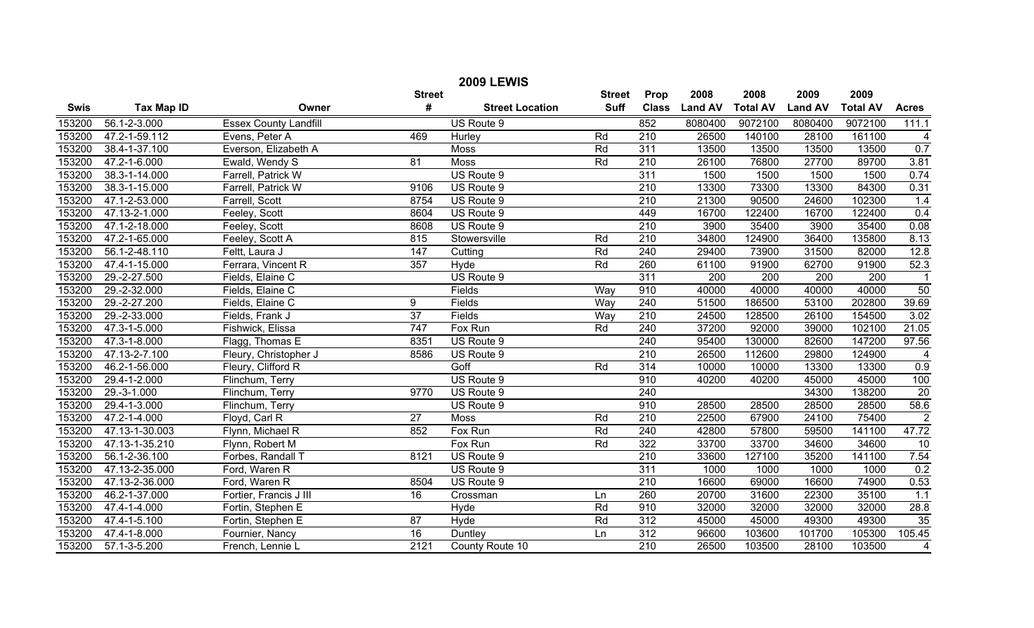|             |                   |                              |                 | <b>2009 LEWIS</b>      |               |                  |                |                 |                |                  |                |
|-------------|-------------------|------------------------------|-----------------|------------------------|---------------|------------------|----------------|-----------------|----------------|------------------|----------------|
|             |                   |                              | <b>Street</b>   |                        | <b>Street</b> | Prop             | 2008           | 2008            | 2009           | 2009             |                |
| <b>Swis</b> | <b>Tax Map ID</b> | Owner                        | #               | <b>Street Location</b> | <b>Suff</b>   | <b>Class</b>     | <b>Land AV</b> | <b>Total AV</b> | <b>Land AV</b> | <b>Total AV</b>  | <b>Acres</b>   |
| 153200      | 56.1-2-3.000      | <b>Essex County Landfill</b> |                 | US Route 9             |               | 852              | 8080400        | 9072100         | 8080400        | 9072100          | 111.1          |
| 153200      | 47.2-1-59.112     | Evens, Peter A               | 469             | Hurley                 | Rd            | 210              | 26500          | 140100          | 28100          | 161100           | 4              |
| 153200      | 38.4-1-37.100     | Everson, Elizabeth A         |                 | <b>Moss</b>            | Rd            | 311              | 13500          | 13500           | 13500          | 13500            | 0.7            |
| 153200      | 47.2-1-6.000      | Ewald, Wendy S               | 81              | <b>Moss</b>            | Rd            | 210              | 26100          | 76800           | 27700          | 89700            | 3.81           |
| 153200      | 38.3-1-14.000     | Farrell, Patrick W           |                 | US Route 9             |               | 311              | 1500           | 1500            | 1500           | 1500             | 0.74           |
| 153200      | 38.3-1-15.000     | Farrell, Patrick W           | 9106            | US Route 9             |               | $\overline{210}$ | 13300          | 73300           | 13300          | 84300            | 0.31           |
| 153200      | 47.1-2-53.000     | Farrell, Scott               | 8754            | US Route 9             |               | 210              | 21300          | 90500           | 24600          | 102300           | 1.4            |
| 153200      | 47.13-2-1.000     | Feeley, Scott                | 8604            | US Route 9             |               | 449              | 16700          | 122400          | 16700          | 122400           | 0.4            |
| 153200      | 47.1-2-18.000     | Feeley, Scott                | 8608            | US Route 9             |               | $\overline{210}$ | 3900           | 35400           | 3900           | 35400            | 0.08           |
| 153200      | 47.2-1-65.000     | Feeley, Scott A              | 815             | Stowersville           | Rd            | 210              | 34800          | 124900          | 36400          | 135800           | 8.13           |
| 153200      | 56.1-2-48.110     | Feltt, Laura J               | 147             | Cutting                | Rd            | 240              | 29400          | 73900           | 31500          | 82000            | 12.8           |
| 153200      | 47.4-1-15.000     | Ferrara, Vincent R           | 357             | Hyde                   | Rd            | 260              | 61100          | 91900           | 62700          | 91900            | 52.3           |
| 153200      | 29.-2-27.500      | Fields, Elaine C             |                 | US Route 9             |               | 311              | 200            | 200             | 200            | $\overline{200}$ | $\mathbf{1}$   |
| 153200      | 29.-2-32.000      | Fields, Elaine C             |                 | Fields                 | Way           | 910              | 40000          | 40000           | 40000          | 40000            | 50             |
| 153200      | 29.-2-27.200      | Fields, Elaine C             | $\overline{9}$  | Fields                 | Way           | 240              | 51500          | 186500          | 53100          | 202800           | 39.69          |
| 153200      | 29.-2-33.000      | Fields, Frank J              | $\overline{37}$ | Fields                 | Way           | 210              | 24500          | 128500          | 26100          | 154500           | 3.02           |
| 153200      | 47.3-1-5.000      | Fishwick, Elissa             | 747             | Fox Run                | Rd            | 240              | 37200          | 92000           | 39000          | 102100           | 21.05          |
| 153200      | 47.3-1-8.000      | Flagg, Thomas E              | 8351            | US Route 9             |               | 240              | 95400          | 130000          | 82600          | 147200           | 97.56          |
| 153200      | 47.13-2-7.100     | Fleury, Christopher J        | 8586            | US Route 9             |               | $\overline{210}$ | 26500          | 112600          | 29800          | 124900           | $\overline{4}$ |
| 153200      | 46.2-1-56.000     | Fleury, Clifford R           |                 | Goff                   | Rd            | 314              | 10000          | 10000           | 13300          | 13300            | 0.9            |
| 153200      | 29.4-1-2.000      | Flinchum, Terry              |                 | US Route 9             |               | 910              | 40200          | 40200           | 45000          | 45000            | 100            |
| 153200      | $29.-3-1.000$     | Flinchum, Terry              | 9770            | US Route 9             |               | 240              |                |                 | 34300          | 138200           | 20             |
| 153200      | 29.4-1-3.000      | Flinchum, Terry              |                 | US Route 9             |               | 910              | 28500          | 28500           | 28500          | 28500            | 58.6           |
| 153200      | 47.2-1-4.000      | Floyd, Carl R                | $\overline{27}$ | <b>Moss</b>            | Rd            | 210              | 22500          | 67900           | 24100          | 75400            | $\overline{2}$ |
| 153200      | 47.13-1-30.003    | Flynn, Michael R             | 852             | Fox Run                | Rd            | 240              | 42800          | 57800           | 59500          | 141100           | 47.72          |
| 153200      | 47.13-1-35.210    | Flynn, Robert M              |                 | Fox Run                | Rd            | 322              | 33700          | 33700           | 34600          | 34600            | 10             |
| 153200      | 56.1-2-36.100     | Forbes, Randall T            | 8121            | US Route 9             |               | $\overline{210}$ | 33600          | 127100          | 35200          | 141100           | 7.54           |
| 153200      | 47.13-2-35.000    | Ford, Waren R                |                 | US Route 9             |               | 311              | 1000           | 1000            | 1000           | 1000             | 0.2            |
| 153200      | 47.13-2-36.000    | Ford, Waren R                | 8504            | US Route 9             |               | 210              | 16600          | 69000           | 16600          | 74900            | 0.53           |
| 153200      | 46.2-1-37.000     | Fortier, Francis J III       | $\overline{16}$ | Crossman               | Ln            | 260              | 20700          | 31600           | 22300          | 35100            | 1.1            |
| 153200      | 47.4-1-4.000      | Fortin, Stephen E            |                 | Hyde                   | Rd            | 910              | 32000          | 32000           | 32000          | 32000            | 28.8           |
| 153200      | 47.4-1-5.100      | Fortin, Stephen E            | 87              | <b>Hyde</b>            | Rd            | 312              | 45000          | 45000           | 49300          | 49300            | 35             |
| 153200      | 47.4-1-8.000      | Fournier, Nancy              | 16              | Duntley                | Ln            | 312              | 96600          | 103600          | 101700         | 105300           | 105.45         |
| 153200      | 57.1-3-5.200      | French, Lennie L             | 2121            | County Route 10        |               | 210              | 26500          | 103500          | 28100          | 103500           | $\overline{4}$ |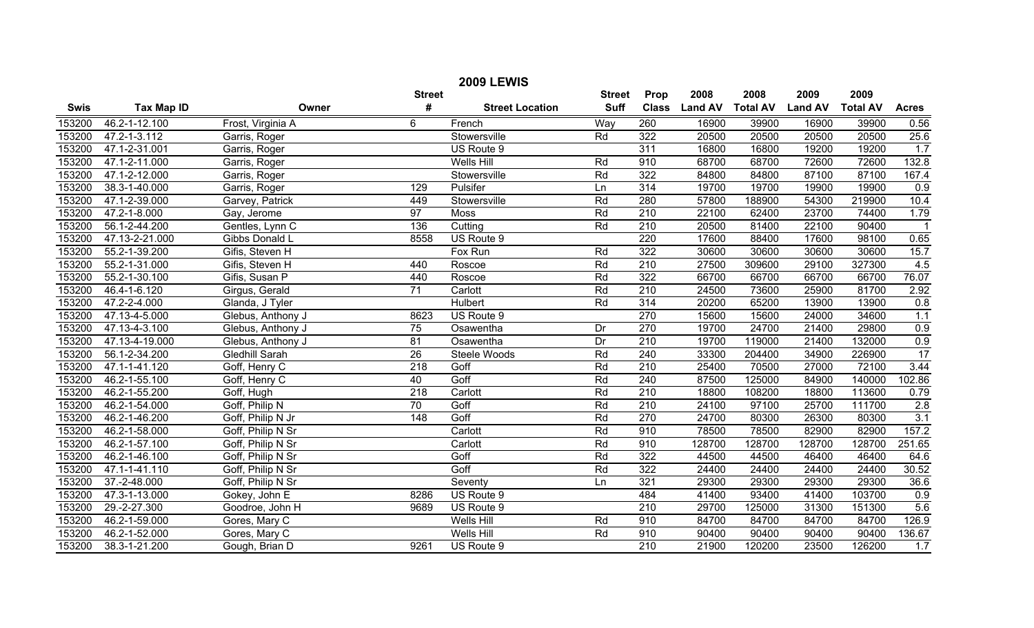| <b>2009 LEWIS</b> |                    |                       |                  |                        |                  |                  |                |                 |                |                 |                |
|-------------------|--------------------|-----------------------|------------------|------------------------|------------------|------------------|----------------|-----------------|----------------|-----------------|----------------|
|                   |                    |                       | <b>Street</b>    |                        | <b>Street</b>    | Prop             | 2008           | 2008            | 2009           | 2009            |                |
| <b>Swis</b>       | <b>Tax Map ID</b>  | Owner                 | #                | <b>Street Location</b> | <b>Suff</b>      | <b>Class</b>     | <b>Land AV</b> | <b>Total AV</b> | <b>Land AV</b> | <b>Total AV</b> | <b>Acres</b>   |
| 153200            | 46.2-1-12.100      | Frost, Virginia A     | 6                | French                 | Way              | 260              | 16900          | 39900           | 16900          | 39900           | 0.56           |
| 153200            | $47.2 - 1 - 3.112$ | Garris, Roger         |                  | Stowersville           | Rd               | 322              | 20500          | 20500           | 20500          | 20500           | 25.6           |
| 153200            | 47.1-2-31.001      | Garris, Roger         |                  | US Route 9             |                  | 311              | 16800          | 16800           | 19200          | 19200           | 1.7            |
| 153200            | 47.1-2-11.000      | Garris, Roger         |                  | <b>Wells Hill</b>      | Rd               | 910              | 68700          | 68700           | 72600          | 72600           | 132.8          |
| 153200            | 47.1-2-12.000      | Garris, Roger         |                  | Stowersville           | Rd               | 322              | 84800          | 84800           | 87100          | 87100           | 167.4          |
| 153200            | 38.3-1-40.000      | Garris, Roger         | 129              | Pulsifer               | Ln               | 314              | 19700          | 19700           | 19900          | 19900           | 0.9            |
| 153200            | 47.1-2-39.000      | Garvey, Patrick       | 449              | Stowersville           | Rd               | 280              | 57800          | 188900          | 54300          | 219900          | 10.4           |
| 153200            | 47.2-1-8.000       | Gay, Jerome           | 97               | Moss                   | Rd               | 210              | 22100          | 62400           | 23700          | 74400           | 1.79           |
| 153200            | 56.1-2-44.200      | Gentles, Lynn C       | 136              | Cutting                | Rd               | $\overline{210}$ | 20500          | 81400           | 22100          | 90400           | $\overline{1}$ |
| 153200            | 47.13-2-21.000     | Gibbs Donald L        | 8558             | US Route 9             |                  | 220              | 17600          | 88400           | 17600          | 98100           | 0.65           |
| 153200            | 55.2-1-39.200      | Gifis, Steven H       |                  | Fox Run                | Rd               | 322              | 30600          | 30600           | 30600          | 30600           | 15.7           |
| 153200            | 55.2-1-31.000      | Gifis, Steven H       | 440              | Roscoe                 | Rd               | 210              | 27500          | 309600          | 29100          | 327300          | 4.5            |
| 153200            | 55.2-1-30.100      | Gifis, Susan P        | 440              | Roscoe                 | Rd               | 322              | 66700          | 66700           | 66700          | 66700           | 76.07          |
| 153200            | 46.4-1-6.120       | Girgus, Gerald        | $\overline{71}$  | Carlott                | Rd               | $\overline{210}$ | 24500          | 73600           | 25900          | 81700           | 2.92           |
| 153200            | 47.2-2-4.000       | Glanda, J Tyler       |                  | <b>Hulbert</b>         | Rd               | 314              | 20200          | 65200           | 13900          | 13900           | 0.8            |
| 153200            | 47.13-4-5.000      | Glebus, Anthony J     | 8623             | US Route 9             |                  | 270              | 15600          | 15600           | 24000          | 34600           | 1.1            |
| 153200            | 47.13-4-3.100      | Glebus, Anthony J     | 75               | Osawentha              | Dr               | 270              | 19700          | 24700           | 21400          | 29800           | 0.9            |
| 153200            | 47.13-4-19.000     | Glebus, Anthony J     | 81               | Osawentha              | Dr               | 210              | 19700          | 119000          | 21400          | 132000          | 0.9            |
| 153200            | 56.1-2-34.200      | <b>Gledhill Sarah</b> | $\overline{26}$  | Steele Woods           | Rd               | 240              | 33300          | 204400          | 34900          | 226900          | 17             |
| 153200            | 47.1-1-41.120      | Goff, Henry C         | $\overline{218}$ | Goff                   | Rd               | 210              | 25400          | 70500           | 27000          | 72100           | 3.44           |
| 153200            | 46.2-1-55.100      | Goff, Henry C         | 40               | Goff                   | Rd               | 240              | 87500          | 125000          | 84900          | 140000          | 102.86         |
| 153200            | 46.2-1-55.200      | Goff, Hugh            | $\overline{218}$ | Carlott                | Rd               | $\overline{210}$ | 18800          | 108200          | 18800          | 113600          | 0.79           |
| 153200            | 46.2-1-54.000      | Goff, Philip N        | $\overline{70}$  | Goff                   | Rd               | $\overline{210}$ | 24100          | 97100           | 25700          | 111700          | 2.8            |
| 153200            | 46.2-1-46.200      | Goff, Philip N Jr     | $\overline{148}$ | Goff                   | Rd               | 270              | 24700          | 80300           | 26300          | 80300           | 3.1            |
| 153200            | 46.2-1-58.000      | Goff, Philip N Sr     |                  | Carlott                | Rd               | 910              | 78500          | 78500           | 82900          | 82900           | 157.2          |
| 153200            | 46.2-1-57.100      | Goff, Philip N Sr     |                  | Carlott                | Rd               | 910              | 128700         | 128700          | 128700         | 128700          | 251.65         |
| 153200            | 46.2-1-46.100      | Goff, Philip N Sr     |                  | Goff                   | Rd               | 322              | 44500          | 44500           | 46400          | 46400           | 64.6           |
| 153200            | 47.1-1-41.110      | Goff, Philip N Sr     |                  | Goff                   | Rd               | 322              | 24400          | 24400           | 24400          | 24400           | 30.52          |
| 153200            | 37.-2-48.000       | Goff, Philip N Sr     |                  | Seventy                | $\overline{\ln}$ | 321              | 29300          | 29300           | 29300          | 29300           | 36.6           |
| 153200            | 47.3-1-13.000      | Gokey, John E         | 8286             | US Route 9             |                  | 484              | 41400          | 93400           | 41400          | 103700          | 0.9            |
| 153200            | 29.-2-27.300       | Goodroe, John H       | 9689             | US Route 9             |                  | $\overline{210}$ | 29700          | 125000          | 31300          | 151300          | 5.6            |
| 153200            | 46.2-1-59.000      | Gores, Mary C         |                  | Wells Hill             | Rd               | 910              | 84700          | 84700           | 84700          | 84700           | 126.9          |
| 153200            | 46.2-1-52.000      | Gores, Mary C         |                  | <b>Wells Hill</b>      | Rd               | 910              | 90400          | 90400           | 90400          | 90400           | 136.67         |
| 153200            | 38.3-1-21.200      | Gough, Brian D        | 9261             | US Route 9             |                  | $\overline{210}$ | 21900          | 120200          | 23500          | 126200          | 1.7            |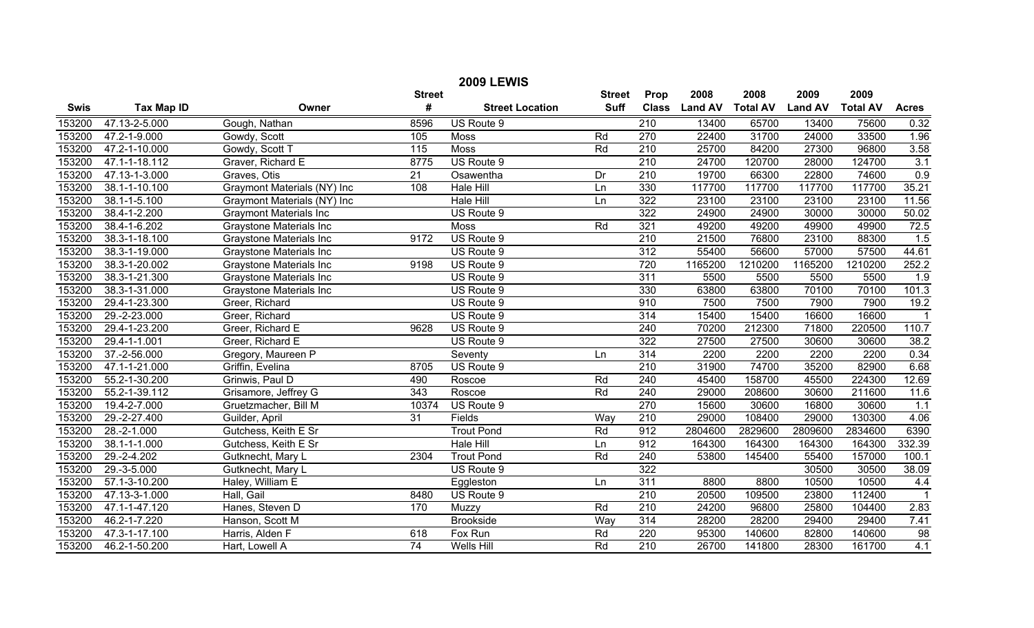| <b>2009 LEWIS</b> |                             |                                    |                 |                        |               |                  |                |                 |                |                 |                  |
|-------------------|-----------------------------|------------------------------------|-----------------|------------------------|---------------|------------------|----------------|-----------------|----------------|-----------------|------------------|
|                   |                             |                                    | <b>Street</b>   |                        | <b>Street</b> | Prop             | 2008           | 2008            | 2009           | 2009            |                  |
| <b>Swis</b>       | <b>Tax Map ID</b>           | Owner                              | #               | <b>Street Location</b> | <b>Suff</b>   | <b>Class</b>     | <b>Land AV</b> | <b>Total AV</b> | <b>Land AV</b> | <b>Total AV</b> | <b>Acres</b>     |
| 153200            | 47.13-2-5.000               | Gough, Nathan                      | 8596            | US Route 9             |               | 210              | 13400          | 65700           | 13400          | 75600           | 0.32             |
| 153200            | 47.2-1-9.000                | Gowdy, Scott                       | 105             | Moss                   | Rd            | 270              | 22400          | 31700           | 24000          | 33500           | 1.96             |
| 153200            | 47.2-1-10.000               | Gowdy, Scott T                     | 115             | <b>Moss</b>            | Rd            | $\overline{210}$ | 25700          | 84200           | 27300          | 96800           | 3.58             |
| 153200            | 47.1-1-18.112               | Graver, Richard E                  | 8775            | US Route 9             |               | $\overline{210}$ | 24700          | 120700          | 28000          | 124700          | $\overline{3.1}$ |
| 153200            | 47.13-1-3.000               | Graves, Otis                       | 21              | Osawentha              | Dr            | 210              | 19700          | 66300           | 22800          | 74600           | 0.9              |
| 153200            | 38.1-1-10.100               | <b>Graymont Materials (NY) Inc</b> | 108             | <b>Hale Hill</b>       | Ln            | 330              | 117700         | 117700          | 117700         | 117700          | 35.21            |
| 153200            | 38.1-1-5.100                | Graymont Materials (NY) Inc        |                 | <b>Hale Hill</b>       | Ln            | 322              | 23100          | 23100           | 23100          | 23100           | 11.56            |
| 153200            | 38.4-1-2.200                | <b>Graymont Materials Inc</b>      |                 | US Route 9             |               | 322              | 24900          | 24900           | 30000          | 30000           | 50.02            |
| 153200            | 38.4-1-6.202                | <b>Graystone Materials Inc</b>     |                 | Moss                   | Rd            | 321              | 49200          | 49200           | 49900          | 49900           | 72.5             |
| 153200            | 38.3-1-18.100               | <b>Graystone Materials Inc</b>     | 9172            | US Route 9             |               | 210              | 21500          | 76800           | 23100          | 88300           | 1.5              |
| 153200            | 38.3-1-19.000               | Graystone Materials Inc            |                 | US Route 9             |               | 312              | 55400          | 56600           | 57000          | 57500           | 44.61            |
| 153200            | 38.3-1-20.002               | <b>Graystone Materials Inc</b>     | 9198            | US Route 9             |               | 720              | 1165200        | 1210200         | 1165200        | 1210200         | 252.2            |
| 153200            | 38.3-1-21.300               | <b>Graystone Materials Inc</b>     |                 | US Route 9             |               | 311              | 5500           | 5500            | 5500           | 5500            | 1.9              |
| 153200            | 38.3-1-31.000               | <b>Graystone Materials Inc</b>     |                 | US Route 9             |               | 330              | 63800          | 63800           | 70100          | 70100           | 101.3            |
| 153200            | 29.4-1-23.300               | Greer, Richard                     |                 | US Route 9             |               | 910              | 7500           | 7500            | 7900           | 7900            | 19.2             |
| 153200            | 29.-2-23.000                | Greer, Richard                     |                 | US Route 9             |               | 314              | 15400          | 15400           | 16600          | 16600           |                  |
| 153200            | 29.4-1-23.200               | Greer, Richard E                   | 9628            | US Route 9             |               | 240              | 70200          | 212300          | 71800          | 220500          | 110.7            |
| 153200            | 29.4-1-1.001                | Greer, Richard E                   |                 | US Route 9             |               | 322              | 27500          | 27500           | 30600          | 30600           | 38.2             |
| 153200            | 37.-2-56.000                | Gregory, Maureen P                 |                 | Seventy                | Ln            | 314              | 2200           | 2200            | 2200           | 2200            | 0.34             |
| 153200            | 47.1-1-21.000               | Griffin, Evelina                   | 8705            | US Route 9             |               | 210              | 31900          | 74700           | 35200          | 82900           | 6.68             |
| 153200            | 55.2-1-30.200               | Grinwis, Paul D                    | 490             | Roscoe                 | Rd            | 240              | 45400          | 158700          | 45500          | 224300          | 12.69            |
| 153200            | 55.2-1-39.112               | Grisamore, Jeffrey G               | $\frac{1}{343}$ | Roscoe                 | Rd            | 240              | 29000          | 208600          | 30600          | 211600          | 11.6             |
| 153200            | 19.4-2-7.000                | Gruetzmacher, Bill M               | 10374           | US Route 9             |               | 270              | 15600          | 30600           | 16800          | 30600           | 1.1              |
| 153200            | 29.-2-27.400                | Guilder, April                     | $\overline{31}$ | Fields                 | Way           | $\overline{210}$ | 29000          | 108400          | 29000          | 130300          | 4.06             |
| 153200            | $28.-2-1.000$               | Gutchess, Keith E Sr               |                 | <b>Trout Pond</b>      | Rd            | 912              | 2804600        | 2829600         | 2809600        | 2834600         | 6390             |
| 153200            | 38.1-1-1.000                | Gutchess, Keith E Sr               |                 | <b>Hale Hill</b>       | Ln            | 912              | 164300         | 164300          | 164300         | 164300          | 332.39           |
| 153200            | 29.-2-4.202                 | Gutknecht, Mary L                  | 2304            | <b>Trout Pond</b>      | Rd            | 240              | 53800          | 145400          | 55400          | 157000          | 100.1            |
| 153200            | 29.-3-5.000                 | Gutknecht, Mary L                  |                 | US Route 9             |               | 322              |                |                 | 30500          | 30500           | 38.09            |
| 153200            | 57.1-3-10.200               | Haley, William E                   |                 | Eggleston              | Ln            | 311              | 8800           | 8800            | 10500          | 10500           | 4.4              |
| 153200            | 47.13-3-1.000               | Hall, Gail                         | 8480            | US Route 9             |               | 210              | 20500          | 109500          | 23800          | 112400          | $\overline{1}$   |
| 153200            | 47.1-1-47.120               | Hanes, Steven D                    | 170             | Muzzy                  | Rd            | 210              | 24200          | 96800           | 25800          | 104400          | 2.83             |
| 153200            | 46.2-1-7.220                | Hanson, Scott M                    |                 | <b>Brookside</b>       | Way           | 314              | 28200          | 28200           | 29400          | 29400           | 7.41             |
| 153200            | 47.3-1-17.100               | Harris, Alden F                    | 618             | Fox Run                | Rd            | 220              | 95300          | 140600          | 82800          | 140600          | 98               |
| 153200            | $\overline{46.2}$ -1-50.200 | Hart, Lowell A                     | $\overline{74}$ | Wells Hill             | Rd            | $\overline{210}$ | 26700          | 141800          | 28300          | 161700          | 4.1              |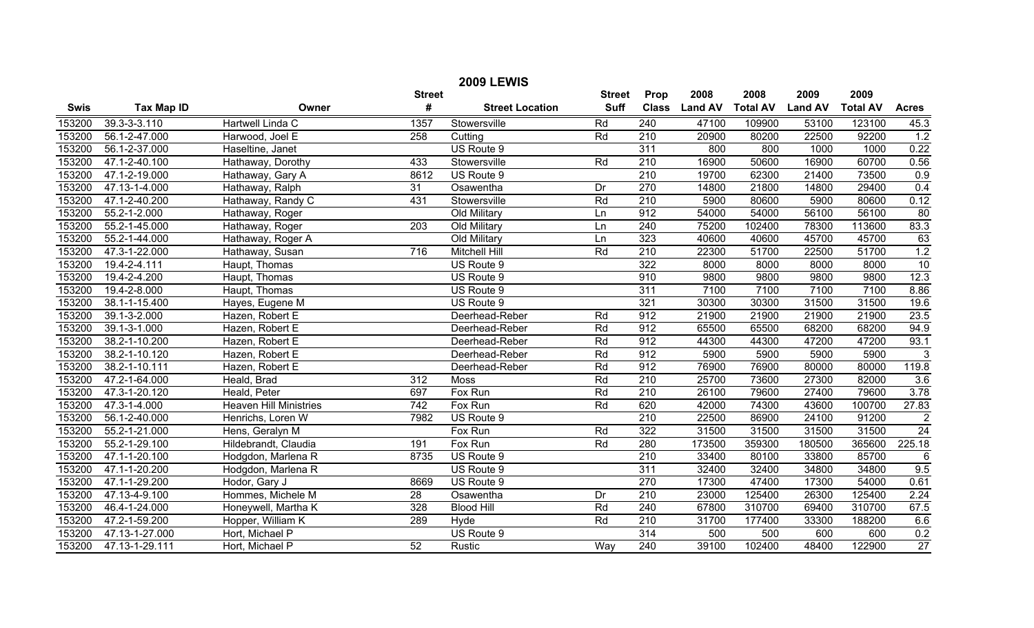|             |                   |                               |                  | <b>2009 LEWIS</b>      |               |                  |                |                 |                |                 |                     |
|-------------|-------------------|-------------------------------|------------------|------------------------|---------------|------------------|----------------|-----------------|----------------|-----------------|---------------------|
|             |                   |                               | <b>Street</b>    |                        | <b>Street</b> | Prop             | 2008           | 2008            | 2009           | 2009            |                     |
| <b>Swis</b> | <b>Tax Map ID</b> | Owner                         | #                | <b>Street Location</b> | <b>Suff</b>   | <b>Class</b>     | <b>Land AV</b> | <b>Total AV</b> | <b>Land AV</b> | <b>Total AV</b> | <b>Acres</b>        |
| 153200      | 39.3-3-3.110      | Hartwell Linda C              | 1357             | Stowersville           | Rd            | 240              | 47100          | 109900          | 53100          | 123100          | 45.3                |
| 153200      | 56.1-2-47.000     | Harwood, Joel E               | 258              | Cutting                | Rd            | 210              | 20900          | 80200           | 22500          | 92200           | 1.2                 |
| 153200      | 56.1-2-37.000     | Haseltine, Janet              |                  | US Route 9             |               | 311              | 800            | 800             | 1000           | 1000            | 0.22                |
| 153200      | 47.1-2-40.100     | Hathaway, Dorothy             | 433              | Stowersville           | Rd            | 210              | 16900          | 50600           | 16900          | 60700           | 0.56                |
| 153200      | 47.1-2-19.000     | Hathaway, Gary A              | 8612             | US Route 9             |               | 210              | 19700          | 62300           | 21400          | 73500           | 0.9                 |
| 153200      | 47.13-1-4.000     | Hathaway, Ralph               | $\overline{31}$  | Osawentha              | Dr            | 270              | 14800          | 21800           | 14800          | 29400           | 0.4                 |
| 153200      | 47.1-2-40.200     | Hathaway, Randy C             | 431              | Stowersville           | Rd            | 210              | 5900           | 80600           | 5900           | 80600           | 0.12                |
| 153200      | 55.2-1-2.000      | Hathaway, Roger               |                  | Old Military           | Ln            | 912              | 54000          | 54000           | 56100          | 56100           | $\overline{80}$     |
| 153200      | 55.2-1-45.000     | Hathaway, Roger               | $\overline{203}$ | Old Military           | Ln            | 240              | 75200          | 102400          | 78300          | 113600          | 83.3                |
| 153200      | 55.2-1-44.000     | Hathaway, Roger A             |                  | Old Military           | Ln            | 323              | 40600          | 40600           | 45700          | 45700           | 63                  |
| 153200      | 47.3-1-22.000     | Hathaway, Susan               | 716              | <b>Mitchell Hill</b>   | Rd            | $\overline{210}$ | 22300          | 51700           | 22500          | 51700           | 1.2                 |
| 153200      | 19.4-2-4.111      | Haupt, Thomas                 |                  | US Route 9             |               | 322              | 8000           | 8000            | 8000           | 8000            | 10                  |
| 153200      | 19.4-2-4.200      | Haupt, Thomas                 |                  | US Route 9             |               | 910              | 9800           | 9800            | 9800           | 9800            | 12.3                |
| 153200      | 19.4-2-8.000      | Haupt, Thomas                 |                  | US Route 9             |               | 311              | 7100           | 7100            | 7100           | 7100            | 8.86                |
| 153200      | 38.1-1-15.400     | Hayes, Eugene M               |                  | US Route 9             |               | 321              | 30300          | 30300           | 31500          | 31500           | 19.6                |
| 153200      | 39.1-3-2.000      | Hazen, Robert E               |                  | Deerhead-Reber         | Rd            | 912              | 21900          | 21900           | 21900          | 21900           | 23.5                |
| 153200      | 39.1-3-1.000      | Hazen, Robert E               |                  | Deerhead-Reber         | Rd            | 912              | 65500          | 65500           | 68200          | 68200           | 94.9                |
| 153200      | 38.2-1-10.200     | Hazen, Robert E               |                  | Deerhead-Reber         | Rd            | 912              | 44300          | 44300           | 47200          | 47200           | 93.1                |
| 153200      | 38.2-1-10.120     | Hazen, Robert E               |                  | Deerhead-Reber         | Rd            | 912              | 5900           | 5900            | 5900           | 5900            | $\overline{\omega}$ |
| 153200      | 38.2-1-10.111     | Hazen, Robert E               |                  | Deerhead-Reber         | Rd            | 912              | 76900          | 76900           | 80000          | 80000           | 119.8               |
| 153200      | 47.2-1-64.000     | Heald, Brad                   | 312              | Moss                   | Rd            | 210              | 25700          | 73600           | 27300          | 82000           | 3.6                 |
| 153200      | 47.3-1-20.120     | Heald, Peter                  | 697              | Fox Run                | Rd            | $\overline{210}$ | 26100          | 79600           | 27400          | 79600           | 3.78                |
| 153200      | 47.3-1-4.000      | <b>Heaven Hill Ministries</b> | $\overline{742}$ | Fox Run                | Rd            | 620              | 42000          | 74300           | 43600          | 100700          | 27.83               |
| 153200      | 56.1-2-40.000     | Henrichs, Loren W             | 7982             | US Route 9             |               | 210              | 22500          | 86900           | 24100          | 91200           | $\boldsymbol{2}$    |
| 153200      | 55.2-1-21.000     | Hens, Geralyn M               |                  | Fox Run                | Rd            | 322              | 31500          | 31500           | 31500          | 31500           | 24                  |
| 153200      | 55.2-1-29.100     | Hildebrandt, Claudia          | 191              | Fox Run                | Rd            | 280              | 173500         | 359300          | 180500         | 365600          | 225.18              |
| 153200      | 47.1-1-20.100     | Hodgdon, Marlena R            | 8735             | US Route 9             |               | $\overline{210}$ | 33400          | 80100           | 33800          | 85700           | $\,6$               |
| 153200      | 47.1-1-20.200     | Hodgdon, Marlena R            |                  | US Route 9             |               | 311              | 32400          | 32400           | 34800          | 34800           | 9.5                 |
| 153200      | 47.1-1-29.200     | Hodor, Gary J                 | 8669             | US Route 9             |               | 270              | 17300          | 47400           | 17300          | 54000           | 0.61                |
| 153200      | 47.13-4-9.100     | Hommes, Michele M             | 28               | Osawentha              | Dr            | 210              | 23000          | 125400          | 26300          | 125400          | 2.24                |
| 153200      | 46.4-1-24.000     | Honeywell, Martha K           | 328              | <b>Blood Hill</b>      | Rd            | 240              | 67800          | 310700          | 69400          | 310700          | 67.5                |
| 153200      | 47.2-1-59.200     | Hopper, William K             | 289              | Hyde                   | Rd            | 210              | 31700          | 177400          | 33300          | 188200          | 6.6                 |
| 153200      | 47.13-1-27.000    | Hort, Michael P               |                  | US Route 9             |               | 314              | 500            | 500             | 600            | 600             | 0.2                 |
| 153200      | 47.13-1-29.111    | Hort, Michael P               | 52               | Rustic                 | Way           | 240              | 39100          | 102400          | 48400          | 122900          | 27                  |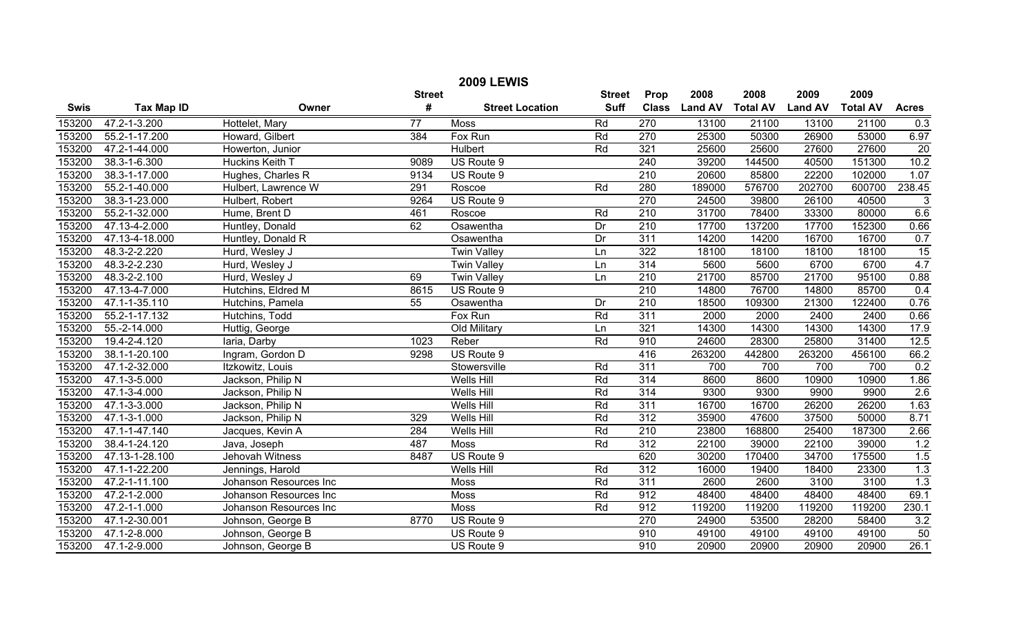| <b>2009 LEWIS</b> |                               |                        |                 |                        |               |                  |                |                 |                |                 |                 |
|-------------------|-------------------------------|------------------------|-----------------|------------------------|---------------|------------------|----------------|-----------------|----------------|-----------------|-----------------|
|                   |                               |                        | <b>Street</b>   |                        | <b>Street</b> | Prop             | 2008           | 2008            | 2009           | 2009            |                 |
| <b>Swis</b>       | <b>Tax Map ID</b>             | Owner                  | #               | <b>Street Location</b> | <b>Suff</b>   | <b>Class</b>     | <b>Land AV</b> | <b>Total AV</b> | <b>Land AV</b> | <b>Total AV</b> | <b>Acres</b>    |
| 153200            | 47.2-1-3.200                  | Hottelet, Mary         | $\overline{77}$ | <b>Moss</b>            | Rd            | 270              | 13100          | 21100           | 13100          | 21100           | 0.3             |
| 153200            | 55.2-1-17.200                 | Howard, Gilbert        | 384             | Fox Run                | Rd            | 270              | 25300          | 50300           | 26900          | 53000           | 6.97            |
| 153200            | 47.2-1-44.000                 | Howerton, Junior       |                 | <b>Hulbert</b>         | Rd            | 321              | 25600          | 25600           | 27600          | 27600           | $\overline{20}$ |
| 153200            | 38.3-1-6.300                  | Huckins Keith T        | 9089            | US Route 9             |               | 240              | 39200          | 144500          | 40500          | 151300          | 10.2            |
| 153200            | 38.3-1-17.000                 | Hughes, Charles R      | 9134            | US Route 9             |               | 210              | 20600          | 85800           | 22200          | 102000          | 1.07            |
| 153200            | 55.2-1-40.000                 | Hulbert, Lawrence W    | 291             | Roscoe                 | Rd            | 280              | 189000         | 576700          | 202700         | 600700          | 238.45          |
| 153200            | 38.3-1-23.000                 | Hulbert, Robert        | 9264            | US Route 9             |               | 270              | 24500          | 39800           | 26100          | 40500           | $\mathbf{3}$    |
| 153200            | 55.2-1-32.000                 | Hume, Brent D          | 461             | Roscoe                 | Rd            | 210              | 31700          | 78400           | 33300          | 80000           | 6.6             |
| 153200            | 47.13-4-2.000                 | Huntley, Donald        | 62              | Osawentha              | Dr            | $\overline{210}$ | 17700          | 137200          | 17700          | 152300          | 0.66            |
| 153200            | 47.13-4-18.000                | Huntley, Donald R      |                 | Osawentha              | Dr            | 311              | 14200          | 14200           | 16700          | 16700           | 0.7             |
| 153200            | 48.3-2-2.220                  | Hurd, Wesley J         |                 | <b>Twin Valley</b>     | Ln            | 322              | 18100          | 18100           | 18100          | 18100           | 15              |
| 153200            | 48.3-2-2.230                  | Hurd, Wesley J         |                 | <b>Twin Valley</b>     | Ln            | 314              | 5600           | 5600            | 6700           | 6700            | 4.7             |
| 153200            | 48.3-2-2.100                  | Hurd, Wesley J         | 69              | <b>Twin Valley</b>     | Ln            | $\overline{210}$ | 21700          | 85700           | 21700          | 95100           | 0.88            |
| 153200            | 47.13-4-7.000                 | Hutchins, Eldred M     | 8615            | US Route 9             |               | $\overline{210}$ | 14800          | 76700           | 14800          | 85700           | 0.4             |
| 153200            | 47.1-1-35.110                 | Hutchins, Pamela       | 55              | Osawentha              | Dr            | $\overline{210}$ | 18500          | 109300          | 21300          | 122400          | 0.76            |
| 153200            | 55.2-1-17.132                 | Hutchins, Todd         |                 | Fox Run                | Rd            | 311              | 2000           | 2000            | 2400           | 2400            | 0.66            |
| 153200            | 55.-2-14.000                  | Huttig, George         |                 | Old Military           | Ln            | 321              | 14300          | 14300           | 14300          | 14300           | 17.9            |
| 153200            | 19.4-2-4.120                  | laria, Darby           | 1023            | Reber                  | Rd            | 910              | 24600          | 28300           | 25800          | 31400           | 12.5            |
| 153200            | 38.1-1-20.100                 | Ingram, Gordon D       | 9298            | US Route 9             |               | 416              | 263200         | 442800          | 263200         | 456100          | 66.2            |
| 153200            | 47.1-2-32.000                 | Itzkowitz, Louis       |                 | Stowersville           | Rd            | 311              | 700            | 700             | 700            | 700             | 0.2             |
| 153200            | 47.1-3-5.000                  | Jackson, Philip N      |                 | Wells Hill             | Rd            | $\overline{314}$ | 8600           | 8600            | 10900          | 10900           | 1.86            |
| 153200            | 47.1-3-4.000                  | Jackson, Philip N      |                 | <b>Wells Hill</b>      | Rd            | 314              | 9300           | 9300            | 9900           | 9900            | 2.6             |
| 153200            | 47.1-3-3.000                  | Jackson, Philip N      |                 | <b>Wells Hill</b>      | Rd            | 311              | 16700          | 16700           | 26200          | 26200           | 1.63            |
| 153200            | 47.1-3-1.000                  | Jackson, Philip N      | 329             | Wells Hill             | Rd            | 312              | 35900          | 47600           | 37500          | 50000           | 8.71            |
| 153200            | 47.1-1-47.140                 | Jacques, Kevin A       | 284             | Wells Hill             | Rd            | $\overline{210}$ | 23800          | 168800          | 25400          | 187300          | 2.66            |
| 153200            | 38.4-1-24.120                 | Java, Joseph           | 487             | <b>Moss</b>            | Rd            | 312              | 22100          | 39000           | 22100          | 39000           | 1.2             |
| 153200            | 47.13-1-28.100                | Jehovah Witness        | 8487            | US Route 9             |               | 620              | 30200          | 170400          | 34700          | 175500          | 1.5             |
| 153200            | 47.1-1-22.200                 | Jennings, Harold       |                 | Wells Hill             | Rd            | 312              | 16000          | 19400           | 18400          | 23300           | 1.3             |
| 153200            | 47.2-1-11.100                 | Johanson Resources Inc |                 | Moss                   | Rd            | 311              | 2600           | 2600            | 3100           | 3100            | 1.3             |
| 153200            | $\overline{47.2 - 1 - 2.000}$ | Johanson Resources Inc |                 | Moss                   | Rd            | 912              | 48400          | 48400           | 48400          | 48400           | 69.1            |
| 153200            | 47.2-1-1.000                  | Johanson Resources Inc |                 | <b>Moss</b>            | Rd            | 912              | 119200         | 119200          | 119200         | 119200          | 230.1           |
| 153200            | 47.1-2-30.001                 | Johnson, George B      | 8770            | US Route 9             |               | 270              | 24900          | 53500           | 28200          | 58400           | 3.2             |
| 153200            | 47.1-2-8.000                  | Johnson, George B      |                 | US Route 9             |               | 910              | 49100          | 49100           | 49100          | 49100           | 50              |
| 153200            | 47.1-2-9.000                  | Johnson, George B      |                 | US Route 9             |               | 910              | 20900          | 20900           | 20900          | 20900           | 26.1            |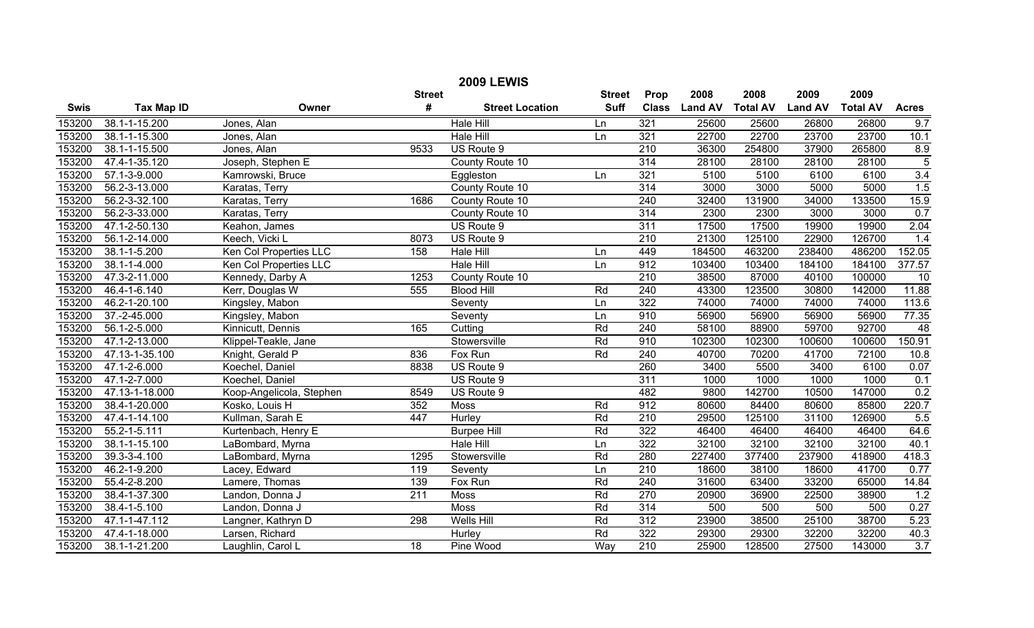|             | <b>2009 LEWIS</b>   |                          |                  |                        |               |                  |                |                 |                |                 |                |  |
|-------------|---------------------|--------------------------|------------------|------------------------|---------------|------------------|----------------|-----------------|----------------|-----------------|----------------|--|
|             |                     |                          | <b>Street</b>    |                        | <b>Street</b> | Prop             | 2008           | 2008            | 2009           | 2009            |                |  |
| <b>Swis</b> | <b>Tax Map ID</b>   | Owner                    | #                | <b>Street Location</b> | <b>Suff</b>   | <b>Class</b>     | <b>Land AV</b> | <b>Total AV</b> | <b>Land AV</b> | <b>Total AV</b> | <b>Acres</b>   |  |
| 153200      | 38.1-1-15.200       | Jones, Alan              |                  | <b>Hale Hill</b>       | Ln            | 321              | 25600          | 25600           | 26800          | 26800           | 9.7            |  |
| 153200      | 38.1-1-15.300       | Jones, Alan              |                  | Hale Hill              | Ln            | 321              | 22700          | 22700           | 23700          | 23700           | 10.1           |  |
| 153200      | 38.1-1-15.500       | Jones, Alan              | 9533             | US Route 9             |               | $\overline{210}$ | 36300          | 254800          | 37900          | 265800          | 8.9            |  |
| 153200      | 47.4-1-35.120       | Joseph, Stephen E        |                  | County Route 10        |               | $\overline{314}$ | 28100          | 28100           | 28100          | 28100           | $\overline{5}$ |  |
| 153200      | 57.1-3-9.000        | Kamrowski, Bruce         |                  | Eggleston              | Ln            | 321              | 5100           | 5100            | 6100           | 6100            | 3.4            |  |
| 153200      | 56.2-3-13.000       | Karatas, Terry           |                  | County Route 10        |               | 314              | 3000           | 3000            | 5000           | 5000            | 1.5            |  |
| 153200      | 56.2-3-32.100       | Karatas, Terry           | 1686             | County Route 10        |               | 240              | 32400          | 131900          | 34000          | 133500          | 15.9           |  |
| 153200      | 56.2-3-33.000       | Karatas, Terry           |                  | County Route 10        |               | 314              | 2300           | 2300            | 3000           | 3000            | 0.7            |  |
| 153200      | 47.1-2-50.130       | Keahon, James            |                  | US Route 9             |               | 311              | 17500          | 17500           | 19900          | 19900           | 2.04           |  |
| 153200      | 56.1-2-14.000       | Keech, Vicki L           | 8073             | US Route 9             |               | 210              | 21300          | 125100          | 22900          | 126700          | 1.4            |  |
| 153200      | 38.1-1-5.200        | Ken Col Properties LLC   | 158              | <b>Hale Hill</b>       | Ln            | 449              | 184500         | 463200          | 238400         | 486200          | 152.05         |  |
| 153200      | 38.1-1-4.000        | Ken Col Properties LLC   |                  | <b>Hale Hill</b>       | Ln            | 912              | 103400         | 103400          | 184100         | 184100          | 377.57         |  |
| 153200      | 47.3-2-11.000       | Kennedy, Darby A         | 1253             | County Route 10        |               | $\overline{210}$ | 38500          | 87000           | 40100          | 100000          | 10             |  |
| 153200      | 46.4-1-6.140        | Kerr, Douglas W          | 555              | <b>Blood Hill</b>      | Rd            | 240              | 43300          | 123500          | 30800          | 142000          | 11.88          |  |
| 153200      | 46.2-1-20.100       | Kingsley, Mabon          |                  | Seventy                | Ln            | $\overline{322}$ | 74000          | 74000           | 74000          | 74000           | 113.6          |  |
| 153200      | 37.-2-45.000        | Kingsley, Mabon          |                  | Seventy                | Ln            | 910              | 56900          | 56900           | 56900          | 56900           | 77.35          |  |
| 153200      | 56.1-2-5.000        | Kinnicutt, Dennis        | 165              | Cutting                | Rd            | 240              | 58100          | 88900           | 59700          | 92700           | 48             |  |
| 153200      | 47.1-2-13.000       | Klippel-Teakle, Jane     |                  | Stowersville           | Rd            | 910              | 102300         | 102300          | 100600         | 100600          | 150.91         |  |
| 153200      | 47.13-1-35.100      | Knight, Gerald P         | 836              | Fox Run                | Rd            | 240              | 40700          | 70200           | 41700          | 72100           | 10.8           |  |
| 153200      | 47.1-2-6.000        | Koechel, Daniel          | 8838             | US Route 9             |               | 260              | 3400           | 5500            | 3400           | 6100            | 0.07           |  |
| 153200      | 47.1-2-7.000        | Koechel, Daniel          |                  | US Route 9             |               | 311              | 1000           | 1000            | 1000           | 1000            | 0.1            |  |
| 153200      | 47.13-1-18.000      | Koop-Angelicola, Stephen | 8549             | US Route 9             |               | 482              | 9800           | 142700          | 10500          | 147000          | 0.2            |  |
| 153200      | 38.4-1-20.000       | Kosko, Louis H           | 352              | Moss                   | Rd            | 912              | 80600          | 84400           | 80600          | 85800           | 220.7          |  |
| 153200      | 47.4-1-14.100       | Kullman, Sarah E         | 447              | Hurley                 | Rd            | $\overline{210}$ | 29500          | 125100          | 31100          | 126900          | 5.5            |  |
| 153200      | $55.2 - 1 - 5.111$  | Kurtenbach, Henry E      |                  | <b>Burpee Hill</b>     | Rd            | 322              | 46400          | 46400           | 46400          | 46400           | 64.6           |  |
| 153200      | 38.1-1-15.100       | LaBombard, Myrna         |                  | Hale Hill              | Ln            | 322              | 32100          | 32100           | 32100          | 32100           | 40.1           |  |
| 153200      | 39.3-3-4.100        | LaBombard, Myrna         | 1295             | Stowersville           | Rd            | 280              | 227400         | 377400          | 237900         | 418900          | 418.3          |  |
| 153200      | 46.2-1-9.200        | Lacey, Edward            | 119              | Seventy                | Ln            | 210              | 18600          | 38100           | 18600          | 41700           | 0.77           |  |
| 153200      | 55.4-2-8.200        | Lamere, Thomas           | 139              | Fox Run                | Rd            | 240              | 31600          | 63400           | 33200          | 65000           | 14.84          |  |
| 153200      | 38.4-1-37.300       | Landon, Donna J          | $\overline{211}$ | Moss                   | Rd            | 270              | 20900          | 36900           | 22500          | 38900           | 1.2            |  |
| 153200      | 38.4-1-5.100        | Landon, Donna J          |                  | <b>Moss</b>            | Rd            | 314              | 500            | 500             | 500            | 500             | 0.27           |  |
| 153200      | 47.1-1-47.112       | Langner, Kathryn D       | 298              | <b>Wells Hill</b>      | Rd            | 312              | 23900          | 38500           | 25100          | 38700           | 5.23           |  |
| 153200      | 47.4-1-18.000       | Larsen, Richard          |                  | Hurley                 | Rd            | 322              | 29300          | 29300           | 32200          | 32200           | 40.3           |  |
| 153200      | $38.1 - 1 - 21.200$ | Laughlin, Carol L        | $\overline{18}$  | Pine Wood              | Way           | 210              | 25900          | 128500          | 27500          | 143000          | 3.7            |  |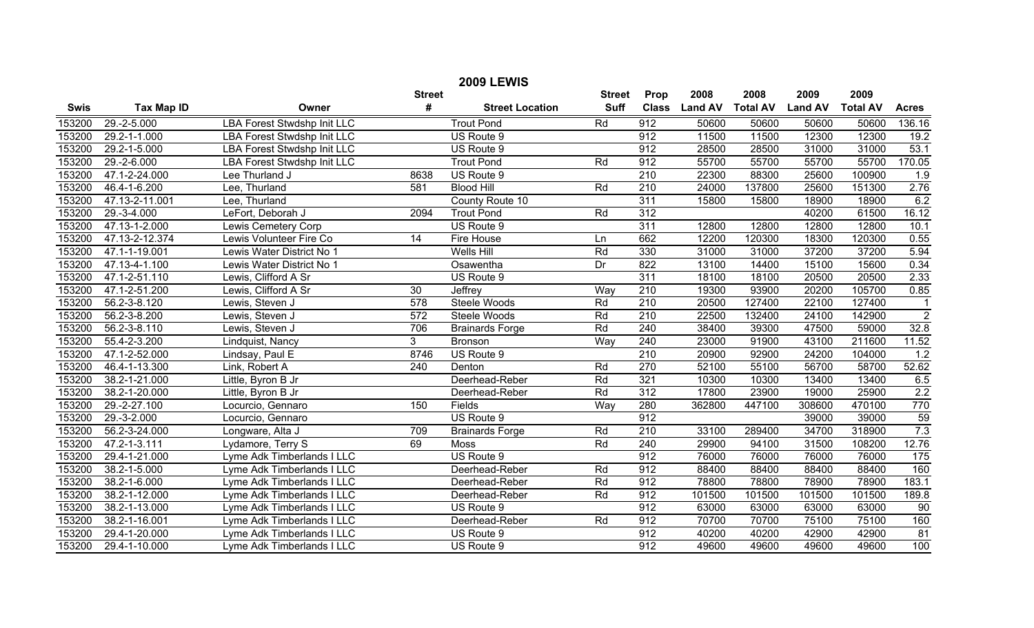|             | <b>2009 LEWIS</b>         |                                    |                |                        |               |                  |                |                 |                |                 |                   |  |
|-------------|---------------------------|------------------------------------|----------------|------------------------|---------------|------------------|----------------|-----------------|----------------|-----------------|-------------------|--|
|             |                           |                                    | <b>Street</b>  |                        | <b>Street</b> | Prop             | 2008           | 2008            | 2009           | 2009            |                   |  |
| <b>Swis</b> | <b>Tax Map ID</b>         | Owner                              | #              | <b>Street Location</b> | <b>Suff</b>   | <b>Class</b>     | <b>Land AV</b> | <b>Total AV</b> | <b>Land AV</b> | <b>Total AV</b> | <b>Acres</b>      |  |
| 153200      | $29. -2 - 5.000$          | <b>LBA Forest Stwdshp Init LLC</b> |                | <b>Trout Pond</b>      | Rd            | 912              | 50600          | 50600           | 50600          | 50600           | 136.16            |  |
| 153200      | 29.2-1-1.000              | LBA Forest Stwdshp Init LLC        |                | US Route 9             |               | 912              | 11500          | 11500           | 12300          | 12300           | 19.2              |  |
| 153200      | 29.2-1-5.000              | <b>LBA Forest Stwdshp Init LLC</b> |                | US Route 9             |               | 912              | 28500          | 28500           | 31000          | 31000           | 53.1              |  |
| 153200      | $29. - 2 - 6.000$         | <b>LBA Forest Stwdshp Init LLC</b> |                | <b>Trout Pond</b>      | Rd            | $\overline{912}$ | 55700          | 55700           | 55700          | 55700           | 170.05            |  |
| 153200      | 47.1-2-24.000             | Lee Thurland J                     | 8638           | US Route 9             |               | 210              | 22300          | 88300           | 25600          | 100900          | 1.9               |  |
| 153200      | 46.4-1-6.200              | Lee, Thurland                      | 581            | <b>Blood Hill</b>      | Rd            | 210              | 24000          | 137800          | 25600          | 151300          | 2.76              |  |
| 153200      | 47.13-2-11.001            | Lee, Thurland                      |                | County Route 10        |               | 311              | 15800          | 15800           | 18900          | 18900           | 6.2               |  |
| 153200      | $\overline{29}$ .-3-4.000 | LeFort, Deborah J                  | 2094           | <b>Trout Pond</b>      | Rd            | 312              |                |                 | 40200          | 61500           | 16.12             |  |
| 153200      | 47.13-1-2.000             | <b>Lewis Cemetery Corp</b>         |                | US Route 9             |               | 311              | 12800          | 12800           | 12800          | 12800           | 10.1              |  |
| 153200      | 47.13-2-12.374            | Lewis Volunteer Fire Co            | 14             | Fire House             | Ln            | 662              | 12200          | 120300          | 18300          | 120300          | 0.55              |  |
| 153200      | 47.1-1-19.001             | Lewis Water District No 1          |                | <b>Wells Hill</b>      | Rd            | 330              | 31000          | 31000           | 37200          | 37200           | 5.94              |  |
| 153200      | 47.13-4-1.100             | Lewis Water District No 1          |                | Osawentha              | Dr            | 822              | 13100          | 14400           | 15100          | 15600           | 0.34              |  |
| 153200      | 47.1-2-51.110             | Lewis, Clifford A Sr               |                | US Route 9             |               | 311              | 18100          | 18100           | 20500          | 20500           | 2.33              |  |
| 153200      | 47.1-2-51.200             | Lewis, Clifford A Sr               | 30             | Jeffrey                | Way           | 210              | 19300          | 93900           | 20200          | 105700          | 0.85              |  |
| 153200      | 56.2-3-8.120              | Lewis, Steven J                    | 578            | <b>Steele Woods</b>    | Rd            | $\overline{210}$ | 20500          | 127400          | 22100          | 127400          |                   |  |
| 153200      | 56.2-3-8.200              | Lewis, Steven J                    | 572            | Steele Woods           | Rd            | $\overline{210}$ | 22500          | 132400          | 24100          | 142900          | $\overline{2}$    |  |
| 153200      | 56.2-3-8.110              | Lewis, Steven J                    | 706            | <b>Brainards Forge</b> | Rd            | 240              | 38400          | 39300           | 47500          | 59000           | 32.8              |  |
| 153200      | 55.4-2-3.200              | Lindquist, Nancy                   | 3 <sup>1</sup> | Bronson                | Way           | 240              | 23000          | 91900           | 43100          | 211600          | 11.52             |  |
| 153200      | 47.1-2-52.000             | Lindsay, Paul E                    | 8746           | US Route 9             |               | $\overline{210}$ | 20900          | 92900           | 24200          | 104000          | 1.2               |  |
| 153200      | 46.4-1-13.300             | Link, Robert A                     | 240            | Denton                 | Rd            | 270              | 52100          | 55100           | 56700          | 58700           | 52.62             |  |
| 153200      | 38.2-1-21.000             | Little, Byron B Jr                 |                | Deerhead-Reber         | Rd            | 321              | 10300          | 10300           | 13400          | 13400           | $\frac{6.5}{2.2}$ |  |
| 153200      | 38.2-1-20.000             | Little, Byron B Jr                 |                | Deerhead-Reber         | Rd            | 312              | 17800          | 23900           | 19000          | 25900           |                   |  |
| 153200      | 29.-2-27.100              | Locurcio, Gennaro                  | 150            | Fields                 | Way           | 280              | 362800         | 447100          | 308600         | 470100          | 770               |  |
| 153200      | $29.-3-2.000$             | Locurcio, Gennaro                  |                | US Route 9             |               | 912              |                |                 | 39000          | 39000           | $\frac{59}{7.3}$  |  |
| 153200      | 56.2-3-24.000             | Longware, Alta J                   | 709            | <b>Brainards Forge</b> | Rd            | $\overline{210}$ | 33100          | 289400          | 34700          | 318900          |                   |  |
| 153200      | 47.2-1-3.111              | Lydamore, Terry S                  | 69             | Moss                   | Rd            | 240              | 29900          | 94100           | 31500          | 108200          | 12.76             |  |
| 153200      | 29.4-1-21.000             | Lyme Adk Timberlands I LLC         |                | US Route 9             |               | 912              | 76000          | 76000           | 76000          | 76000           | 175               |  |
| 153200      | 38.2-1-5.000              | Lyme Adk Timberlands I LLC         |                | Deerhead-Reber         | Rd            | 912              | 88400          | 88400           | 88400          | 88400           | 160               |  |
| 153200      | 38.2-1-6.000              | Lyme Adk Timberlands I LLC         |                | Deerhead-Reber         | Rd            | 912              | 78800          | 78800           | 78900          | 78900           | 183.1             |  |
| 153200      | 38.2-1-12.000             | Lyme Adk Timberlands I LLC         |                | Deerhead-Reber         | Rd            | 912              | 101500         | 101500          | 101500         | 101500          | 189.8             |  |
| 153200      | 38.2-1-13.000             | Lyme Adk Timberlands I LLC         |                | US Route 9             |               | 912              | 63000          | 63000           | 63000          | 63000           | 90                |  |
| 153200      | 38.2-1-16.001             | Lyme Adk Timberlands I LLC         |                | Deerhead-Reber         | Rd            | 912              | 70700          | 70700           | 75100          | 75100           | 160               |  |
| 153200      | 29.4-1-20.000             | Lyme Adk Timberlands I LLC         |                | US Route 9             |               | 912              | 40200          | 40200           | 42900          | 42900           | 81                |  |
| 153200      | 29.4-1-10.000             | Lyme Adk Timberlands I LLC         |                | US Route 9             |               | $\overline{912}$ | 49600          | 49600           | 49600          | 49600           | 100               |  |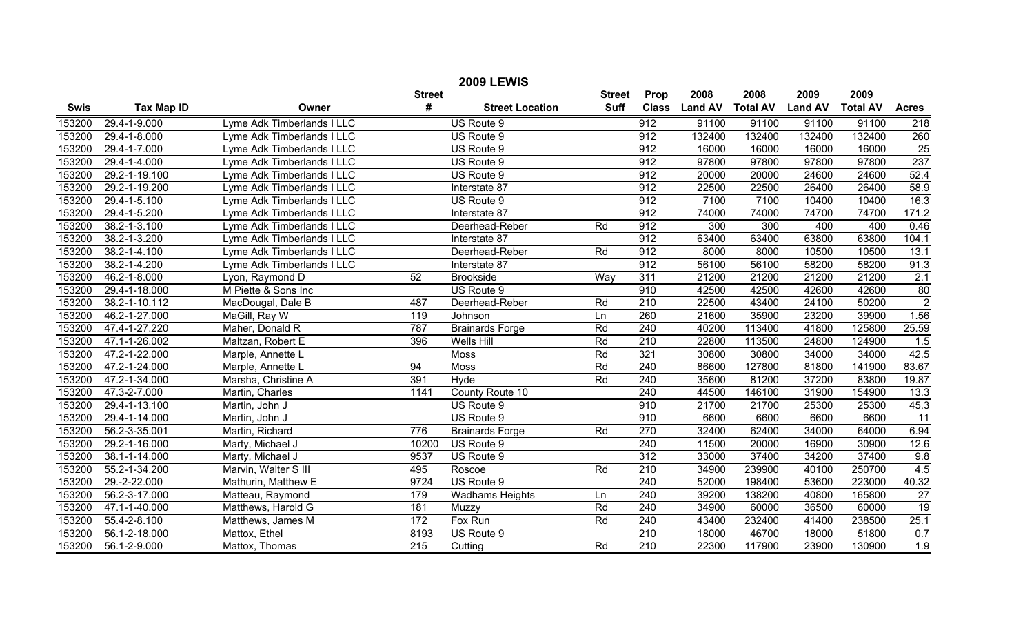| <b>2009 LEWIS</b> |                            |                            |                  |                        |               |                  |                |                 |                |                 |                 |  |
|-------------------|----------------------------|----------------------------|------------------|------------------------|---------------|------------------|----------------|-----------------|----------------|-----------------|-----------------|--|
|                   |                            |                            | <b>Street</b>    |                        | <b>Street</b> | Prop             | 2008           | 2008            | 2009           | 2009            |                 |  |
| <b>Swis</b>       | <b>Tax Map ID</b>          | Owner                      | #                | <b>Street Location</b> | <b>Suff</b>   | <b>Class</b>     | <b>Land AV</b> | <b>Total AV</b> | <b>Land AV</b> | <b>Total AV</b> | <b>Acres</b>    |  |
| 153200            | 29.4-1-9.000               | Lyme Adk Timberlands I LLC |                  | US Route 9             |               | 912              | 91100          | 91100           | 91100          | 91100           | 218             |  |
| 153200            | 29.4-1-8.000               | Lyme Adk Timberlands I LLC |                  | US Route 9             |               | 912              | 132400         | 132400          | 132400         | 132400          | 260             |  |
| 153200            | 29.4-1-7.000               | Lyme Adk Timberlands I LLC |                  | US Route 9             |               | 912              | 16000          | 16000           | 16000          | 16000           | 25              |  |
| 153200            | 29.4-1-4.000               | Lyme Adk Timberlands I LLC |                  | US Route 9             |               | 912              | 97800          | 97800           | 97800          | 97800           | 237             |  |
| 153200            | 29.2-1-19.100              | Lyme Adk Timberlands I LLC |                  | US Route 9             |               | 912              | 20000          | 20000           | 24600          | 24600           | 52.4            |  |
| 153200            | 29.2-1-19.200              | Lyme Adk Timberlands I LLC |                  | Interstate 87          |               | 912              | 22500          | 22500           | 26400          | 26400           | 58.9            |  |
| 153200            | 29.4-1-5.100               | Lyme Adk Timberlands I LLC |                  | US Route 9             |               | 912              | 7100           | 7100            | 10400          | 10400           | 16.3            |  |
| 153200            | 29.4-1-5.200               | Lyme Adk Timberlands I LLC |                  | Interstate 87          |               | 912              | 74000          | 74000           | 74700          | 74700           | 171.2           |  |
| 153200            | 38.2-1-3.100               | Lyme Adk Timberlands I LLC |                  | Deerhead-Reber         | Rd            | 912              | 300            | 300             | 400            | 400             | 0.46            |  |
| 153200            | 38.2-1-3.200               | Lyme Adk Timberlands I LLC |                  | Interstate 87          |               | 912              | 63400          | 63400           | 63800          | 63800           | 104.1           |  |
| 153200            | 38.2-1-4.100               | Lyme Adk Timberlands I LLC |                  | Deerhead-Reber         | Rd            | 912              | 8000           | 8000            | 10500          | 10500           | 13.1            |  |
| 153200            | 38.2-1-4.200               | Lyme Adk Timberlands I LLC |                  | Interstate 87          |               | 912              | 56100          | 56100           | 58200          | 58200           | 91.3            |  |
| 153200            | 46.2-1-8.000               | Lyon, Raymond D            | $\overline{52}$  | <b>Brookside</b>       | Way           | 311              | 21200          | 21200           | 21200          | 21200           | 2.1             |  |
| 153200            | 29.4-1-18.000              | M Piette & Sons Inc        |                  | US Route 9             |               | 910              | 42500          | 42500           | 42600          | 42600           | 80              |  |
| 153200            | 38.2-1-10.112              | MacDougal, Dale B          | 487              | Deerhead-Reber         | Rd            | 210              | 22500          | 43400           | 24100          | 50200           | $\overline{2}$  |  |
| 153200            | 46.2-1-27.000              | MaGill, Ray W              | 119              | Johnson                | Ln            | 260              | 21600          | 35900           | 23200          | 39900           | 1.56            |  |
| 153200            | 47.4-1-27.220              | Maher, Donald R            | 787              | <b>Brainards Forge</b> | Rd            | 240              | 40200          | 113400          | 41800          | 125800          | 25.59           |  |
| 153200            | 47.1-1-26.002              | Maltzan, Robert E          | 396              | <b>Wells Hill</b>      | Rd            | 210              | 22800          | 113500          | 24800          | 124900          | 1.5             |  |
| 153200            | 47.2-1-22.000              | Marple, Annette L          |                  | Moss                   | Rd            | 321              | 30800          | 30800           | 34000          | 34000           | 42.5            |  |
| 153200            | 47.2-1-24.000              | Marple, Annette L          | 94               | Moss                   | Rd            | 240              | 86600          | 127800          | 81800          | 141900          | 83.67           |  |
| 153200            | 47.2-1-34.000              | Marsha, Christine A        | 391              | Hyde                   | Rd            | 240              | 35600          | 81200           | 37200          | 83800           | 19.87           |  |
| 153200            | 47.3-2-7.000               | Martin, Charles            | 1141             | County Route 10        |               | 240              | 44500          | 146100          | 31900          | 154900          | 13.3            |  |
| 153200            | 29.4-1-13.100              | Martin, John J             |                  | US Route 9             |               | 910              | 21700          | 21700           | 25300          | 25300           | 45.3            |  |
| 153200            | 29.4-1-14.000              | Martin, John J             |                  | US Route 9             |               | 910              | 6600           | 6600            | 6600           | 6600            | $\overline{11}$ |  |
| 153200            | 56.2-3-35.001              | Martin, Richard            | 776              | <b>Brainards Forge</b> | Rd            | 270              | 32400          | 62400           | 34000          | 64000           | 6.94            |  |
| 153200            | 29.2-1-16.000              | Marty, Michael J           | 10200            | US Route 9             |               | 240              | 11500          | 20000           | 16900          | 30900           | 12.6            |  |
| 153200            | 38.1-1-14.000              | Marty, Michael J           | 9537             | US Route 9             |               | 312              | 33000          | 37400           | 34200          | 37400           | 9.8             |  |
| 153200            | 55.2-1-34.200              | Marvin, Walter S III       | 495              | Roscoe                 | Rd            | 210              | 34900          | 239900          | 40100          | 250700          | 4.5             |  |
| 153200            | 29.-2-22.000               | Mathurin, Matthew E        | 9724             | US Route 9             |               | 240              | 52000          | 198400          | 53600          | 223000          | 40.32           |  |
| 153200            | 56.2-3-17.000              | Matteau, Raymond           | 179              | <b>Wadhams Heights</b> | Ln            | 240              | 39200          | 138200          | 40800          | 165800          | $\overline{27}$ |  |
| 153200            | 47.1-1-40.000              | Matthews, Harold G         | 181              | Muzzy                  | Rd            | 240              | 34900          | 60000           | 36500          | 60000           | $\overline{19}$ |  |
| 153200            | 55.4-2-8.100               | Matthews, James M          | 172              | Fox Run                | Rd            | 240              | 43400          | 232400          | 41400          | 238500          | 25.1            |  |
| 153200            | 56.1-2-18.000              | Mattox, Ethel              | 8193             | US Route 9             |               | 210              | 18000          | 46700           | 18000          | 51800           | 0.7             |  |
| 153200            | $\overline{56}$ .1-2-9.000 | Mattox, Thomas             | $\overline{215}$ | Cutting                | Rd            | $\overline{210}$ | 22300          | 117900          | 23900          | 130900          | 1.9             |  |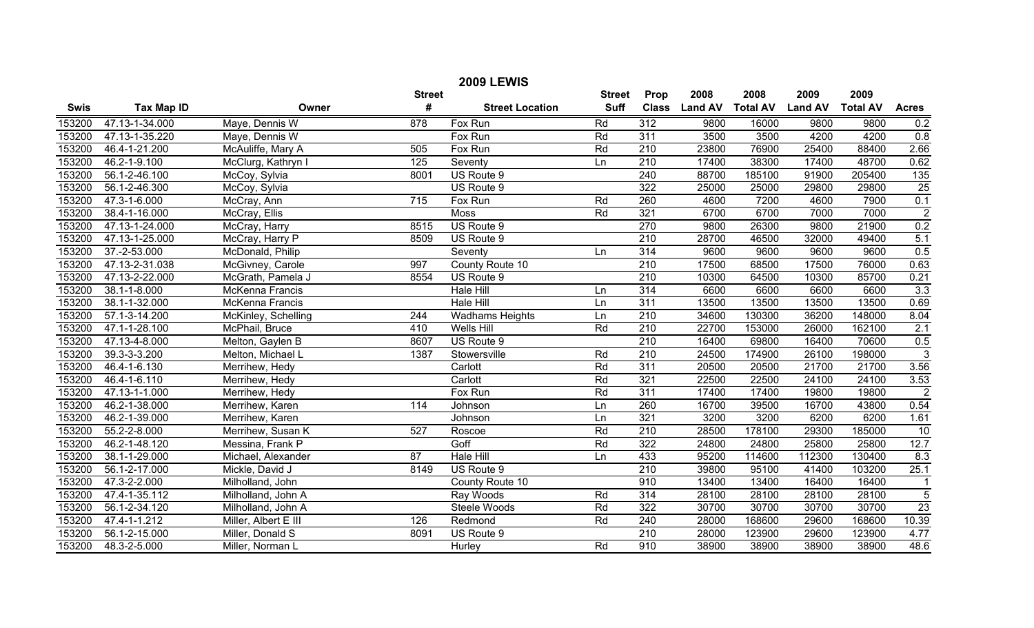|             |                   |                        |                  | <b>2009 LEWIS</b>      |               |                  |                |                 |                |                 |                 |
|-------------|-------------------|------------------------|------------------|------------------------|---------------|------------------|----------------|-----------------|----------------|-----------------|-----------------|
|             |                   |                        | <b>Street</b>    |                        | <b>Street</b> | Prop             | 2008           | 2008            | 2009           | 2009            |                 |
| <b>Swis</b> | <b>Tax Map ID</b> | Owner                  | #                | <b>Street Location</b> | Suff          | <b>Class</b>     | <b>Land AV</b> | <b>Total AV</b> | <b>Land AV</b> | <b>Total AV</b> | <b>Acres</b>    |
| 153200      | 47.13-1-34.000    | Maye, Dennis W         | 878              | Fox Run                | Rd            | 312              | 9800           | 16000           | 9800           | 9800            | 0.2             |
| 153200      | 47.13-1-35.220    | Maye, Dennis W         |                  | Fox Run                | Rd            | 311              | 3500           | 3500            | 4200           | 4200            | 0.8             |
| 153200      | 46.4-1-21.200     | McAuliffe, Mary A      | 505              | Fox Run                | Rd            | $\overline{210}$ | 23800          | 76900           | 25400          | 88400           | 2.66            |
| 153200      | 46.2-1-9.100      | McClurg, Kathryn I     | 125              | Seventy                | Ln            | 210              | 17400          | 38300           | 17400          | 48700           | 0.62            |
| 153200      | 56.1-2-46.100     | McCoy, Sylvia          | 8001             | US Route 9             |               | 240              | 88700          | 185100          | 91900          | 205400          | 135             |
| 153200      | 56.1-2-46.300     | McCoy, Sylvia          |                  | US Route 9             |               | 322              | 25000          | 25000           | 29800          | 29800           | $\overline{25}$ |
| 153200      | 47.3-1-6.000      | McCray, Ann            | 715              | Fox Run                | Rd            | 260              | 4600           | 7200            | 4600           | 7900            | 0.1             |
| 153200      | 38.4-1-16.000     | McCray, Ellis          |                  | Moss                   | Rd            | 321              | 6700           | 6700            | 7000           | 7000            | $\overline{2}$  |
| 153200      | 47.13-1-24.000    | McCray, Harry          | 8515             | US Route 9             |               | 270              | 9800           | 26300           | 9800           | 21900           | 0.2             |
| 153200      | 47.13-1-25.000    | McCray, Harry P        | 8509             | US Route 9             |               | 210              | 28700          | 46500           | 32000          | 49400           | 5.1             |
| 153200      | 37.-2-53.000      | McDonald, Philip       |                  | Seventy                | Ln            | 314              | 9600           | 9600            | 9600           | 9600            | 0.5             |
| 153200      | 47.13-2-31.038    | McGivney, Carole       | 997              | County Route 10        |               | 210              | 17500          | 68500           | 17500          | 76000           | 0.63            |
| 153200      | 47.13-2-22.000    | McGrath, Pamela J      | 8554             | US Route 9             |               | 210              | 10300          | 64500           | 10300          | 85700           | 0.21            |
| 153200      | 38.1-1-8.000      | McKenna Francis        |                  | <b>Hale Hill</b>       | Ln            | 314              | 6600           | 6600            | 6600           | 6600            | 3.3             |
| 153200      | 38.1-1-32.000     | <b>McKenna Francis</b> |                  | <b>Hale Hill</b>       | Ln            | 311              | 13500          | 13500           | 13500          | 13500           | 0.69            |
| 153200      | 57.1-3-14.200     | McKinley, Schelling    | 244              | <b>Wadhams Heights</b> | Ln            | 210              | 34600          | 130300          | 36200          | 148000          | 8.04            |
| 153200      | 47.1-1-28.100     | McPhail, Bruce         | 410              | Wells Hill             | Rd            | 210              | 22700          | 153000          | 26000          | 162100          | 2.1             |
| 153200      | 47.13-4-8.000     | Melton, Gaylen B       | 8607             | US Route 9             |               | 210              | 16400          | 69800           | 16400          | 70600           | 0.5             |
| 153200      | 39.3-3-3.200      | Melton, Michael L      | 1387             | Stowersville           | Rd            | 210              | 24500          | 174900          | 26100          | 198000          | $\overline{3}$  |
| 153200      | 46.4-1-6.130      | Merrihew, Hedy         |                  | Carlott                | Rd            | 311              | 20500          | 20500           | 21700          | 21700           | 3.56            |
| 153200      | 46.4-1-6.110      | Merrihew, Hedy         |                  | Carlott                | Rd            | 321              | 22500          | 22500           | 24100          | 24100           | 3.53            |
| 153200      | 47.13-1-1.000     | Merrihew, Hedy         |                  | Fox Run                | Rd            | 311              | 17400          | 17400           | 19800          | 19800           | $\overline{2}$  |
| 153200      | 46.2-1-38.000     | Merrihew, Karen        | $\overline{114}$ | Johnson                | Ln            | 260              | 16700          | 39500           | 16700          | 43800           | 0.54            |
| 153200      | 46.2-1-39.000     | Merrihew, Karen        |                  | Johnson                | Ln            | 321              | 3200           | 3200            | 6200           | 6200            | 1.61            |
| 153200      | 55.2-2-8.000      | Merrihew, Susan K      | 527              | Roscoe                 | Rd            | $\overline{210}$ | 28500          | 178100          | 29300          | 185000          | 10              |
| 153200      | 46.2-1-48.120     | Messina, Frank P       |                  | Goff                   | Rd            | 322              | 24800          | 24800           | 25800          | 25800           | 12.7            |
| 153200      | 38.1-1-29.000     | Michael, Alexander     | 87               | <b>Hale Hill</b>       | Ln            | 433              | 95200          | 114600          | 112300         | 130400          | 8.3             |
| 153200      | 56.1-2-17.000     | Mickle, David J        | 8149             | US Route 9             |               | 210              | 39800          | 95100           | 41400          | 103200          | 25.1            |
| 153200      | 47.3-2-2.000      | Milholland, John       |                  | County Route 10        |               | 910              | 13400          | 13400           | 16400          | 16400           | $\overline{1}$  |
| 153200      | 47.4-1-35.112     | Milholland, John A     |                  | Ray Woods              | Rd            | 314              | 28100          | 28100           | 28100          | 28100           | $\overline{5}$  |
| 153200      | 56.1-2-34.120     | Milholland, John A     |                  | <b>Steele Woods</b>    | Rd            | 322              | 30700          | 30700           | 30700          | 30700           | 23              |
| 153200      | 47.4-1-1.212      | Miller, Albert E III   | 126              | Redmond                | Rd            | 240              | 28000          | 168600          | 29600          | 168600          | 10.39           |
| 153200      | 56.1-2-15.000     | Miller, Donald S       | 8091             | US Route 9             |               | 210              | 28000          | 123900          | 29600          | 123900          | 4.77            |
| 153200      | 48.3-2-5.000      | Miller, Norman L       |                  | Hurley                 | Rd            | 910              | 38900          | 38900           | 38900          | 38900           | 48.6            |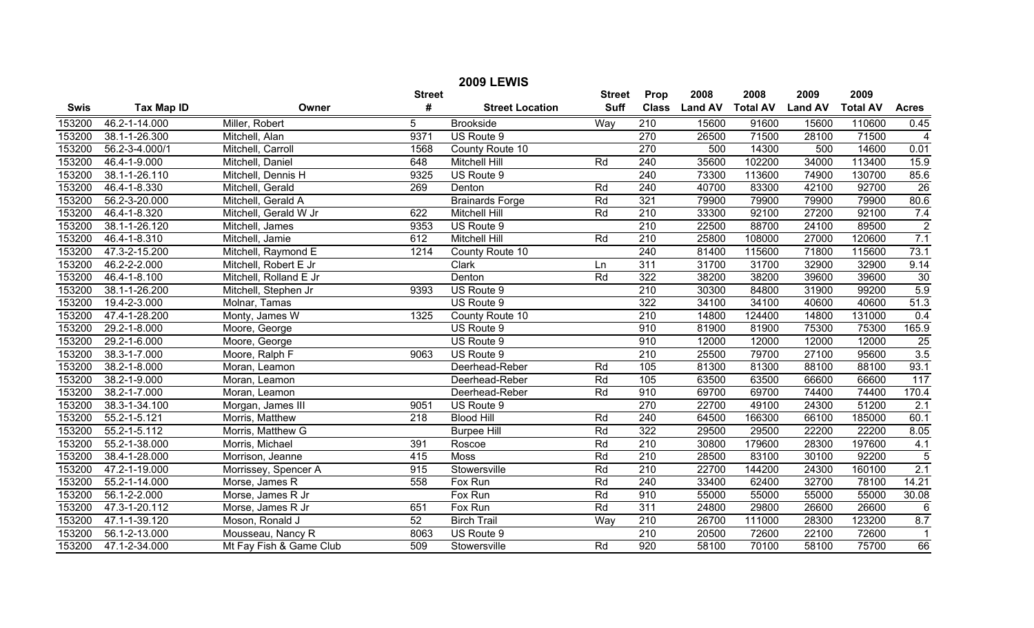|             |                    |                         |               | <b>2009 LEWIS</b>      |               |                  |                |                 |                |                 |                  |
|-------------|--------------------|-------------------------|---------------|------------------------|---------------|------------------|----------------|-----------------|----------------|-----------------|------------------|
|             |                    |                         | <b>Street</b> |                        | <b>Street</b> | Prop             | 2008           | 2008            | 2009           | 2009            |                  |
| <b>Swis</b> | <b>Tax Map ID</b>  | Owner                   | #             | <b>Street Location</b> | <b>Suff</b>   | <b>Class</b>     | <b>Land AV</b> | <b>Total AV</b> | <b>Land AV</b> | <b>Total AV</b> | <b>Acres</b>     |
| 153200      | 46.2-1-14.000      | Miller, Robert          | 5             | <b>Brookside</b>       | Way           | 210              | 15600          | 91600           | 15600          | 110600          | 0.45             |
| 153200      | 38.1-1-26.300      | Mitchell, Alan          | 9371          | US Route 9             |               | 270              | 26500          | 71500           | 28100          | 71500           | 4                |
| 153200      | 56.2-3-4.000/1     | Mitchell, Carroll       | 1568          | County Route 10        |               | $\overline{270}$ | 500            | 14300           | 500            | 14600           | 0.01             |
| 153200      | 46.4-1-9.000       | Mitchell, Daniel        | 648           | <b>Mitchell Hill</b>   | Rd            | 240              | 35600          | 102200          | 34000          | 113400          | 15.9             |
| 153200      | 38.1-1-26.110      | Mitchell, Dennis H      | 9325          | US Route 9             |               | 240              | 73300          | 113600          | 74900          | 130700          | 85.6             |
| 153200      | 46.4-1-8.330       | Mitchell, Gerald        | 269           | Denton                 | Rd            | 240              | 40700          | 83300           | 42100          | 92700           | 26               |
| 153200      | 56.2-3-20.000      | Mitchell, Gerald A      |               | <b>Brainards Forge</b> | Rd            | 321              | 79900          | 79900           | 79900          | 79900           | 80.6             |
| 153200      | 46.4-1-8.320       | Mitchell, Gerald W Jr   | 622           | Mitchell Hill          | Rd            | 210              | 33300          | 92100           | 27200          | 92100           | 7.4              |
| 153200      | 38.1-1-26.120      | Mitchell, James         | 9353          | US Route 9             |               | 210              | 22500          | 88700           | 24100          | 89500           | $\overline{2}$   |
| 153200      | 46.4-1-8.310       | Mitchell, Jamie         | 612           | Mitchell Hill          | Rd            | 210              | 25800          | 108000          | 27000          | 120600          | 7.1              |
| 153200      | 47.3-2-15.200      | Mitchell, Raymond E     | 1214          | County Route 10        |               | 240              | 81400          | 115600          | 71800          | 115600          | 73.1             |
| 153200      | 46.2-2-2.000       | Mitchell, Robert E Jr   |               | Clark                  | Ln            | 311              | 31700          | 31700           | 32900          | 32900           | 9.14             |
| 153200      | 46.4-1-8.100       | Mitchell, Rolland E Jr  |               | Denton                 | Rd            | 322              | 38200          | 38200           | 39600          | 39600           | 30               |
| 153200      | 38.1-1-26.200      | Mitchell, Stephen Jr    | 9393          | US Route 9             |               | 210              | 30300          | 84800           | 31900          | 99200           | 5.9              |
| 153200      | 19.4-2-3.000       | Molnar, Tamas           |               | US Route 9             |               | 322              | 34100          | 34100           | 40600          | 40600           | 51.3             |
| 153200      | 47.4-1-28.200      | Monty, James W          | 1325          | County Route 10        |               | $\overline{210}$ | 14800          | 124400          | 14800          | 131000          | 0.4              |
| 153200      | 29.2-1-8.000       | Moore, George           |               | US Route 9             |               | 910              | 81900          | 81900           | 75300          | 75300           | 165.9            |
| 153200      | 29.2-1-6.000       | Moore, George           |               | US Route 9             |               | 910              | 12000          | 12000           | 12000          | 12000           | 25               |
| 153200      | 38.3-1-7.000       | Moore, Ralph F          | 9063          | US Route 9             |               | $\overline{210}$ | 25500          | 79700           | 27100          | 95600           | 3.5              |
| 153200      | 38.2-1-8.000       | Moran, Leamon           |               | Deerhead-Reber         | Rd            | 105              | 81300          | 81300           | 88100          | 88100           | 93.1             |
| 153200      | 38.2-1-9.000       | Moran, Leamon           |               | Deerhead-Reber         | Rd            | 105              | 63500          | 63500           | 66600          | 66600           | 117              |
| 153200      | 38.2-1-7.000       | Moran, Leamon           |               | Deerhead-Reber         | Rd            | 910              | 69700          | 69700           | 74400          | 74400           | 170.4            |
| 153200      | 38.3-1-34.100      | Morgan, James III       | 9051          | US Route 9             |               | 270              | 22700          | 49100           | 24300          | 51200           | $\overline{2.1}$ |
| 153200      | $55.2 - 1 - 5.121$ | Morris, Matthew         | 218           | <b>Blood Hill</b>      | Rd            | 240              | 64500          | 166300          | 66100          | 185000          | 60.1             |
| 153200      | $55.2 - 1 - 5.112$ | Morris, Matthew G       |               | <b>Burpee Hill</b>     | Rd            | 322              | 29500          | 29500           | 22200          | 22200           | 8.05             |
| 153200      | 55.2-1-38.000      | Morris, Michael         | 391           | Roscoe                 | Rd            | 210              | 30800          | 179600          | 28300          | 197600          | 4.1              |
| 153200      | 38.4-1-28.000      | Morrison, Jeanne        | 415           | Moss                   | Rd            | 210              | 28500          | 83100           | 30100          | 92200           | 5                |
| 153200      | 47.2-1-19.000      | Morrissey, Spencer A    | 915           | Stowersville           | Rd            | 210              | 22700          | 144200          | 24300          | 160100          | 2.1              |
| 153200      | 55.2-1-14.000      | Morse, James R          | 558           | Fox Run                | Rd            | 240              | 33400          | 62400           | 32700          | 78100           | 14.21            |
| 153200      | 56.1-2-2.000       | Morse, James R Jr       |               | Fox Run                | Rd            | 910              | 55000          | 55000           | 55000          | 55000           | 30.08            |
| 153200      | 47.3-1-20.112      | Morse, James R Jr       | 651           | Fox Run                | Rd            | 311              | 24800          | 29800           | 26600          | 26600           | 6                |
| 153200      | 47.1-1-39.120      | Moson, Ronald J         | 52            | <b>Birch Trail</b>     | Way           | 210              | 26700          | 111000          | 28300          | 123200          | 8.7              |
| 153200      | 56.1-2-13.000      | Mousseau, Nancy R       | 8063          | US Route 9             |               | $\overline{210}$ | 20500          | 72600           | 22100          | 72600           | $\overline{1}$   |
| 153200      | 47.1-2-34.000      | Mt Fay Fish & Game Club | 509           | Stowersville           | Rd            | 920              | 58100          | 70100           | 58100          | 75700           | 66               |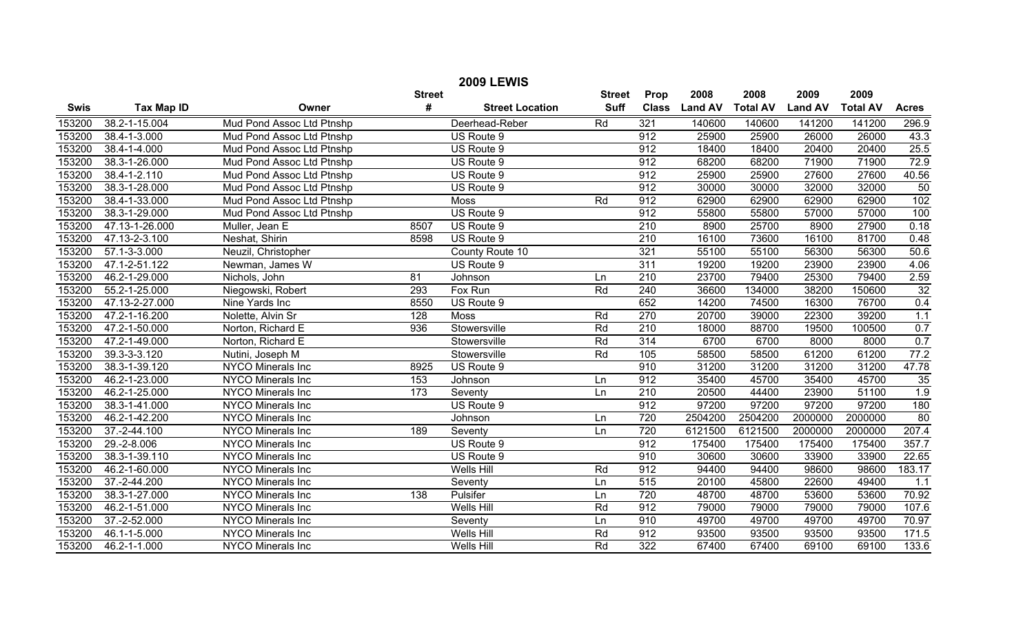|             | <b>2009 LEWIS</b> |                           |               |                        |               |              |                |                 |                |                 |              |  |
|-------------|-------------------|---------------------------|---------------|------------------------|---------------|--------------|----------------|-----------------|----------------|-----------------|--------------|--|
|             |                   |                           | <b>Street</b> |                        | <b>Street</b> | Prop         | 2008           | 2008            | 2009           | 2009            |              |  |
| <b>Swis</b> | <b>Tax Map ID</b> | Owner                     | #             | <b>Street Location</b> | Suff          | <b>Class</b> | <b>Land AV</b> | <b>Total AV</b> | <b>Land AV</b> | <b>Total AV</b> | <b>Acres</b> |  |
| 153200      | 38.2-1-15.004     | Mud Pond Assoc Ltd Ptnshp |               | Deerhead-Reber         | Rd            | 321          | 140600         | 140600          | 141200         | 141200          | 296.9        |  |
| 153200      | 38.4-1-3.000      | Mud Pond Assoc Ltd Ptnshp |               | US Route 9             |               | 912          | 25900          | 25900           | 26000          | 26000           | 43.3         |  |
| 153200      | 38.4-1-4.000      | Mud Pond Assoc Ltd Ptnshp |               | US Route 9             |               | 912          | 18400          | 18400           | 20400          | 20400           | 25.5         |  |
| 153200      | 38.3-1-26.000     | Mud Pond Assoc Ltd Ptnshp |               | US Route 9             |               | 912          | 68200          | 68200           | 71900          | 71900           | 72.9         |  |
| 153200      | 38.4-1-2.110      | Mud Pond Assoc Ltd Ptnshp |               | US Route 9             |               | 912          | 25900          | 25900           | 27600          | 27600           | 40.56        |  |
| 153200      | 38.3-1-28.000     | Mud Pond Assoc Ltd Ptnshp |               | US Route 9             |               | 912          | 30000          | 30000           | 32000          | 32000           | 50           |  |
| 153200      | 38.4-1-33.000     | Mud Pond Assoc Ltd Ptnshp |               | Moss                   | Rd            | 912          | 62900          | 62900           | 62900          | 62900           | 102          |  |
| 153200      | 38.3-1-29.000     | Mud Pond Assoc Ltd Ptnshp |               | US Route 9             |               | 912          | 55800          | 55800           | 57000          | 57000           | 100          |  |
| 153200      | 47.13-1-26.000    | Muller, Jean E            | 8507          | US Route 9             |               | 210          | 8900           | 25700           | 8900           | 27900           | 0.18         |  |
| 153200      | 47.13-2-3.100     | Neshat, Shirin            | 8598          | US Route 9             |               | 210          | 16100          | 73600           | 16100          | 81700           | 0.48         |  |
| 153200      | 57.1-3-3.000      | Neuzil, Christopher       |               | County Route 10        |               | 321          | 55100          | 55100           | 56300          | 56300           | 50.6         |  |
| 153200      | 47.1-2-51.122     | Newman, James W           |               | US Route 9             |               | 311          | 19200          | 19200           | 23900          | 23900           | 4.06         |  |
| 153200      | 46.2-1-29.000     | Nichols, John             | 81            | Johnson                | Ln            | 210          | 23700          | 79400           | 25300          | 79400           | 2.59         |  |
| 153200      | 55.2-1-25.000     | Niegowski, Robert         | 293           | Fox Run                | Rd            | 240          | 36600          | 134000          | 38200          | 150600          | 32           |  |
| 153200      | 47.13-2-27.000    | Nine Yards Inc            | 8550          | US Route 9             |               | 652          | 14200          | 74500           | 16300          | 76700           | 0.4          |  |
| 153200      | 47.2-1-16.200     | Nolette, Alvin Sr         | 128           | Moss                   | Rd            | 270          | 20700          | 39000           | 22300          | 39200           | 1.1          |  |
| 153200      | 47.2-1-50.000     | Norton, Richard E         | 936           | Stowersville           | Rd            | 210          | 18000          | 88700           | 19500          | 100500          | 0.7          |  |
| 153200      | 47.2-1-49.000     | Norton, Richard E         |               | Stowersville           | Rd            | 314          | 6700           | 6700            | 8000           | 8000            | 0.7          |  |
| 153200      | 39.3-3-3.120      | Nutini, Joseph M          |               | Stowersville           | Rd            | 105          | 58500          | 58500           | 61200          | 61200           | 77.2         |  |
| 153200      | 38.3-1-39.120     | <b>NYCO Minerals Inc</b>  | 8925          | US Route 9             |               | 910          | 31200          | 31200           | 31200          | 31200           | 47.78        |  |
| 153200      | 46.2-1-23.000     | <b>NYCO Minerals Inc</b>  | 153           | Johnson                | Ln            | 912          | 35400          | 45700           | 35400          | 45700           | 35           |  |
| 153200      | 46.2-1-25.000     | <b>NYCO Minerals Inc</b>  | 173           | Seventy                | Ln            | 210          | 20500          | 44400           | 23900          | 51100           | 1.9          |  |
| 153200      | 38.3-1-41.000     | NYCO Minerals Inc         |               | US Route 9             |               | 912          | 97200          | 97200           | 97200          | 97200           | 180          |  |
| 153200      | 46.2-1-42.200     | <b>NYCO Minerals Inc</b>  |               | Johnson                | Ln            | 720          | 2504200        | 2504200         | 2000000        | 2000000         | 80           |  |
| 153200      | 37.-2-44.100      | NYCO Minerals Inc         | 189           | Seventy                | Ln            | 720          | 6121500        | 6121500         | 2000000        | 2000000         | 207.4        |  |
| 153200      | 29.-2-8.006       | NYCO Minerals Inc         |               | US Route 9             |               | 912          | 175400         | 175400          | 175400         | 175400          | 357.7        |  |
| 153200      | 38.3-1-39.110     | <b>NYCO Minerals Inc</b>  |               | US Route 9             |               | 910          | 30600          | 30600           | 33900          | 33900           | 22.65        |  |
| 153200      | 46.2-1-60.000     | <b>NYCO Minerals Inc</b>  |               | Wells Hill             | Rd            | 912          | 94400          | 94400           | 98600          | 98600           | 183.17       |  |
| 153200      | 37.-2-44.200      | NYCO Minerals Inc         |               | Seventy                | Ln            | 515          | 20100          | 45800           | 22600          | 49400           | 1.1          |  |
| 153200      | 38.3-1-27.000     | NYCO Minerals Inc         | 138           | Pulsifer               | Ln            | 720          | 48700          | 48700           | 53600          | 53600           | 70.92        |  |
| 153200      | 46.2-1-51.000     | <b>NYCO Minerals Inc</b>  |               | <b>Wells Hill</b>      | Rd            | 912          | 79000          | 79000           | 79000          | 79000           | 107.6        |  |
| 153200      | 37.-2-52.000      | NYCO Minerals Inc         |               | Seventy                | Ln            | 910          | 49700          | 49700           | 49700          | 49700           | 70.97        |  |
| 153200      | 46.1-1-5.000      | NYCO Minerals Inc         |               | Wells Hill             | Rd            | 912          | 93500          | 93500           | 93500          | 93500           | 171.5        |  |
| 153200      | 46.2-1-1.000      | <b>NYCO Minerals Inc</b>  |               | Wells Hill             | Rd            | 322          | 67400          | 67400           | 69100          | 69100           | 133.6        |  |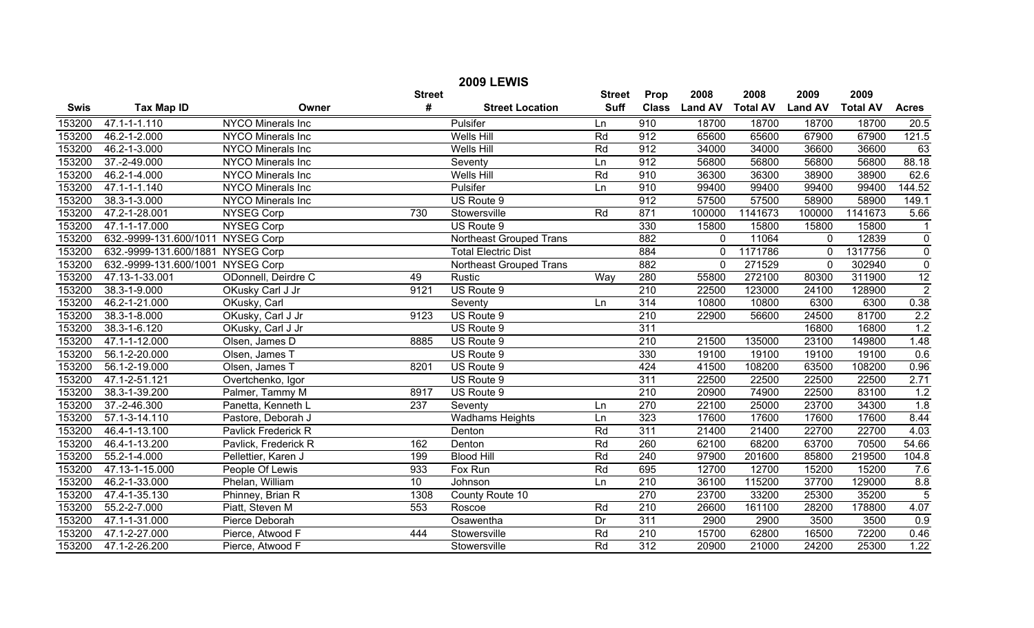| <b>2009 LEWIS</b> |                                   |                            |                  |                            |                 |                  |                |                 |                |                 |                 |
|-------------------|-----------------------------------|----------------------------|------------------|----------------------------|-----------------|------------------|----------------|-----------------|----------------|-----------------|-----------------|
|                   |                                   |                            | <b>Street</b>    |                            | <b>Street</b>   | Prop             | 2008           | 2008            | 2009           | 2009            |                 |
| <b>Swis</b>       | <b>Tax Map ID</b>                 | Owner                      | #                | <b>Street Location</b>     | <b>Suff</b>     | <b>Class</b>     | <b>Land AV</b> | <b>Total AV</b> | <b>Land AV</b> | <b>Total AV</b> | <b>Acres</b>    |
| 153200            | 47.1-1-1.110                      | NYCO Minerals Inc          |                  | Pulsifer                   | Ln              | 910              | 18700          | 18700           | 18700          | 18700           | 20.5            |
| 153200            | 46.2-1-2.000                      | <b>NYCO Minerals Inc</b>   |                  | <b>Wells Hill</b>          | Rd              | 912              | 65600          | 65600           | 67900          | 67900           | 121.5           |
| 153200            | 46.2-1-3.000                      | <b>NYCO Minerals Inc</b>   |                  | <b>Wells Hill</b>          | Rd              | 912              | 34000          | 34000           | 36600          | 36600           | 63              |
| 153200            | 37.-2-49.000                      | NYCO Minerals Inc          |                  | Seventy                    | Ln              | 912              | 56800          | 56800           | 56800          | 56800           | 88.18           |
| 153200            | 46.2-1-4.000                      | NYCO Minerals Inc          |                  | <b>Wells Hill</b>          | Rd              | 910              | 36300          | 36300           | 38900          | 38900           | 62.6            |
| 153200            | 47.1-1-1.140                      | NYCO Minerals Inc          |                  | Pulsifer                   | Ln              | 910              | 99400          | 99400           | 99400          | 99400           | 144.52          |
| 153200            | 38.3-1-3.000                      | <b>NYCO Minerals Inc</b>   |                  | US Route 9                 |                 | 912              | 57500          | 57500           | 58900          | 58900           | 149.1           |
| 153200            | 47.2-1-28.001                     | NYSEG Corp                 | 730              | Stowersville               | Rd              | 871              | 100000         | 1141673         | 100000         | 1141673         | 5.66            |
| 153200            | 47.1-1-17.000                     | <b>NYSEG Corp</b>          |                  | US Route 9                 |                 | 330              | 15800          | 15800           | 15800          | 15800           | 1               |
| 153200            | 632.-9999-131.600/1011 NYSEG Corp |                            |                  | Northeast Grouped Trans    |                 | 882              | $\mathbf 0$    | 11064           | $\mathbf{0}$   | 12839           | $\pmb{0}$       |
| 153200            | 632.-9999-131.600/1881 NYSEG Corp |                            |                  | <b>Total Electric Dist</b> |                 | 884              | $\mathbf 0$    | 1171786         | $\Omega$       | 1317756         | $\pmb{0}$       |
| 153200            | 632.-9999-131.600/1001 NYSEG Corp |                            |                  | Northeast Grouped Trans    |                 | 882              | $\mathbf{0}$   | 271529          | $\Omega$       | 302940          | $\overline{0}$  |
| 153200            | 47.13-1-33.001                    | ODonnell, Deirdre C        | 49               | Rustic                     | Way             | 280              | 55800          | 272100          | 80300          | 311900          | $\overline{12}$ |
| 153200            | 38.3-1-9.000                      | OKusky Carl J Jr           | 9121             | US Route 9                 |                 | $\overline{210}$ | 22500          | 123000          | 24100          | 128900          | $\overline{2}$  |
| 153200            | 46.2-1-21.000                     | OKusky, Carl               |                  | Seventy                    | Ln              | 314              | 10800          | 10800           | 6300           | 6300            | 0.38            |
| 153200            | 38.3-1-8.000                      | OKusky, Carl J Jr          | 9123             | US Route 9                 |                 | 210              | 22900          | 56600           | 24500          | 81700           | 2.2             |
| 153200            | 38.3-1-6.120                      | OKusky, Carl J Jr          |                  | US Route 9                 |                 | 311              |                |                 | 16800          | 16800           | 1.2             |
| 153200            | 47.1-1-12.000                     | Olsen, James D             | 8885             | US Route 9                 |                 | 210              | 21500          | 135000          | 23100          | 149800          | 1.48            |
| 153200            | 56.1-2-20.000                     | Olsen, James T             |                  | US Route 9                 |                 | 330              | 19100          | 19100           | 19100          | 19100           | 0.6             |
| 153200            | 56.1-2-19.000                     | Olsen, James T             | 8201             | US Route 9                 |                 | 424              | 41500          | 108200          | 63500          | 108200          | 0.96            |
| 153200            | 47.1-2-51.121                     | Overtchenko, Igor          |                  | US Route 9                 |                 | 311              | 22500          | 22500           | 22500          | 22500           | 2.71            |
| 153200            | 38.3-1-39.200                     | Palmer, Tammy M            | 8917             | US Route 9                 |                 | 210              | 20900          | 74900           | 22500          | 83100           | 1.2             |
| 153200            | 37.-2-46.300                      | Panetta, Kenneth L         | $\overline{237}$ | Seventy                    | Ln              | 270              | 22100          | 25000           | 23700          | 34300           | 1.8             |
| 153200            | 57.1-3-14.110                     | Pastore, Deborah J         |                  | <b>Wadhams Heights</b>     | Ln              | 323              | 17600          | 17600           | 17600          | 17600           | 8.44            |
| 153200            | 46.4-1-13.100                     | <b>Pavlick Frederick R</b> |                  | Denton                     | Rd              | 311              | 21400          | 21400           | 22700          | 22700           | 4.03            |
| 153200            | 46.4-1-13.200                     | Pavlick, Frederick R       | 162              | Denton                     | Rd              | 260              | 62100          | 68200           | 63700          | 70500           | 54.66           |
| 153200            | 55.2-1-4.000                      | Pellettier, Karen J        | 199              | <b>Blood Hill</b>          | Rd              | 240              | 97900          | 201600          | 85800          | 219500          | 104.8           |
| 153200            | 47.13-1-15.000                    | People Of Lewis            | 933              | Fox Run                    | Rd              | 695              | 12700          | 12700           | 15200          | 15200           | 7.6             |
| 153200            | 46.2-1-33.000                     | Phelan, William            | $\overline{10}$  | Johnson                    | Ln              | 210              | 36100          | 115200          | 37700          | 129000          | 8.8             |
| 153200            | 47.4-1-35.130                     | Phinney, Brian R           | 1308             | County Route 10            |                 | 270              | 23700          | 33200           | 25300          | 35200           | $\overline{5}$  |
| 153200            | 55.2-2-7.000                      | Piatt, Steven M            | 553              | Roscoe                     | Rd              | 210              | 26600          | 161100          | 28200          | 178800          | 4.07            |
| 153200            | 47.1-1-31.000                     | Pierce Deborah             |                  | Osawentha                  | $\overline{Dr}$ | 311              | 2900           | 2900            | 3500           | 3500            | 0.9             |
| 153200            | 47.1-2-27.000                     | Pierce, Atwood F           | 444              | Stowersville               | Rd              | 210              | 15700          | 62800           | 16500          | 72200           | 0.46            |
| 153200            | 47.1-2-26.200                     | Pierce, Atwood F           |                  | Stowersville               | Rd              | 312              | 20900          | 21000           | 24200          | 25300           | 1.22            |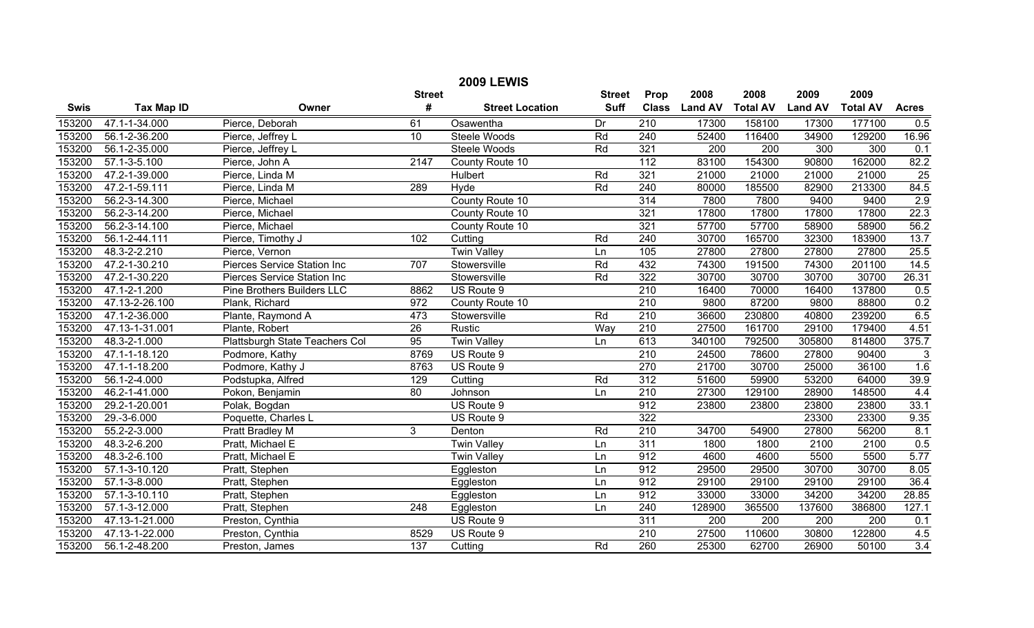|             |                             |                                    |                  | <b>2009 LEWIS</b>      |               |                  |                |                  |                |                 |              |
|-------------|-----------------------------|------------------------------------|------------------|------------------------|---------------|------------------|----------------|------------------|----------------|-----------------|--------------|
|             |                             |                                    | <b>Street</b>    |                        | <b>Street</b> | Prop             | 2008           | 2008             | 2009           | 2009            |              |
| <b>Swis</b> | <b>Tax Map ID</b>           | Owner                              | #                | <b>Street Location</b> | <b>Suff</b>   | <b>Class</b>     | <b>Land AV</b> | <b>Total AV</b>  | <b>Land AV</b> | <b>Total AV</b> | <b>Acres</b> |
| 153200      | 47.1-1-34.000               | Pierce, Deborah                    | 61               | Osawentha              | Dr            | 210              | 17300          | 158100           | 17300          | 177100          | 0.5          |
| 153200      | 56.1-2-36.200               | Pierce, Jeffrey L                  | 10               | Steele Woods           | Rd            | 240              | 52400          | 116400           | 34900          | 129200          | 16.96        |
| 153200      | 56.1-2-35.000               | Pierce, Jeffrey L                  |                  | <b>Steele Woods</b>    | Rd            | 321              | 200            | $\overline{200}$ | 300            | 300             | 0.1          |
| 153200      | $57.1 - 3 - 5.100$          | Pierce, John A                     | 2147             | County Route 10        |               | 112              | 83100          | 154300           | 90800          | 162000          | 82.2         |
| 153200      | 47.2-1-39.000               | Pierce, Linda M                    |                  | Hulbert                | Rd            | 321              | 21000          | 21000            | 21000          | 21000           | 25           |
| 153200      | 47.2-1-59.111               | Pierce, Linda M                    | 289              | Hyde                   | Rd            | 240              | 80000          | 185500           | 82900          | 213300          | 84.5         |
| 153200      | 56.2-3-14.300               | Pierce, Michael                    |                  | County Route 10        |               | 314              | 7800           | 7800             | 9400           | 9400            | 2.9          |
| 153200      | 56.2-3-14.200               | Pierce, Michael                    |                  | County Route 10        |               | 321              | 17800          | 17800            | 17800          | 17800           | 22.3         |
| 153200      | 56.2-3-14.100               | Pierce, Michael                    |                  | County Route 10        |               | 321              | 57700          | 57700            | 58900          | 58900           | 56.2         |
| 153200      | 56.1-2-44.111               | Pierce, Timothy J                  | 102              | Cutting                | Rd            | 240              | 30700          | 165700           | 32300          | 183900          | 13.7         |
| 153200      | 48.3-2-2.210                | Pierce, Vernon                     |                  | <b>Twin Valley</b>     | Ln            | 105              | 27800          | 27800            | 27800          | 27800           | 25.5         |
| 153200      | 47.2-1-30.210               | <b>Pierces Service Station Inc</b> | 707              | Stowersville           | Rd            | 432              | 74300          | 191500           | 74300          | 201100          | 14.5         |
| 153200      | 47.2-1-30.220               | Pierces Service Station Inc        |                  | Stowersville           | Rd            | 322              | 30700          | 30700            | 30700          | 30700           | 26.31        |
| 153200      | 47.1-2-1.200                | Pine Brothers Builders LLC         | 8862             | US Route 9             |               | $\overline{210}$ | 16400          | 70000            | 16400          | 137800          | 0.5          |
| 153200      | 47.13-2-26.100              | Plank, Richard                     | 972              | County Route 10        |               | $\overline{210}$ | 9800           | 87200            | 9800           | 88800           | 0.2          |
| 153200      | 47.1-2-36.000               | Plante, Raymond A                  | 473              | Stowersville           | Rd            | 210              | 36600          | 230800           | 40800          | 239200          | 6.5          |
| 153200      | 47.13-1-31.001              | Plante, Robert                     | $\overline{26}$  | Rustic                 | Way           | 210              | 27500          | 161700           | 29100          | 179400          | 4.51         |
| 153200      | 48.3-2-1.000                | Plattsburgh State Teachers Col     | 95               | <b>Twin Valley</b>     | Ln            | 613              | 340100         | 792500           | 305800         | 814800          | 375.7        |
| 153200      | 47.1-1-18.120               | Podmore, Kathy                     | 8769             | US Route 9             |               | 210              | 24500          | 78600            | 27800          | 90400           | $\sqrt{3}$   |
| 153200      | 47.1-1-18.200               | Podmore, Kathy J                   | 8763             | US Route 9             |               | 270              | 21700          | 30700            | 25000          | 36100           | 1.6          |
| 153200      | 56.1-2-4.000                | Podstupka, Alfred                  | 129              | Cutting                | Rd            | 312              | 51600          | 59900            | 53200          | 64000           | 39.9         |
| 153200      | 46.2-1-41.000               | Pokon, Benjamin                    | $\overline{80}$  | Johnson                | Ln            | $\overline{210}$ | 27300          | 129100           | 28900          | 148500          | 4.4          |
| 153200      | 29.2-1-20.001               | Polak, Bogdan                      |                  | US Route 9             |               | 912              | 23800          | 23800            | 23800          | 23800           | 33.1         |
| 153200      | 29.-3-6.000                 | Poquette, Charles L                |                  | US Route 9             |               | 322              |                |                  | 23300          | 23300           | 9.35         |
| 153200      | 55.2-2-3.000                | Pratt Bradley M                    | 3                | Denton                 | Rd            | $\overline{210}$ | 34700          | 54900            | 27800          | 56200           | 8.1          |
| 153200      | 48.3-2-6.200                | Pratt, Michael E                   |                  | <b>Twin Valley</b>     | Ln            | 311              | 1800           | 1800             | 2100           | 2100            | 0.5          |
| 153200      | 48.3-2-6.100                | Pratt, Michael E                   |                  | <b>Twin Valley</b>     | Ln            | 912              | 4600           | 4600             | 5500           | 5500            | 5.77         |
| 153200      | 57.1-3-10.120               | Pratt, Stephen                     |                  | Eggleston              | Ln            | 912              | 29500          | 29500            | 30700          | 30700           | 8.05         |
| 153200      | $57.1 - 3 - 8.000$          | Pratt, Stephen                     |                  | Eggleston              | Ln            | 912              | 29100          | 29100            | 29100          | 29100           | 36.4         |
| 153200      | $\overline{57.1}$ -3-10.110 | Pratt, Stephen                     |                  | Eggleston              | Ln            | 912              | 33000          | 33000            | 34200          | 34200           | 28.85        |
| 153200      | 57.1-3-12.000               | Pratt, Stephen                     | $\overline{248}$ | Eggleston              | Ln            | 240              | 128900         | 365500           | 137600         | 386800          | 127.1        |
| 153200      | 47.13-1-21.000              | Preston, Cynthia                   |                  | US Route 9             |               | 311              | 200            | 200              | 200            | 200             | 0.1          |
| 153200      | 47.13-1-22.000              | Preston, Cynthia                   | 8529             | US Route 9             |               | 210              | 27500          | 110600           | 30800          | 122800          | 4.5          |
| 153200      | 56.1-2-48.200               | Preston, James                     | 137              | Cutting                | Rd            | 260              | 25300          | 62700            | 26900          | 50100           | 3.4          |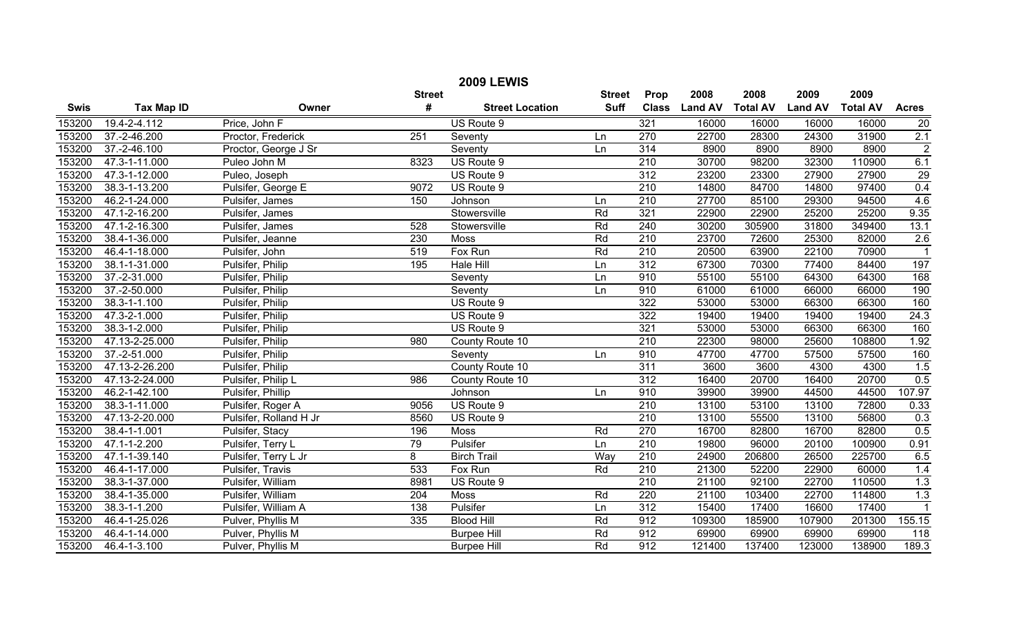| <b>2009 LEWIS</b> |                    |                        |                  |                        |               |                  |                |                 |                |                 |                 |
|-------------------|--------------------|------------------------|------------------|------------------------|---------------|------------------|----------------|-----------------|----------------|-----------------|-----------------|
|                   |                    |                        | <b>Street</b>    |                        | <b>Street</b> | Prop             | 2008           | 2008            | 2009           | 2009            |                 |
| <b>Swis</b>       | <b>Tax Map ID</b>  | Owner                  | #                | <b>Street Location</b> | <b>Suff</b>   | <b>Class</b>     | <b>Land AV</b> | <b>Total AV</b> | <b>Land AV</b> | <b>Total AV</b> | <b>Acres</b>    |
| 153200            | 19.4-2-4.112       | Price, John F          |                  | US Route 9             |               | 321              | 16000          | 16000           | 16000          | 16000           | 20              |
| 153200            | 37.-2-46.200       | Proctor, Frederick     | 251              | Seventy                | Ln            | 270              | 22700          | 28300           | 24300          | 31900           | 2.1             |
| 153200            | 37.-2-46.100       | Proctor, George J Sr   |                  | Seventy                | Ln            | $\overline{314}$ | 8900           | 8900            | 8900           | 8900            | $\overline{2}$  |
| 153200            | 47.3-1-11.000      | Puleo John M           | 8323             | US Route 9             |               | $\overline{210}$ | 30700          | 98200           | 32300          | 110900          | 6.1             |
| 153200            | 47.3-1-12.000      | Puleo, Joseph          |                  | US Route 9             |               | 312              | 23200          | 23300           | 27900          | 27900           | $\overline{29}$ |
| 153200            | 38.3-1-13.200      | Pulsifer, George E     | 9072             | US Route 9             |               | 210              | 14800          | 84700           | 14800          | 97400           | 0.4             |
| 153200            | 46.2-1-24.000      | Pulsifer, James        | 150              | Johnson                | Ln            | $\overline{210}$ | 27700          | 85100           | 29300          | 94500           | 4.6             |
| 153200            | 47.1-2-16.200      | Pulsifer, James        |                  | Stowersville           | Rd            | 321              | 22900          | 22900           | 25200          | 25200           | 9.35            |
| 153200            | 47.1-2-16.300      | Pulsifer, James        | 528              | Stowersville           | Rd            | 240              | 30200          | 305900          | 31800          | 349400          | 13.1            |
| 153200            | 38.4-1-36.000      | Pulsifer, Jeanne       | 230              | Moss                   | Rd            | 210              | 23700          | 72600           | 25300          | 82000           | 2.6             |
| 153200            | 46.4-1-18.000      | Pulsifer, John         | 519              | Fox Run                | Rd            | 210              | 20500          | 63900           | 22100          | 70900           |                 |
| 153200            | 38.1-1-31.000      | Pulsifer, Philip       | 195              | <b>Hale Hill</b>       | Ln            | $\overline{312}$ | 67300          | 70300           | 77400          | 84400           | 197             |
| 153200            | 37.-2-31.000       | Pulsifer, Philip       |                  | Seventy                | Ln            | 910              | 55100          | 55100           | 64300          | 64300           | 168             |
| 153200            | 37.-2-50.000       | Pulsifer, Philip       |                  | Seventy                | Ln            | 910              | 61000          | 61000           | 66000          | 66000           | 190             |
| 153200            | $38.3 - 1 - 1.100$ | Pulsifer, Philip       |                  | US Route 9             |               | 322              | 53000          | 53000           | 66300          | 66300           | 160             |
| 153200            | 47.3-2-1.000       | Pulsifer, Philip       |                  | US Route 9             |               | 322              | 19400          | 19400           | 19400          | 19400           | 24.3            |
| 153200            | $38.3 - 1 - 2.000$ | Pulsifer, Philip       |                  | US Route 9             |               | 321              | 53000          | 53000           | 66300          | 66300           | 160             |
| 153200            | 47.13-2-25.000     | Pulsifer, Philip       | 980              | County Route 10        |               | 210              | 22300          | 98000           | 25600          | 108800          | 1.92            |
| 153200            | 37.-2-51.000       | Pulsifer, Philip       |                  | Seventy                | Ln            | 910              | 47700          | 47700           | 57500          | 57500           | 160             |
| 153200            | 47.13-2-26.200     | Pulsifer, Philip       |                  | County Route 10        |               | 311              | 3600           | 3600            | 4300           | 4300            | 1.5             |
| 153200            | 47.13-2-24.000     | Pulsifer, Philip L     | 986              | County Route 10        |               | $\overline{312}$ | 16400          | 20700           | 16400          | 20700           | 0.5             |
| 153200            | 46.2-1-42.100      | Pulsifer, Phillip      |                  | Johnson                | Ln            | 910              | 39900          | 39900           | 44500          | 44500           | 107.97          |
| 153200            | 38.3-1-11.000      | Pulsifer, Roger A      | 9056             | US Route 9             |               | 210              | 13100          | 53100           | 13100          | 72800           | 0.33            |
| 153200            | 47.13-2-20.000     | Pulsifer, Rolland H Jr | 8560             | US Route 9             |               | $\overline{210}$ | 13100          | 55500           | 13100          | 56800           | 0.3             |
| 153200            | 38.4-1-1.001       | Pulsifer, Stacy        | 196              | <b>Moss</b>            | Rd            | 270              | 16700          | 82800           | 16700          | 82800           | 0.5             |
| 153200            | 47.1-1-2.200       | Pulsifer, Terry L      | 79               | Pulsifer               | Ln            | 210              | 19800          | 96000           | 20100          | 100900          | 0.91            |
| 153200            | 47.1-1-39.140      | Pulsifer, Terry L Jr   | 8                | <b>Birch Trail</b>     | Way           | 210              | 24900          | 206800          | 26500          | 225700          | 6.5             |
| 153200            | 46.4-1-17.000      | Pulsifer, Travis       | 533              | Fox Run                | Rd            | 210              | 21300          | 52200           | 22900          | 60000           | 1.4             |
| 153200            | 38.3-1-37.000      | Pulsifer, William      | 8981             | US Route 9             |               | 210              | 21100          | 92100           | 22700          | 110500          | 1.3             |
| 153200            | 38.4-1-35.000      | Pulsifer, William      | 204              | Moss                   | Rd            | 220              | 21100          | 103400          | 22700          | 114800          | 1.3             |
| 153200            | 38.3-1-1.200       | Pulsifer, William A    | $\overline{138}$ | Pulsifer               | Ln            | 312              | 15400          | 17400           | 16600          | 17400           | $\overline{1}$  |
| 153200            | 46.4-1-25.026      | Pulver, Phyllis M      | 335              | <b>Blood Hill</b>      | Rd            | 912              | 109300         | 185900          | 107900         | 201300          | 155.15          |
| 153200            | 46.4-1-14.000      | Pulver, Phyllis M      |                  | <b>Burpee Hill</b>     | Rd            | 912              | 69900          | 69900           | 69900          | 69900           | 118             |
| 153200            | 46.4-1-3.100       | Pulver, Phyllis M      |                  | <b>Burpee Hill</b>     | Rd            | 912              | 121400         | 137400          | 123000         | 138900          | 189.3           |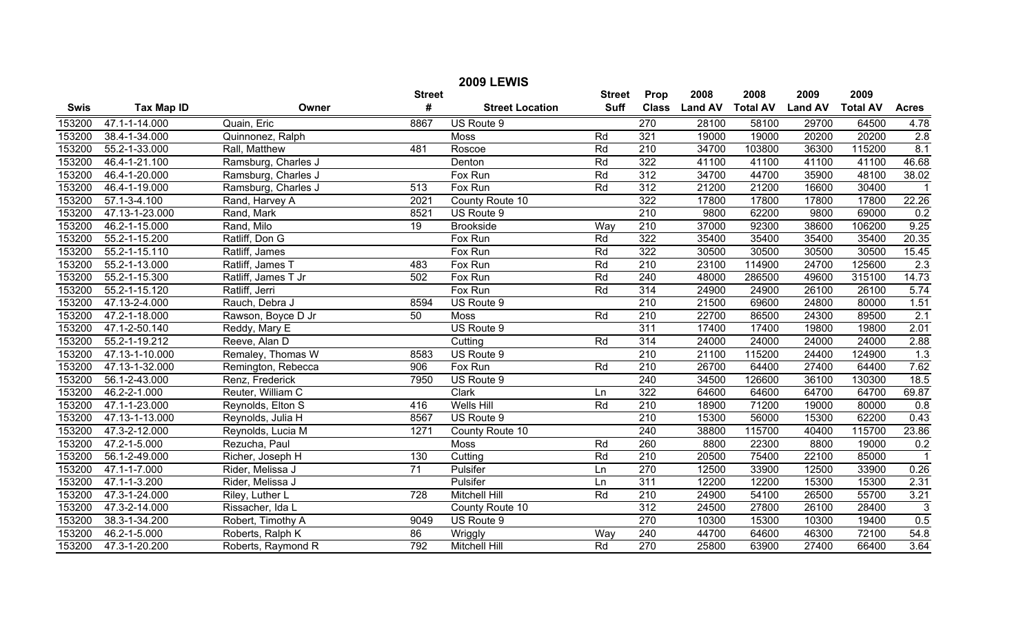| <b>2009 LEWIS</b> |                   |                     |                 |                        |               |                  |                |                 |                |                 |                |
|-------------------|-------------------|---------------------|-----------------|------------------------|---------------|------------------|----------------|-----------------|----------------|-----------------|----------------|
|                   |                   |                     | <b>Street</b>   |                        | <b>Street</b> | Prop             | 2008           | 2008            | 2009           | 2009            |                |
| <b>Swis</b>       | <b>Tax Map ID</b> | Owner               | #               | <b>Street Location</b> | <b>Suff</b>   | <b>Class</b>     | <b>Land AV</b> | <b>Total AV</b> | <b>Land AV</b> | <b>Total AV</b> | <b>Acres</b>   |
| 153200            | 47.1-1-14.000     | Quain, Eric         | 8867            | US Route 9             |               | 270              | 28100          | 58100           | 29700          | 64500           | 4.78           |
| 153200            | 38.4-1-34.000     | Quinnonez, Ralph    |                 | Moss                   | Rd            | 321              | 19000          | 19000           | 20200          | 20200           | 2.8            |
| 153200            | 55.2-1-33.000     | Rall, Matthew       | 481             | Roscoe                 | Rd            | 210              | 34700          | 103800          | 36300          | 115200          | 8.1            |
| 153200            | 46.4-1-21.100     | Ramsburg, Charles J |                 | Denton                 | Rd            | 322              | 41100          | 41100           | 41100          | 41100           | 46.68          |
| 153200            | 46.4-1-20.000     | Ramsburg, Charles J |                 | Fox Run                | Rd            | $\overline{312}$ | 34700          | 44700           | 35900          | 48100           | 38.02          |
| 153200            | 46.4-1-19.000     | Ramsburg, Charles J | 513             | Fox Run                | Rd            | 312              | 21200          | 21200           | 16600          | 30400           | $\mathbf{1}$   |
| 153200            | 57.1-3-4.100      | Rand, Harvey A      | 2021            | County Route 10        |               | 322              | 17800          | 17800           | 17800          | 17800           | 22.26          |
| 153200            | 47.13-1-23.000    | Rand, Mark          | 8521            | US Route 9             |               | $\overline{210}$ | 9800           | 62200           | 9800           | 69000           | 0.2            |
| 153200            | 46.2-1-15.000     | Rand, Milo          | $\overline{19}$ | <b>Brookside</b>       | Way           | 210              | 37000          | 92300           | 38600          | 106200          | 9.25           |
| 153200            | 55.2-1-15.200     | Ratliff, Don G      |                 | Fox Run                | Rd            | 322              | 35400          | 35400           | 35400          | 35400           | 20.35          |
| 153200            | 55.2-1-15.110     | Ratliff, James      |                 | Fox Run                | Rd            | 322              | 30500          | 30500           | 30500          | 30500           | 15.45          |
| 153200            | 55.2-1-13.000     | Ratliff, James T    | 483             | Fox Run                | Rd            | $\overline{210}$ | 23100          | 114900          | 24700          | 125600          | 2.3            |
| 153200            | 55.2-1-15.300     | Ratliff, James T Jr | 502             | Fox Run                | Rd            | 240              | 48000          | 286500          | 49600          | 315100          | 14.73          |
| 153200            | 55.2-1-15.120     | Ratliff, Jerri      |                 | Fox Run                | Rd            | 314              | 24900          | 24900           | 26100          | 26100           | 5.74           |
| 153200            | 47.13-2-4.000     | Rauch, Debra J      | 8594            | US Route 9             |               | 210              | 21500          | 69600           | 24800          | 80000           | 1.51           |
| 153200            | 47.2-1-18.000     | Rawson, Boyce D Jr  | 50              | Moss                   | Rd            | $\overline{210}$ | 22700          | 86500           | 24300          | 89500           | 2.1            |
| 153200            | 47.1-2-50.140     | Reddy, Mary E       |                 | US Route 9             |               | 311              | 17400          | 17400           | 19800          | 19800           | 2.01           |
| 153200            | 55.2-1-19.212     | Reeve, Alan D       |                 | Cutting                | Rd            | 314              | 24000          | 24000           | 24000          | 24000           | 2.88           |
| 153200            | 47.13-1-10.000    | Remaley, Thomas W   | 8583            | US Route 9             |               | 210              | 21100          | 115200          | 24400          | 124900          | 1.3            |
| 153200            | 47.13-1-32.000    | Remington, Rebecca  | 906             | Fox Run                | Rd            | $\overline{210}$ | 26700          | 64400           | 27400          | 64400           | 7.62           |
| 153200            | 56.1-2-43.000     | Renz, Frederick     | 7950            | US Route 9             |               | 240              | 34500          | 126600          | 36100          | 130300          | 18.5           |
| 153200            | 46.2-2-1.000      | Reuter, William C   |                 | Clark                  | Ln            | 322              | 64600          | 64600           | 64700          | 64700           | 69.87          |
| 153200            | 47.1-1-23.000     | Reynolds, Elton S   | 416             | <b>Wells Hill</b>      | Rd            | 210              | 18900          | 71200           | 19000          | 80000           | 0.8            |
| 153200            | 47.13-1-13.000    | Reynolds, Julia H   | 8567            | US Route 9             |               | 210              | 15300          | 56000           | 15300          | 62200           | 0.43           |
| 153200            | 47.3-2-12.000     | Reynolds, Lucia M   | 1271            | County Route 10        |               | 240              | 38800          | 115700          | 40400          | 115700          | 23.86          |
| 153200            | 47.2-1-5.000      | Rezucha, Paul       |                 | Moss                   | Rd            | 260              | 8800           | 22300           | 8800           | 19000           | 0.2            |
| 153200            | 56.1-2-49.000     | Richer, Joseph H    | 130             | Cutting                | Rd            | 210              | 20500          | 75400           | 22100          | 85000           | $\overline{1}$ |
| 153200            | 47.1-1-7.000      | Rider, Melissa J    | $\overline{71}$ | Pulsifer               | Ln            | 270              | 12500          | 33900           | 12500          | 33900           | 0.26           |
| 153200            | 47.1-1-3.200      | Rider, Melissa J    |                 | Pulsifer               | Ln            | 311              | 12200          | 12200           | 15300          | 15300           | 2.31           |
| 153200            | 47.3-1-24.000     | Riley, Luther L     | 728             | <b>Mitchell Hill</b>   | Rd            | 210              | 24900          | 54100           | 26500          | 55700           | 3.21           |
| 153200            | 47.3-2-14.000     | Rissacher, Ida L    |                 | County Route 10        |               | 312              | 24500          | 27800           | 26100          | 28400           | $\overline{3}$ |
| 153200            | 38.3-1-34.200     | Robert, Timothy A   | 9049            | US Route 9             |               | 270              | 10300          | 15300           | 10300          | 19400           | 0.5            |
| 153200            | 46.2-1-5.000      | Roberts, Ralph K    | 86              | Wriggly                | Way           | 240              | 44700          | 64600           | 46300          | 72100           | 54.8           |
| 153200            | 47.3-1-20.200     | Roberts, Raymond R  | 792             | <b>Mitchell Hill</b>   | Rd            | 270              | 25800          | 63900           | 27400          | 66400           | 3.64           |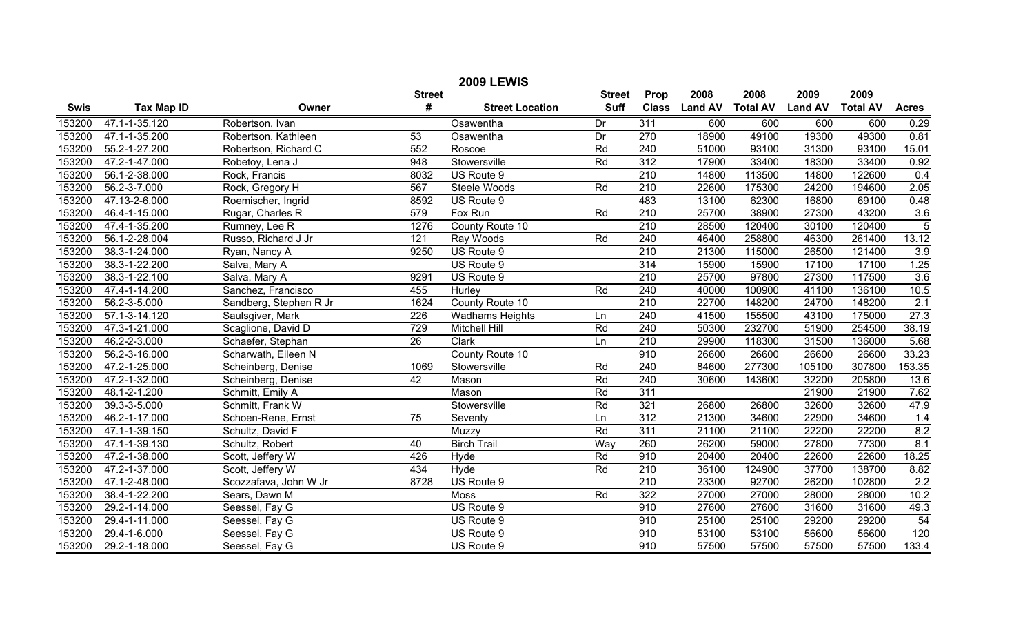| <b>2009 LEWIS</b> |                   |                        |                 |                        |               |                  |                |                 |                |                 |                |
|-------------------|-------------------|------------------------|-----------------|------------------------|---------------|------------------|----------------|-----------------|----------------|-----------------|----------------|
|                   |                   |                        | <b>Street</b>   |                        | <b>Street</b> | Prop             | 2008           | 2008            | 2009           | 2009            |                |
| <b>Swis</b>       | <b>Tax Map ID</b> | Owner                  | #               | <b>Street Location</b> | <b>Suff</b>   | <b>Class</b>     | <b>Land AV</b> | <b>Total AV</b> | <b>Land AV</b> | <b>Total AV</b> | <b>Acres</b>   |
| 153200            | 47.1-1-35.120     | Robertson, Ivan        |                 | Osawentha              | Dr            | 311              | 600            | 600             | 600            | 600             | 0.29           |
| 153200            | 47.1-1-35.200     | Robertson, Kathleen    | 53              | Osawentha              | Dr            | 270              | 18900          | 49100           | 19300          | 49300           | 0.81           |
| 153200            | 55.2-1-27.200     | Robertson, Richard C   | 552             | Roscoe                 | Rd            | 240              | 51000          | 93100           | 31300          | 93100           | 15.01          |
| 153200            | 47.2-1-47.000     | Robetoy, Lena J        | 948             | Stowersville           | Rd            | 312              | 17900          | 33400           | 18300          | 33400           | 0.92           |
| 153200            | 56.1-2-38.000     | Rock, Francis          | 8032            | US Route 9             |               | 210              | 14800          | 113500          | 14800          | 122600          | 0.4            |
| 153200            | 56.2-3-7.000      | Rock, Gregory H        | 567             | <b>Steele Woods</b>    | Rd            | $\overline{210}$ | 22600          | 175300          | 24200          | 194600          | 2.05           |
| 153200            | 47.13-2-6.000     | Roemischer, Ingrid     | 8592            | US Route 9             |               | 483              | 13100          | 62300           | 16800          | 69100           | 0.48           |
| 153200            | 46.4-1-15.000     | Rugar, Charles R       | 579             | Fox Run                | Rd            | 210              | 25700          | 38900           | 27300          | 43200           | 3.6            |
| 153200            | 47.4-1-35.200     | Rumney, Lee R          | 1276            | County Route 10        |               | 210              | 28500          | 120400          | 30100          | 120400          | $\overline{5}$ |
| 153200            | 56.1-2-28.004     | Russo, Richard J Jr    | 121             | Ray Woods              | Rd            | 240              | 46400          | 258800          | 46300          | 261400          | 13.12          |
| 153200            | 38.3-1-24.000     | Ryan, Nancy A          | 9250            | US Route 9             |               | $\overline{210}$ | 21300          | 115000          | 26500          | 121400          | 3.9            |
| 153200            | 38.3-1-22.200     | Salva, Mary A          |                 | US Route 9             |               | 314              | 15900          | 15900           | 17100          | 17100           | 1.25           |
| 153200            | 38.3-1-22.100     | Salva, Mary A          | 9291            | US Route 9             |               | 210              | 25700          | 97800           | 27300          | 117500          | 3.6            |
| 153200            | 47.4-1-14.200     | Sanchez, Francisco     | 455             | Hurley                 | Rd            | 240              | 40000          | 100900          | 41100          | 136100          | 10.5           |
| 153200            | 56.2-3-5.000      | Sandberg, Stephen R Jr | 1624            | County Route 10        |               | 210              | 22700          | 148200          | 24700          | 148200          | 2.1            |
| 153200            | 57.1-3-14.120     | Saulsgiver, Mark       | 226             | <b>Wadhams Heights</b> | Ln            | 240              | 41500          | 155500          | 43100          | 175000          | 27.3           |
| 153200            | 47.3-1-21.000     | Scaglione, David D     | 729             | Mitchell Hill          | Rd            | 240              | 50300          | 232700          | 51900          | 254500          | 38.19          |
| 153200            | 46.2-2-3.000      | Schaefer, Stephan      | $\overline{26}$ | Clark                  | Ln            | 210              | 29900          | 118300          | 31500          | 136000          | 5.68           |
| 153200            | 56.2-3-16.000     | Scharwath, Eileen N    |                 | County Route 10        |               | 910              | 26600          | 26600           | 26600          | 26600           | 33.23          |
| 153200            | 47.2-1-25.000     | Scheinberg, Denise     | 1069            | Stowersville           | Rd            | 240              | 84600          | 277300          | 105100         | 307800          | 153.35         |
| 153200            | 47.2-1-32.000     | Scheinberg, Denise     | 42              | Mason                  | Rd            | 240              | 30600          | 143600          | 32200          | 205800          | 13.6           |
| 153200            | 48.1-2-1.200      | Schmitt, Emily A       |                 | Mason                  | Rd            | 311              |                |                 | 21900          | 21900           | 7.62           |
| 153200            | 39.3-3-5.000      | Schmitt, Frank W       |                 | Stowersville           | Rd            | 321              | 26800          | 26800           | 32600          | 32600           | 47.9           |
| 153200            | 46.2-1-17.000     | Schoen-Rene, Ernst     | $\overline{75}$ | Seventy                | Ln            | 312              | 21300          | 34600           | 22900          | 34600           | 1.4            |
| 153200            | 47.1-1-39.150     | Schultz, David F       |                 | Muzzy                  | Rd            | 311              | 21100          | 21100           | 22200          | 22200           | 8.2            |
| 153200            | 47.1-1-39.130     | Schultz, Robert        | 40              | <b>Birch Trail</b>     | Way           | 260              | 26200          | 59000           | 27800          | 77300           | 8.1            |
| 153200            | 47.2-1-38.000     | Scott, Jeffery W       | 426             | Hyde                   | Rd            | 910              | 20400          | 20400           | 22600          | 22600           | 18.25          |
| 153200            | 47.2-1-37.000     | Scott, Jeffery W       | 434             | Hyde                   | Rd            | 210              | 36100          | 124900          | 37700          | 138700          | 8.82           |
| 153200            | 47.1-2-48.000     | Scozzafava, John W Jr  | 8728            | US Route 9             |               | 210              | 23300          | 92700           | 26200          | 102800          | 2.2            |
| 153200            | 38.4-1-22.200     | Sears, Dawn M          |                 | Moss                   | Rd            | 322              | 27000          | 27000           | 28000          | 28000           | 10.2           |
| 153200            | 29.2-1-14.000     | Seessel, Fay G         |                 | US Route 9             |               | 910              | 27600          | 27600           | 31600          | 31600           | 49.3           |
| 153200            | 29.4-1-11.000     | Seessel, Fay G         |                 | US Route 9             |               | 910              | 25100          | 25100           | 29200          | 29200           | 54             |
| 153200            | 29.4-1-6.000      | Seessel, Fay G         |                 | US Route 9             |               | 910              | 53100          | 53100           | 56600          | 56600           | 120            |
| 153200            | 29.2-1-18.000     | Seessel, Fay G         |                 | US Route 9             |               | 910              | 57500          | 57500           | 57500          | 57500           | 133.4          |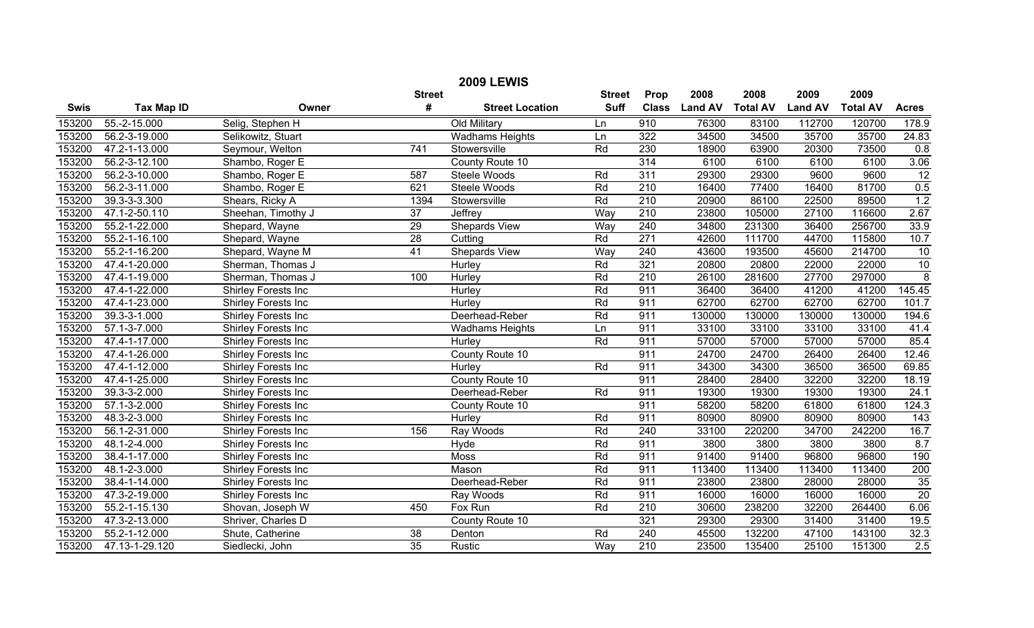|             |                   |                            |                 | <b>2009 LEWIS</b>      |               |                  |                |                 |                |                 |                 |
|-------------|-------------------|----------------------------|-----------------|------------------------|---------------|------------------|----------------|-----------------|----------------|-----------------|-----------------|
|             |                   |                            | <b>Street</b>   |                        | <b>Street</b> | Prop             | 2008           | 2008            | 2009           | 2009            |                 |
| <b>Swis</b> | <b>Tax Map ID</b> | Owner                      | #               | <b>Street Location</b> | <b>Suff</b>   | <b>Class</b>     | <b>Land AV</b> | <b>Total AV</b> | <b>Land AV</b> | <b>Total AV</b> | <b>Acres</b>    |
| 153200      | 55.-2-15.000      | Selig, Stephen H           |                 | Old Military           | Ln            | 910              | 76300          | 83100           | 112700         | 120700          | 178.9           |
| 153200      | 56.2-3-19.000     | Selikowitz, Stuart         |                 | <b>Wadhams Heights</b> | Ln            | 322              | 34500          | 34500           | 35700          | 35700           | 24.83           |
| 153200      | 47.2-1-13.000     | Seymour, Welton            | 741             | Stowersville           | Rd            | 230              | 18900          | 63900           | 20300          | 73500           | 0.8             |
| 153200      | 56.2-3-12.100     | Shambo, Roger E            |                 | County Route 10        |               | 314              | 6100           | 6100            | 6100           | 6100            | 3.06            |
| 153200      | 56.2-3-10.000     | Shambo, Roger E            | 587             | Steele Woods           | Rd            | 311              | 29300          | 29300           | 9600           | 9600            | $\overline{12}$ |
| 153200      | 56.2-3-11.000     | Shambo, Roger E            | 621             | <b>Steele Woods</b>    | Rd            | $\overline{210}$ | 16400          | 77400           | 16400          | 81700           | 0.5             |
| 153200      | 39.3-3-3.300      | Shears, Ricky A            | 1394            | Stowersville           | Rd            | 210              | 20900          | 86100           | 22500          | 89500           | 1.2             |
| 153200      | 47.1-2-50.110     | Sheehan, Timothy J         | $\overline{37}$ | Jeffrey                | Way           | 210              | 23800          | 105000          | 27100          | 116600          | 2.67            |
| 153200      | 55.2-1-22.000     | Shepard, Wayne             | 29              | Shepards View          | Way           | 240              | 34800          | 231300          | 36400          | 256700          | 33.9            |
| 153200      | 55.2-1-16.100     | Shepard, Wayne             | 28              | Cutting                | Rd            | 271              | 42600          | 111700          | 44700          | 115800          | 10.7            |
| 153200      | 55.2-1-16.200     | Shepard, Wayne M           | $\overline{41}$ | <b>Shepards View</b>   | Way           | 240              | 43600          | 193500          | 45600          | 214700          | 10              |
| 153200      | 47.4-1-20.000     | Sherman, Thomas J          |                 | Hurley                 | Rd            | 321              | 20800          | 20800           | 22000          | 22000           | 10              |
| 153200      | 47.4-1-19.000     | Sherman, Thomas J          | 100             | Hurley                 | Rd            | $\overline{210}$ | 26100          | 281600          | 27700          | 297000          | $\overline{8}$  |
| 153200      | 47.4-1-22.000     | Shirley Forests Inc        |                 | Hurley                 | Rd            | 911              | 36400          | 36400           | 41200          | 41200           | 145.45          |
| 153200      | 47.4-1-23.000     | <b>Shirley Forests Inc</b> |                 | Hurley                 | Rd            | 911              | 62700          | 62700           | 62700          | 62700           | 101.7           |
| 153200      | 39.3-3-1.000      | Shirley Forests Inc        |                 | Deerhead-Reber         | Rd            | 911              | 130000         | 130000          | 130000         | 130000          | 194.6           |
| 153200      | 57.1-3-7.000      | Shirley Forests Inc        |                 | <b>Wadhams Heights</b> | Ln            | 911              | 33100          | 33100           | 33100          | 33100           | 41.4            |
| 153200      | 47.4-1-17.000     | Shirley Forests Inc        |                 | Hurley                 | Rd            | 911              | 57000          | 57000           | 57000          | 57000           | 85.4            |
| 153200      | 47.4-1-26.000     | Shirley Forests Inc        |                 | County Route 10        |               | 911              | 24700          | 24700           | 26400          | 26400           | 12.46           |
| 153200      | 47.4-1-12.000     | <b>Shirley Forests Inc</b> |                 | Hurley                 | Rd            | 911              | 34300          | 34300           | 36500          | 36500           | 69.85           |
| 153200      | 47.4-1-25.000     | Shirley Forests Inc        |                 | County Route 10        |               | 911              | 28400          | 28400           | 32200          | 32200           | 18.19           |
| 153200      | 39.3-3-2.000      | <b>Shirley Forests Inc</b> |                 | Deerhead-Reber         | Rd            | 911              | 19300          | 19300           | 19300          | 19300           | 24.1            |
| 153200      | 57.1-3-2.000      | Shirley Forests Inc        |                 | County Route 10        |               | 911              | 58200          | 58200           | 61800          | 61800           | 124.3           |
| 153200      | 48.3-2-3.000      | Shirley Forests Inc        |                 | Hurley                 | Rd            | 911              | 80900          | 80900           | 80900          | 80900           | 143             |
| 153200      | 56.1-2-31.000     | Shirley Forests Inc        | 156             | Ray Woods              | Rd            | 240              | 33100          | 220200          | 34700          | 242200          | 16.7            |
| 153200      | 48.1-2-4.000      | <b>Shirley Forests Inc</b> |                 | Hyde                   | Rd            | 911              | 3800           | 3800            | 3800           | 3800            | 8.7             |
| 153200      | 38.4-1-17.000     | Shirley Forests Inc        |                 | Moss                   | Rd            | 911              | 91400          | 91400           | 96800          | 96800           | 190             |
| 153200      | 48.1-2-3.000      | Shirley Forests Inc        |                 | Mason                  | Rd            | 911              | 113400         | 113400          | 113400         | 113400          | 200             |
| 153200      | 38.4-1-14.000     | <b>Shirley Forests Inc</b> |                 | Deerhead-Reber         | Rd            | 911              | 23800          | 23800           | 28000          | 28000           | 35              |
| 153200      | 47.3-2-19.000     | Shirley Forests Inc        |                 | Ray Woods              | Rd            | 911              | 16000          | 16000           | 16000          | 16000           | 20              |
| 153200      | 55.2-1-15.130     | Shovan, Joseph W           | 450             | Fox Run                | Rd            | 210              | 30600          | 238200          | 32200          | 264400          | 6.06            |
| 153200      | 47.3-2-13.000     | Shriver, Charles D         |                 | County Route 10        |               | 321              | 29300          | 29300           | 31400          | 31400           | 19.5            |
| 153200      | 55.2-1-12.000     | Shute, Catherine           | 38              | Denton                 | Rd            | 240              | 45500          | 132200          | 47100          | 143100          | 32.3            |
| 153200      | 47.13-1-29.120    | Siedlecki, John            | $\overline{35}$ | Rustic                 | Way           | 210              | 23500          | 135400          | 25100          | 151300          | 2.5             |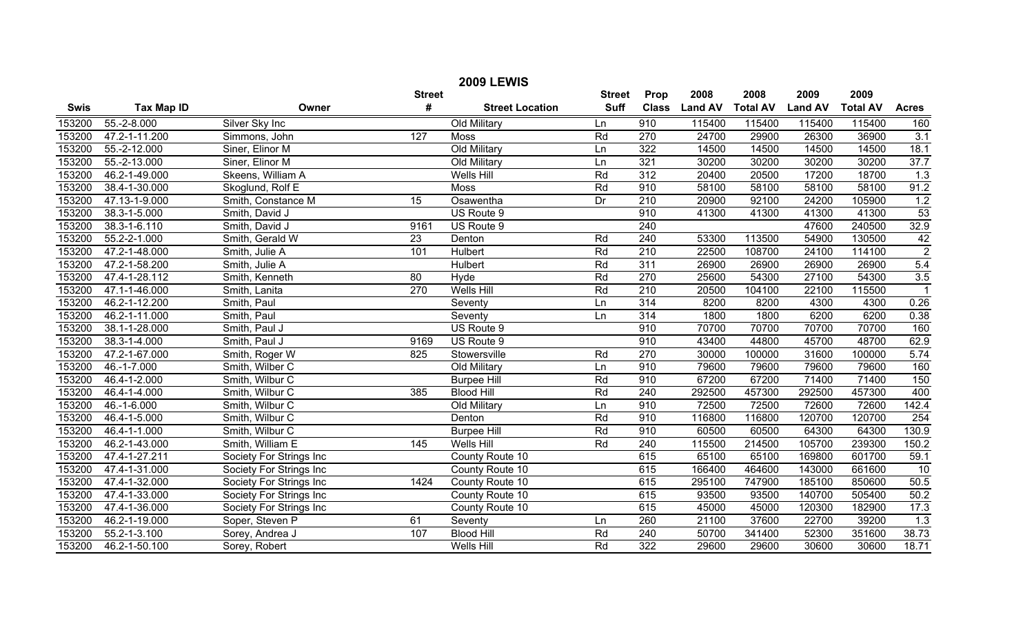| <b>2009 LEWIS</b> |                                |                                |                  |                        |                 |                  |                |                 |                |                 |                  |
|-------------------|--------------------------------|--------------------------------|------------------|------------------------|-----------------|------------------|----------------|-----------------|----------------|-----------------|------------------|
|                   |                                |                                | <b>Street</b>    |                        | <b>Street</b>   | Prop             | 2008           | 2008            | 2009           | 2009            |                  |
| <b>Swis</b>       | <b>Tax Map ID</b>              | Owner                          | #                | <b>Street Location</b> | <b>Suff</b>     | <b>Class</b>     | <b>Land AV</b> | <b>Total AV</b> | <b>Land AV</b> | <b>Total AV</b> | <b>Acres</b>     |
| 153200            | $55.-2-8.000$                  | Silver Sky Inc                 |                  | Old Military           | Ln              | 910              | 115400         | 115400          | 115400         | 115400          | 160              |
| 153200            | 47.2-1-11.200                  | Simmons, John                  | 127              | Moss                   | Rd              | 270              | 24700          | 29900           | 26300          | 36900           | $\overline{3.1}$ |
| 153200            | 55.-2-12.000                   | Siner, Elinor M                |                  | Old Military           | Ln              | 322              | 14500          | 14500           | 14500          | 14500           | 18.1             |
| 153200            | 55.-2-13.000                   | Siner, Elinor M                |                  | Old Military           | Ln              | 321              | 30200          | 30200           | 30200          | 30200           | 37.7             |
| 153200            | 46.2-1-49.000                  | Skeens, William A              |                  | <b>Wells Hill</b>      | Rd              | 312              | 20400          | 20500           | 17200          | 18700           | 1.3              |
| 153200            | 38.4-1-30.000                  | Skoglund, Rolf E               |                  | Moss                   | Rd              | 910              | 58100          | 58100           | 58100          | 58100           | 91.2             |
| 153200            | 47.13-1-9.000                  | Smith, Constance M             | 15               | Osawentha              | $\overline{Dr}$ | 210              | 20900          | 92100           | 24200          | 105900          | 1.2              |
| 153200            | 38.3-1-5.000                   | Smith, David J                 |                  | US Route 9             |                 | 910              | 41300          | 41300           | 41300          | 41300           | 53               |
| 153200            | 38.3-1-6.110                   | Smith, David J                 | 9161             | US Route 9             |                 | 240              |                |                 | 47600          | 240500          | 32.9             |
| 153200            | 55.2-2-1.000                   | Smith, Gerald W                | 23               | Denton                 | Rd              | 240              | 53300          | 113500          | 54900          | 130500          | $\frac{42}{2}$   |
| 153200            | 47.2-1-48.000                  | Smith, Julie A                 | 101              | <b>Hulbert</b>         | Rd              | $\overline{210}$ | 22500          | 108700          | 24100          | 114100          |                  |
| 153200            | 47.2-1-58.200                  | Smith, Julie A                 |                  | <b>Hulbert</b>         | Rd              | 311              | 26900          | 26900           | 26900          | 26900           | 5.4              |
| 153200            | 47.4-1-28.112                  | Smith, Kenneth                 | 80               | Hyde                   | Rd              | 270              | 25600          | 54300           | 27100          | 54300           | 3.5              |
| 153200            | 47.1-1-46.000                  | Smith, Lanita                  | $\overline{270}$ | <b>Wells Hill</b>      | Rd              | $\overline{210}$ | 20500          | 104100          | 22100          | 115500          | $\overline{1}$   |
| 153200            | 46.2-1-12.200                  | Smith, Paul                    |                  | Seventy                | Ln              | 314              | 8200           | 8200            | 4300           | 4300            | 0.26             |
| 153200            | 46.2-1-11.000                  | Smith, Paul                    |                  | Seventy                | Ln              | 314              | 1800           | 1800            | 6200           | 6200            | 0.38             |
| 153200            | 38.1-1-28.000                  | Smith, Paul J                  |                  | US Route 9             |                 | 910              | 70700          | 70700           | 70700          | 70700           | 160              |
| 153200            | 38.3-1-4.000                   | Smith, Paul J                  | 9169             | US Route 9             |                 | 910              | 43400          | 44800           | 45700          | 48700           | 62.9             |
| 153200            | 47.2-1-67.000                  | Smith, Roger W                 | 825              | Stowersville           | Rd              | 270              | 30000          | 100000          | 31600          | 100000          | 5.74             |
| 153200            | 46.-1-7.000                    | Smith, Wilber C                |                  | Old Military           | Ln              | 910              | 79600          | 79600           | 79600          | 79600           | 160              |
| 153200            | 46.4-1-2.000                   | Smith, Wilbur C                |                  | <b>Burpee Hill</b>     | Rd              | 910              | 67200          | 67200           | 71400          | 71400           | 150              |
| 153200            | 46.4-1-4.000                   | Smith, Wilbur C                | 385              | <b>Blood Hill</b>      | Rd              | 240              | 292500         | 457300          | 292500         | 457300          | 400              |
| 153200            | $46.-1-6.000$                  | Smith, Wilbur C                |                  | Old Military           | Ln              | 910              | 72500          | 72500           | 72600          | 72600           | 142.4            |
| 153200            | 46.4-1-5.000                   | Smith, Wilbur C                |                  | Denton                 | Rd              | 910              | 116800         | 116800          | 120700         | 120700          | 254              |
| 153200            | 46.4-1-1.000                   | Smith, Wilbur C                |                  | <b>Burpee Hill</b>     | Rd              | 910              | 60500          | 60500           | 64300          | 64300           | 130.9            |
| 153200            | 46.2-1-43.000                  | Smith, William E               | $\overline{145}$ | <b>Wells Hill</b>      | Rd              | 240              | 115500         | 214500          | 105700         | 239300          | 150.2            |
| 153200            | 47.4-1-27.211                  | Society For Strings Inc        |                  | County Route 10        |                 | 615              | 65100          | 65100           | 169800         | 601700          | 59.1             |
| 153200            | 47.4-1-31.000                  | Society For Strings Inc        |                  | County Route 10        |                 | 615              | 166400         | 464600          | 143000         | 661600          | 10               |
| 153200            | 47.4-1-32.000                  | <b>Society For Strings Inc</b> | 1424             | County Route 10        |                 | 615              | 295100         | 747900          | 185100         | 850600          | 50.5             |
| 153200            | 47.4-1-33.000                  | Society For Strings Inc        |                  | County Route 10        |                 | 615              | 93500          | 93500           | 140700         | 505400          | 50.2             |
| 153200            | 47.4-1-36.000                  | Society For Strings Inc        |                  | County Route 10        |                 | 615              | 45000          | 45000           | 120300         | 182900          | 17.3             |
| 153200            | 46.2-1-19.000                  | Soper, Steven P                | 61               | Seventy                | Ln              | 260              | 21100          | 37600           | 22700          | 39200           | 1.3              |
| 153200            | 55.2-1-3.100                   | Sorey, Andrea J                | 107              | <b>Blood Hill</b>      | Rd              | 240              | 50700          | 341400          | 52300          | 351600          | 38.73            |
| 153200            | $\overline{46.2 - 1} - 50.100$ | Sorey, Robert                  |                  | <b>Wells Hill</b>      | Rd              | 322              | 29600          | 29600           | 30600          | 30600           | 18.71            |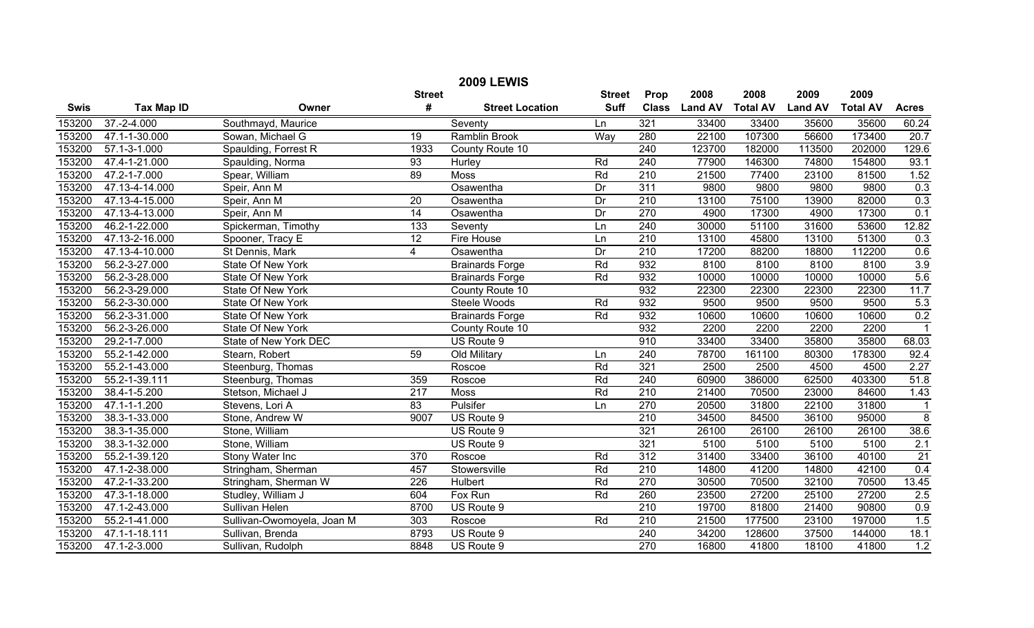| <b>2009 LEWIS</b> |                                |                              |                  |                        |                 |              |                |                 |                |                 |                 |
|-------------------|--------------------------------|------------------------------|------------------|------------------------|-----------------|--------------|----------------|-----------------|----------------|-----------------|-----------------|
|                   |                                |                              | <b>Street</b>    |                        | <b>Street</b>   | Prop         | 2008           | 2008            | 2009           | 2009            |                 |
| <b>Swis</b>       | <b>Tax Map ID</b>              | Owner                        | #                | <b>Street Location</b> | <b>Suff</b>     | <b>Class</b> | <b>Land AV</b> | <b>Total AV</b> | <b>Land AV</b> | <b>Total AV</b> | <b>Acres</b>    |
| 153200            | $37. - 2 - 4.000$              | Southmayd, Maurice           |                  | Seventy                | Ln              | 321          | 33400          | 33400           | 35600          | 35600           | 60.24           |
| 153200            | 47.1-1-30.000                  | Sowan, Michael G             | 19               | <b>Ramblin Brook</b>   | Way             | 280          | 22100          | 107300          | 56600          | 173400          | 20.7            |
| 153200            | $57.1 - 3 - 1.000$             | Spaulding, Forrest R         | 1933             | County Route 10        |                 | 240          | 123700         | 182000          | 113500         | 202000          | 129.6           |
| 153200            | 47.4-1-21.000                  | Spaulding, Norma             | 93               | Hurley                 | Rd              | 240          | 77900          | 146300          | 74800          | 154800          | 93.1            |
| 153200            | $\overline{47.2 - 1 - 7.000}$  | Spear, William               | 89               | Moss                   | Rd              | 210          | 21500          | 77400           | 23100          | 81500           | 1.52            |
| 153200            | 47.13-4-14.000                 | Speir, Ann M                 |                  | Osawentha              | $\overline{Dr}$ | 311          | 9800           | 9800            | 9800           | 9800            | 0.3             |
| 153200            | 47.13-4-15.000                 | Speir, Ann M                 | 20               | Osawentha              | $\overline{Dr}$ | 210          | 13100          | 75100           | 13900          | 82000           | 0.3             |
| 153200            | 47.13-4-13.000                 | Speir, Ann M                 | 14               | Osawentha              | $\overline{Dr}$ | 270          | 4900           | 17300           | 4900           | 17300           | 0.1             |
| 153200            | 46.2-1-22.000                  | Spickerman, Timothy          | 133              | Seventy                | Ln              | 240          | 30000          | 51100           | 31600          | 53600           | 12.82           |
| 153200            | 47.13-2-16.000                 | Spooner, Tracy E             | 12               | Fire House             | Ln              | 210          | 13100          | 45800           | 13100          | 51300           | 0.3             |
| 153200            | 47.13-4-10.000                 | St Dennis, Mark              | $\overline{4}$   | Osawentha              | Dr              | 210          | 17200          | 88200           | 18800          | 112200          | 0.6             |
| 153200            | 56.2-3-27.000                  | State Of New York            |                  | <b>Brainards Forge</b> | Rd              | 932          | 8100           | 8100            | 8100           | 8100            | 3.9             |
| 153200            | 56.2-3-28.000                  | State Of New York            |                  | <b>Brainards Forge</b> | Rd              | 932          | 10000          | 10000           | 10000          | 10000           | 5.6             |
| 153200            | 56.2-3-29.000                  | State Of New York            |                  | County Route 10        |                 | 932          | 22300          | 22300           | 22300          | 22300           | 11.7            |
| 153200            | 56.2-3-30.000                  | State Of New York            |                  | Steele Woods           | Rd              | 932          | 9500           | 9500            | 9500           | 9500            | 5.3             |
| 153200            | 56.2-3-31.000                  | <b>State Of New York</b>     |                  | <b>Brainards Forge</b> | Rd              | 932          | 10600          | 10600           | 10600          | 10600           | 0.2             |
| 153200            | 56.2-3-26.000                  | State Of New York            |                  | County Route 10        |                 | 932          | 2200           | 2200            | 2200           | 2200            | $\overline{1}$  |
| 153200            | 29.2-1-7.000                   | <b>State of New York DEC</b> |                  | US Route 9             |                 | 910          | 33400          | 33400           | 35800          | 35800           | 68.03           |
| 153200            | 55.2-1-42.000                  | Stearn, Robert               | 59               | Old Military           | Ln              | 240          | 78700          | 161100          | 80300          | 178300          | 92.4            |
| 153200            | 55.2-1-43.000                  | Steenburg, Thomas            |                  | Roscoe                 | Rd              | 321          | 2500           | 2500            | 4500           | 4500            | 2.27            |
| 153200            | 55.2-1-39.111                  | Steenburg, Thomas            | 359              | Roscoe                 | Rd              | 240          | 60900          | 386000          | 62500          | 403300          | 51.8            |
| 153200            | 38.4-1-5.200                   | Stetson, Michael J           | $\overline{217}$ | Moss                   | Rd              | 210          | 21400          | 70500           | 23000          | 84600           | 1.43            |
| 153200            | 47.1-1-1.200                   | Stevens, Lori A              | $\overline{83}$  | Pulsifer               | Ln              | 270          | 20500          | 31800           | 22100          | 31800           | $\mathbf{1}$    |
| 153200            | 38.3-1-33.000                  | Stone, Andrew W              | 9007             | US Route 9             |                 | 210          | 34500          | 84500           | 36100          | 95000           | $\overline{8}$  |
| 153200            | 38.3-1-35.000                  | Stone, William               |                  | US Route 9             |                 | 321          | 26100          | 26100           | 26100          | 26100           | 38.6            |
| 153200            | 38.3-1-32.000                  | Stone, William               |                  | US Route 9             |                 | 321          | 5100           | 5100            | 5100           | 5100            | 2.1             |
| 153200            | 55.2-1-39.120                  | Stony Water Inc              | $\overline{370}$ | Roscoe                 | Rd              | 312          | 31400          | 33400           | 36100          | 40100           | $\overline{21}$ |
| 153200            | 47.1-2-38.000                  | Stringham, Sherman           | 457              | Stowersville           | Rd              | 210          | 14800          | 41200           | 14800          | 42100           | 0.4             |
| 153200            | 47.2-1-33.200                  | Stringham, Sherman W         | 226              | Hulbert                | Rd              | 270          | 30500          | 70500           | 32100          | 70500           | 13.45           |
| 153200            | 47.3-1-18.000                  | Studley, William J           | 604              | Fox Run                | Rd              | 260          | 23500          | 27200           | 25100          | 27200           | 2.5             |
| 153200            | $\overline{47.1 - 2 - 43.000}$ | Sullivan Helen               | 8700             | US Route 9             |                 | 210          | 19700          | 81800           | 21400          | 90800           | 0.9             |
| 153200            | 55.2-1-41.000                  | Sullivan-Owomoyela, Joan M   | 303              | Roscoe                 | Rd              | 210          | 21500          | 177500          | 23100          | 197000          | 1.5             |
| 153200            | $\overline{47.1}$ -1-18.111    | Sullivan, Brenda             | 8793             | US Route 9             |                 | 240          | 34200          | 128600          | 37500          | 144000          | 18.1            |
| 153200            | $\overline{47.1}$ -2-3.000     | Sullivan, Rudolph            | 8848             | US Route 9             |                 | 270          | 16800          | 41800           | 18100          | 41800           | 1.2             |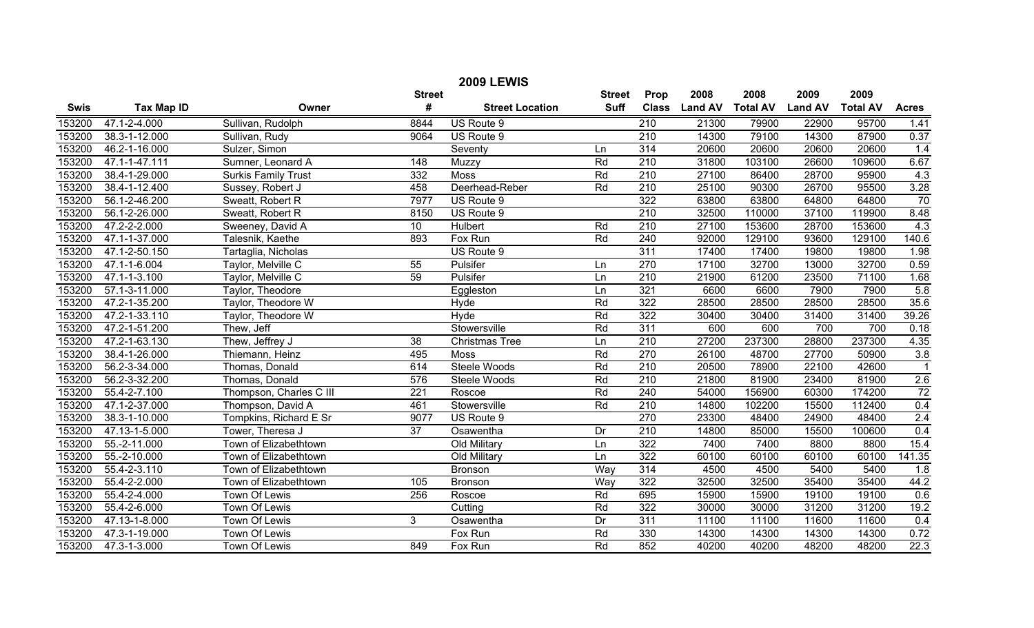|             |                           |                            |                  | <b>2009 LEWIS</b>      |               |                  |                |                 |                |                 |                 |
|-------------|---------------------------|----------------------------|------------------|------------------------|---------------|------------------|----------------|-----------------|----------------|-----------------|-----------------|
|             |                           |                            | <b>Street</b>    |                        | <b>Street</b> | Prop             | 2008           | 2008            | 2009           | 2009            |                 |
| <b>Swis</b> | <b>Tax Map ID</b>         | Owner                      | #                | <b>Street Location</b> | <b>Suff</b>   | <b>Class</b>     | <b>Land AV</b> | <b>Total AV</b> | <b>Land AV</b> | <b>Total AV</b> | <b>Acres</b>    |
| 153200      | 47.1-2-4.000              | Sullivan, Rudolph          | 8844             | US Route 9             |               | 210              | 21300          | 79900           | 22900          | 95700           | 1.41            |
| 153200      | 38.3-1-12.000             | Sullivan, Rudy             | 9064             | US Route 9             |               | 210              | 14300          | 79100           | 14300          | 87900           | 0.37            |
| 153200      | 46.2-1-16.000             | Sulzer, Simon              |                  | Seventy                | Ln            | 314              | 20600          | 20600           | 20600          | 20600           | 1.4             |
| 153200      | 47.1-1-47.111             | Sumner, Leonard A          | 148              | Muzzy                  | Rd            | 210              | 31800          | 103100          | 26600          | 109600          | 6.67            |
| 153200      | 38.4-1-29.000             | <b>Surkis Family Trust</b> | 332              | Moss                   | Rd            | 210              | 27100          | 86400           | 28700          | 95900           | 4.3             |
| 153200      | 38.4-1-12.400             | Sussey, Robert J           | 458              | Deerhead-Reber         | Rd            | $\overline{210}$ | 25100          | 90300           | 26700          | 95500           | 3.28            |
| 153200      | 56.1-2-46.200             | Sweatt, Robert R           | 7977             | US Route 9             |               | 322              | 63800          | 63800           | 64800          | 64800           | 70              |
| 153200      | 56.1-2-26.000             | Sweatt, Robert R           | 8150             | US Route 9             |               | $\overline{210}$ | 32500          | 110000          | 37100          | 119900          | 8.48            |
| 153200      | 47.2-2-2.000              | Sweeney, David A           | 10               | Hulbert                | Rd            | $\overline{210}$ | 27100          | 153600          | 28700          | 153600          | 4.3             |
| 153200      | 47.1-1-37.000             | Talesnik, Kaethe           | 893              | Fox Run                | Rd            | 240              | 92000          | 129100          | 93600          | 129100          | 140.6           |
| 153200      | 47.1-2-50.150             | Tartaglia, Nicholas        |                  | US Route 9             |               | 311              | 17400          | 17400           | 19800          | 19800           | 1.98            |
| 153200      | 47.1-1-6.004              | Taylor, Melville C         | $\overline{55}$  | Pulsifer               | Ln            | 270              | 17100          | 32700           | 13000          | 32700           | 0.59            |
| 153200      | 47.1-1-3.100              | Taylor, Melville C         | 59               | Pulsifer               | Ln            | 210              | 21900          | 61200           | 23500          | 71100           | 1.68            |
| 153200      | 57.1-3-11.000             | Taylor, Theodore           |                  | Eggleston              | Ln            | 321              | 6600           | 6600            | 7900           | 7900            | 5.8             |
| 153200      | 47.2-1-35.200             | Taylor, Theodore W         |                  | <b>Hyde</b>            | Rd            | 322              | 28500          | 28500           | 28500          | 28500           | 35.6            |
| 153200      | 47.2-1-33.110             | Taylor, Theodore W         |                  | Hyde                   | Rd            | 322              | 30400          | 30400           | 31400          | 31400           | 39.26           |
| 153200      | 47.2-1-51.200             | Thew, Jeff                 |                  | Stowersville           | Rd            | 311              | 600            | 600             | 700            | 700             | 0.18            |
| 153200      | 47.2-1-63.130             | Thew, Jeffrey J            | 38               | <b>Christmas Tree</b>  | Ln            | 210              | 27200          | 237300          | 28800          | 237300          | 4.35            |
| 153200      | 38.4-1-26.000             | Thiemann, Heinz            | 495              | Moss                   | Rd            | 270              | 26100          | 48700           | 27700          | 50900           | 3.8             |
| 153200      | 56.2-3-34.000             | Thomas, Donald             | 614              | <b>Steele Woods</b>    | Rd            | $\overline{210}$ | 20500          | 78900           | 22100          | 42600           | $\overline{1}$  |
| 153200      | 56.2-3-32.200             | Thomas, Donald             | 576              | Steele Woods           | Rd            | 210              | 21800          | 81900           | 23400          | 81900           | 2.6             |
| 153200      | 55.4-2-7.100              | Thompson, Charles C III    | $\overline{221}$ | Roscoe                 | Rd            | 240              | 54000          | 156900          | 60300          | 174200          | $\overline{72}$ |
| 153200      | 47.1-2-37.000             | Thompson, David A          | 461              | Stowersville           | Rd            | 210              | 14800          | 102200          | 15500          | 112400          | 0.4             |
| 153200      | 38.3-1-10.000             | Tompkins, Richard E Sr     | 9077             | US Route 9             |               | 270              | 23300          | 48400           | 24900          | 48400           | 2.4             |
| 153200      | 47.13-1-5.000             | Tower, Theresa J           | $\overline{37}$  | Osawentha              | Dr            | $\overline{210}$ | 14800          | 85000           | 15500          | 100600          | 0.4             |
| 153200      | $\overline{55.-2-11.000}$ | Town of Elizabethtown      |                  | Old Military           | Ln            | 322              | 7400           | 7400            | 8800           | 8800            | 15.4            |
| 153200      | 55.-2-10.000              | Town of Elizabethtown      |                  | Old Military           | Ln            | 322              | 60100          | 60100           | 60100          | 60100           | 141.35          |
| 153200      | 55.4-2-3.110              | Town of Elizabethtown      |                  | Bronson                | Way           | 314              | 4500           | 4500            | 5400           | 5400            | 1.8             |
| 153200      | 55.4-2-2.000              | Town of Elizabethtown      | 105              | Bronson                | Way           | 322              | 32500          | 32500           | 35400          | 35400           | 44.2            |
| 153200      | 55.4-2-4.000              | Town Of Lewis              | 256              | Roscoe                 | Rd            | 695              | 15900          | 15900           | 19100          | 19100           | 0.6             |
| 153200      | 55.4-2-6.000              | Town Of Lewis              |                  | Cutting                | Rd            | 322              | 30000          | 30000           | 31200          | 31200           | 19.2            |
| 153200      | 47.13-1-8.000             | Town Of Lewis              | 3                | Osawentha              | Dr            | 311              | 11100          | 11100           | 11600          | 11600           | 0.4             |
| 153200      | 47.3-1-19.000             | Town Of Lewis              |                  | Fox Run                | Rd            | 330              | 14300          | 14300           | 14300          | 14300           | 0.72            |
| 153200      | 47.3-1-3.000              | Town Of Lewis              | 849              | Fox Run                | Rd            | 852              | 40200          | 40200           | 48200          | 48200           | 22.3            |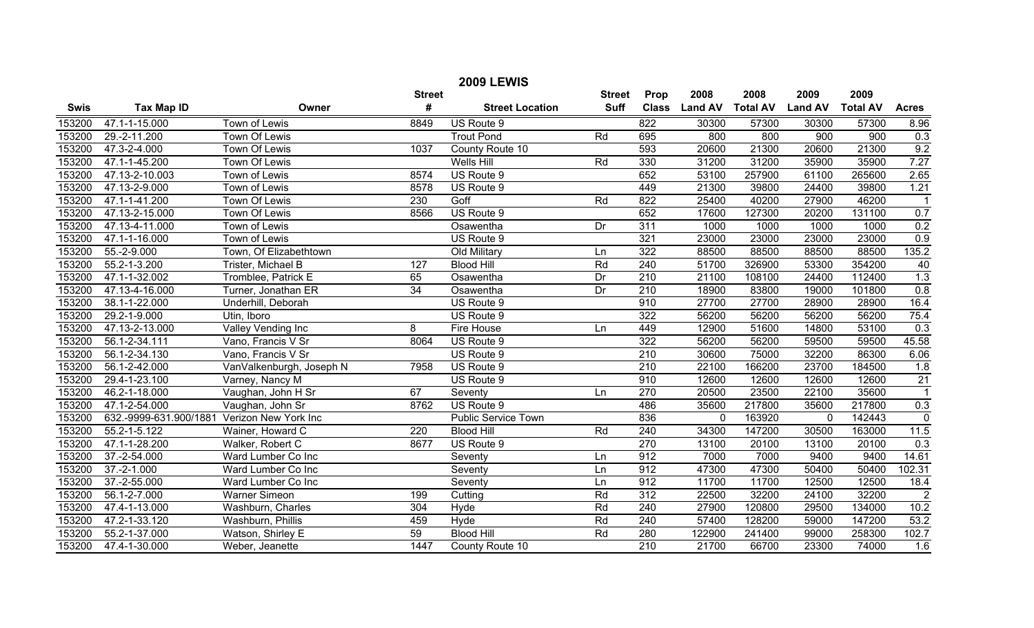|             | <b>2009 LEWIS</b>                           |                          |                 |                        |               |                  |                |                 |                |                 |                |
|-------------|---------------------------------------------|--------------------------|-----------------|------------------------|---------------|------------------|----------------|-----------------|----------------|-----------------|----------------|
|             |                                             |                          | <b>Street</b>   |                        | <b>Street</b> | Prop             | 2008           | 2008            | 2009           | 2009            |                |
| <b>Swis</b> | <b>Tax Map ID</b>                           | Owner                    | #               | <b>Street Location</b> | <b>Suff</b>   | <b>Class</b>     | <b>Land AV</b> | <b>Total AV</b> | <b>Land AV</b> | <b>Total AV</b> | <b>Acres</b>   |
| 153200      | 47.1-1-15.000                               | <b>Town of Lewis</b>     | 8849            | US Route 9             |               | 822              | 30300          | 57300           | 30300          | 57300           | 8.96           |
| 153200      | 29.-2-11.200                                | Town Of Lewis            |                 | <b>Trout Pond</b>      | Rd            | 695              | 800            | 800             | 900            | 900             | 0.3            |
| 153200      | 47.3-2-4.000                                | <b>Town Of Lewis</b>     | 1037            | County Route 10        |               | 593              | 20600          | 21300           | 20600          | 21300           | 9.2            |
| 153200      | 47.1-1-45.200                               | Town Of Lewis            |                 | Wells Hill             | Rd            | 330              | 31200          | 31200           | 35900          | 35900           | 7.27           |
| 153200      | 47.13-2-10.003                              | Town of Lewis            | 8574            | US Route 9             |               | 652              | 53100          | 257900          | 61100          | 265600          | 2.65           |
| 153200      | 47.13-2-9.000                               | Town of Lewis            | 8578            | US Route 9             |               | 449              | 21300          | 39800           | 24400          | 39800           | 1.21           |
| 153200      | 47.1-1-41.200                               | Town Of Lewis            | 230             | Goff                   | Rd            | 822              | 25400          | 40200           | 27900          | 46200           |                |
| 153200      | 47.13-2-15.000                              | Town Of Lewis            | 8566            | US Route 9             |               | 652              | 17600          | 127300          | 20200          | 131100          | 0.7            |
| 153200      | 47.13-4-11.000                              | Town of Lewis            |                 | Osawentha              | Dr            | $\overline{311}$ | 1000           | 1000            | 1000           | 1000            | 0.2            |
| 153200      | 47.1-1-16.000                               | Town of Lewis            |                 | US Route 9             |               | 321              | 23000          | 23000           | 23000          | 23000           | 0.9            |
| 153200      | 55.-2-9.000                                 | Town, Of Elizabethtown   |                 | Old Military           | Ln            | 322              | 88500          | 88500           | 88500          | 88500           | 135.2          |
| 153200      | 55.2-1-3.200                                | Trister, Michael B       | 127             | <b>Blood Hill</b>      | Rd            | 240              | 51700          | 326900          | 53300          | 354200          | 40             |
| 153200      | 47.1-1-32.002                               | Tromblee, Patrick E      | 65              | Osawentha              | Dr            | 210              | 21100          | 108100          | 24400          | 112400          | 1.3            |
| 153200      | 47.13-4-16.000                              | Turner, Jonathan ER      | $\overline{34}$ | Osawentha              | Dr            | $\overline{210}$ | 18900          | 83800           | 19000          | 101800          | 0.8            |
| 153200      | 38.1-1-22.000                               | Underhill, Deborah       |                 | US Route 9             |               | 910              | 27700          | 27700           | 28900          | 28900           | 16.4           |
| 153200      | 29.2-1-9.000                                | Utin, Iboro              |                 | US Route 9             |               | 322              | 56200          | 56200           | 56200          | 56200           | 75.4           |
| 153200      | 47.13-2-13.000                              | Valley Vending Inc       | 8               | Fire House             | Ln            | 449              | 12900          | 51600           | 14800          | 53100           | 0.3            |
| 153200      | 56.1-2-34.111                               | Vano, Francis V Sr       | 8064            | US Route 9             |               | 322              | 56200          | 56200           | 59500          | 59500           | 45.58          |
| 153200      | 56.1-2-34.130                               | Vano, Francis V Sr       |                 | US Route 9             |               | 210              | 30600          | 75000           | 32200          | 86300           | 6.06           |
| 153200      | 56.1-2-42.000                               | VanValkenburgh, Joseph N | 7958            | US Route 9             |               | $\overline{210}$ | 22100          | 166200          | 23700          | 184500          | 1.8            |
| 153200      | 29.4-1-23.100                               | Varney, Nancy M          |                 | US Route 9             |               | 910              | 12600          | 12600           | 12600          | 12600           | 21             |
| 153200      | 46.2-1-18.000                               | Vaughan, John H Sr       | 67              | Seventy                | Ln            | 270              | 20500          | 23500           | 22100          | 35600           | $\overline{1}$ |
| 153200      | 47.1-2-54.000                               | Vaughan, John Sr         | 8762            | US Route 9             |               | 486              | 35600          | 217800          | 35600          | 217800          | 0.3            |
| 153200      | 632.-9999-631.900/1881 Verizon New York Inc |                          |                 | Public Service Town    |               | 836              | $\Omega$       | 163920          | $\Omega$       | 142443          | $\mathbf 0$    |
| 153200      | 55.2-1-5.122                                | Wainer, Howard C         | 220             | <b>Blood Hill</b>      | Rd            | 240              | 34300          | 147200          | 30500          | 163000          | 11.5           |
| 153200      | 47.1-1-28.200                               | Walker, Robert C         | 8677            | US Route 9             |               | 270              | 13100          | 20100           | 13100          | 20100           | 0.3            |
| 153200      | 37.-2-54.000                                | Ward Lumber Co Inc       |                 | Seventy                | Ln            | 912              | 7000           | 7000            | 9400           | 9400            | 14.61          |
| 153200      | 37.-2-1.000                                 | Ward Lumber Co Inc       |                 | Seventy                | Ln            | 912              | 47300          | 47300           | 50400          | 50400           | 102.31         |
| 153200      | 37.-2-55.000                                | Ward Lumber Co Inc       |                 | Seventy                | Ln            | 912              | 11700          | 11700           | 12500          | 12500           | 18.4           |
| 153200      | 56.1-2-7.000                                | Warner Simeon            | 199             | Cutting                | Rd            | 312              | 22500          | 32200           | 24100          | 32200           | $\overline{2}$ |
| 153200      | 47.4-1-13.000                               | Washburn, Charles        | 304             | Hyde                   | Rd            | 240              | 27900          | 120800          | 29500          | 134000          | 10.2           |
| 153200      | 47.2-1-33.120                               | Washburn, Phillis        | 459             | Hyde                   | Rd            | 240              | 57400          | 128200          | 59000          | 147200          | 53.2           |
| 153200      | 55.2-1-37.000                               | Watson, Shirley E        | 59              | <b>Blood Hill</b>      | Rd            | 280              | 122900         | 241400          | 99000          | 258300          | 102.7          |
| 153200      | 47.4-1-30.000                               | Weber, Jeanette          | 1447            | County Route 10        |               | 210              | 21700          | 66700           | 23300          | 74000           | 1.6            |